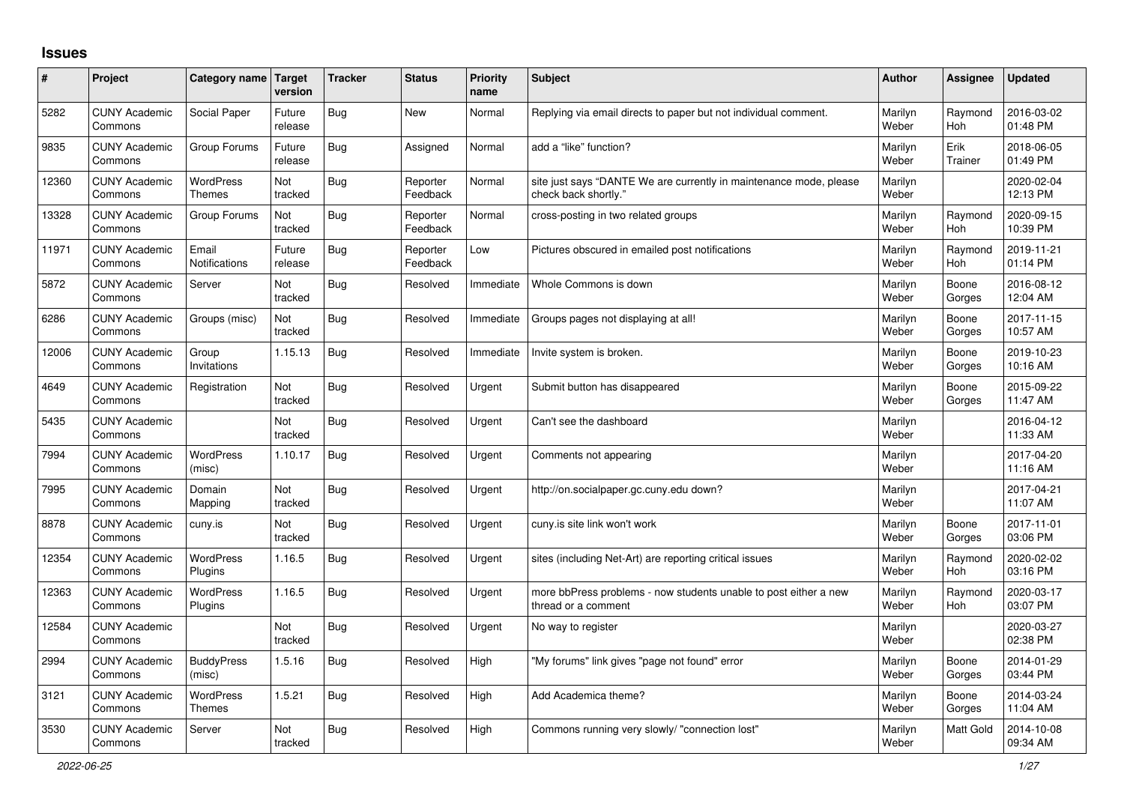## **Issues**

| ∦     | Project                         | Category name Target        | version           | <b>Tracker</b> | <b>Status</b>        | <b>Priority</b><br>name | <b>Subject</b>                                                                             | Author           | Assignee              | <b>Updated</b>         |
|-------|---------------------------------|-----------------------------|-------------------|----------------|----------------------|-------------------------|--------------------------------------------------------------------------------------------|------------------|-----------------------|------------------------|
| 5282  | <b>CUNY Academic</b><br>Commons | Social Paper                | Future<br>release | <b>Bug</b>     | <b>New</b>           | Normal                  | Replying via email directs to paper but not individual comment.                            | Marilyn<br>Weber | Raymond<br>Hoh        | 2016-03-02<br>01:48 PM |
| 9835  | <b>CUNY Academic</b><br>Commons | Group Forums                | Future<br>release | Bug            | Assigned             | Normal                  | add a "like" function?                                                                     | Marilyn<br>Weber | Erik<br>Trainer       | 2018-06-05<br>01:49 PM |
| 12360 | <b>CUNY Academic</b><br>Commons | WordPress<br>Themes         | Not<br>tracked    | <b>Bug</b>     | Reporter<br>Feedback | Normal                  | site just says "DANTE We are currently in maintenance mode, please<br>check back shortly." | Marilyn<br>Weber |                       | 2020-02-04<br>12:13 PM |
| 13328 | <b>CUNY Academic</b><br>Commons | Group Forums                | Not<br>tracked    | <b>Bug</b>     | Reporter<br>Feedback | Normal                  | cross-posting in two related groups                                                        | Marilyn<br>Weber | Raymond<br><b>Hoh</b> | 2020-09-15<br>10:39 PM |
| 11971 | <b>CUNY Academic</b><br>Commons | Email<br>Notifications      | Future<br>release | Bug            | Reporter<br>Feedback | Low                     | Pictures obscured in emailed post notifications                                            | Marilyn<br>Weber | Raymond<br>Hoh        | 2019-11-21<br>01:14 PM |
| 5872  | <b>CUNY Academic</b><br>Commons | Server                      | Not<br>tracked    | <b>Bug</b>     | Resolved             | Immediate               | Whole Commons is down                                                                      | Marilyn<br>Weber | Boone<br>Gorges       | 2016-08-12<br>12:04 AM |
| 6286  | <b>CUNY Academic</b><br>Commons | Groups (misc)               | Not<br>tracked    | Bug            | Resolved             | Immediate               | Groups pages not displaying at all!                                                        | Marilyn<br>Weber | Boone<br>Gorges       | 2017-11-15<br>10:57 AM |
| 12006 | <b>CUNY Academic</b><br>Commons | Group<br>Invitations        | 1.15.13           | <b>Bug</b>     | Resolved             | Immediate               | Invite system is broken.                                                                   | Marilyn<br>Weber | Boone<br>Gorges       | 2019-10-23<br>10:16 AM |
| 4649  | <b>CUNY Academic</b><br>Commons | Registration                | Not<br>tracked    | Bug            | Resolved             | Urgent                  | Submit button has disappeared                                                              | Marilyn<br>Weber | Boone<br>Gorges       | 2015-09-22<br>11:47 AM |
| 5435  | <b>CUNY Academic</b><br>Commons |                             | Not<br>tracked    | <b>Bug</b>     | Resolved             | Urgent                  | Can't see the dashboard                                                                    | Marilyn<br>Weber |                       | 2016-04-12<br>11:33 AM |
| 7994  | <b>CUNY Academic</b><br>Commons | <b>WordPress</b><br>(misc)  | 1.10.17           | Bug            | Resolved             | Urgent                  | Comments not appearing                                                                     | Marilyn<br>Weber |                       | 2017-04-20<br>11:16 AM |
| 7995  | <b>CUNY Academic</b><br>Commons | Domain<br>Mapping           | Not<br>tracked    | <b>Bug</b>     | Resolved             | Urgent                  | http://on.socialpaper.gc.cuny.edu down?                                                    | Marilyn<br>Weber |                       | 2017-04-21<br>11:07 AM |
| 8878  | <b>CUNY Academic</b><br>Commons | cuny.is                     | Not<br>tracked    | <b>Bug</b>     | Resolved             | Urgent                  | cuny is site link won't work                                                               | Marilyn<br>Weber | Boone<br>Gorges       | 2017-11-01<br>03:06 PM |
| 12354 | <b>CUNY Academic</b><br>Commons | <b>WordPress</b><br>Plugins | 1.16.5            | <b>Bug</b>     | Resolved             | Urgent                  | sites (including Net-Art) are reporting critical issues                                    | Marilyn<br>Weber | Raymond<br>Hoh        | 2020-02-02<br>03:16 PM |
| 12363 | <b>CUNY Academic</b><br>Commons | WordPress<br>Plugins        | 1.16.5            | Bug            | Resolved             | Urgent                  | more bbPress problems - now students unable to post either a new<br>thread or a comment    | Marilyn<br>Weber | Raymond<br>Hoh        | 2020-03-17<br>03:07 PM |
| 12584 | <b>CUNY Academic</b><br>Commons |                             | Not<br>tracked    | Bug            | Resolved             | Urgent                  | No way to register                                                                         | Marilyn<br>Weber |                       | 2020-03-27<br>02:38 PM |
| 2994  | <b>CUNY Academic</b><br>Commons | <b>BuddyPress</b><br>(misc) | 1.5.16            | Bug            | Resolved             | High                    | "My forums" link gives "page not found" error                                              | Marilyn<br>Weber | Boone<br>Gorges       | 2014-01-29<br>03:44 PM |
| 3121  | <b>CUNY Academic</b><br>Commons | WordPress<br>Themes         | 1.5.21            | Bug            | Resolved             | High                    | Add Academica theme?                                                                       | Marilyn<br>Weber | Boone<br>Gorges       | 2014-03-24<br>11:04 AM |
| 3530  | <b>CUNY Academic</b><br>Commons | Server                      | Not<br>tracked    | <b>Bug</b>     | Resolved             | High                    | Commons running very slowly/ "connection lost"                                             | Marilyn<br>Weber | <b>Matt Gold</b>      | 2014-10-08<br>09:34 AM |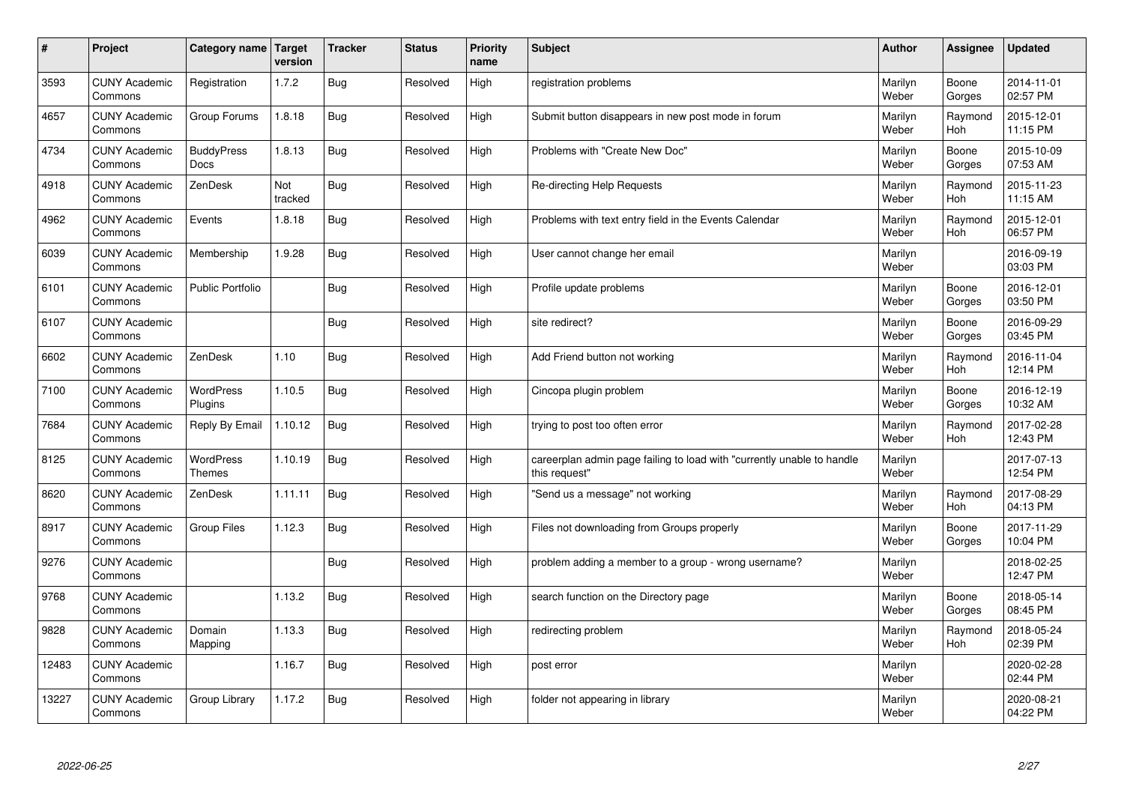| $\vert$ # | Project                         | Category name Target              | version        | <b>Tracker</b> | <b>Status</b> | <b>Priority</b><br>name | <b>Subject</b>                                                                          | <b>Author</b>    | Assignee              | <b>Updated</b>         |
|-----------|---------------------------------|-----------------------------------|----------------|----------------|---------------|-------------------------|-----------------------------------------------------------------------------------------|------------------|-----------------------|------------------------|
| 3593      | <b>CUNY Academic</b><br>Commons | Registration                      | 1.7.2          | Bug            | Resolved      | High                    | registration problems                                                                   | Marilyn<br>Weber | Boone<br>Gorges       | 2014-11-01<br>02:57 PM |
| 4657      | <b>CUNY Academic</b><br>Commons | Group Forums                      | 1.8.18         | Bug            | Resolved      | High                    | Submit button disappears in new post mode in forum                                      | Marilyn<br>Weber | Raymond<br><b>Hoh</b> | 2015-12-01<br>11:15 PM |
| 4734      | <b>CUNY Academic</b><br>Commons | <b>BuddyPress</b><br><b>Docs</b>  | 1.8.13         | Bug            | Resolved      | High                    | Problems with "Create New Doc"                                                          | Marilyn<br>Weber | Boone<br>Gorges       | 2015-10-09<br>07:53 AM |
| 4918      | <b>CUNY Academic</b><br>Commons | ZenDesk                           | Not<br>tracked | Bug            | Resolved      | High                    | Re-directing Help Requests                                                              | Marilyn<br>Weber | Raymond<br><b>Hoh</b> | 2015-11-23<br>11:15 AM |
| 4962      | <b>CUNY Academic</b><br>Commons | Events                            | 1.8.18         | Bug            | Resolved      | High                    | Problems with text entry field in the Events Calendar                                   | Marilyn<br>Weber | Raymond<br>Hoh        | 2015-12-01<br>06:57 PM |
| 6039      | <b>CUNY Academic</b><br>Commons | Membership                        | 1.9.28         | Bug            | Resolved      | High                    | User cannot change her email                                                            | Marilyn<br>Weber |                       | 2016-09-19<br>03:03 PM |
| 6101      | <b>CUNY Academic</b><br>Commons | <b>Public Portfolio</b>           |                | Bug            | Resolved      | High                    | Profile update problems                                                                 | Marilyn<br>Weber | Boone<br>Gorges       | 2016-12-01<br>03:50 PM |
| 6107      | <b>CUNY Academic</b><br>Commons |                                   |                | Bug            | Resolved      | High                    | site redirect?                                                                          | Marilyn<br>Weber | Boone<br>Gorges       | 2016-09-29<br>03:45 PM |
| 6602      | <b>CUNY Academic</b><br>Commons | ZenDesk                           | 1.10           | Bug            | Resolved      | High                    | Add Friend button not working                                                           | Marilyn<br>Weber | Raymond<br>Hoh        | 2016-11-04<br>12:14 PM |
| 7100      | <b>CUNY Academic</b><br>Commons | <b>WordPress</b><br>Plugins       | 1.10.5         | Bug            | Resolved      | High                    | Cincopa plugin problem                                                                  | Marilyn<br>Weber | Boone<br>Gorges       | 2016-12-19<br>10:32 AM |
| 7684      | <b>CUNY Academic</b><br>Commons | Reply By Email                    | 1.10.12        | Bug            | Resolved      | High                    | trying to post too often error                                                          | Marilyn<br>Weber | Raymond<br><b>Hoh</b> | 2017-02-28<br>12:43 PM |
| 8125      | <b>CUNY Academic</b><br>Commons | <b>WordPress</b><br><b>Themes</b> | 1.10.19        | Bug            | Resolved      | High                    | careerplan admin page failing to load with "currently unable to handle<br>this request" | Marilyn<br>Weber |                       | 2017-07-13<br>12:54 PM |
| 8620      | <b>CUNY Academic</b><br>Commons | ZenDesk                           | 1.11.11        | Bug            | Resolved      | High                    | 'Send us a message" not working                                                         | Marilyn<br>Weber | Raymond<br>Hoh        | 2017-08-29<br>04:13 PM |
| 8917      | <b>CUNY Academic</b><br>Commons | Group Files                       | 1.12.3         | <b>Bug</b>     | Resolved      | High                    | Files not downloading from Groups properly                                              | Marilyn<br>Weber | Boone<br>Gorges       | 2017-11-29<br>10:04 PM |
| 9276      | <b>CUNY Academic</b><br>Commons |                                   |                | Bug            | Resolved      | High                    | problem adding a member to a group - wrong username?                                    | Marilyn<br>Weber |                       | 2018-02-25<br>12:47 PM |
| 9768      | <b>CUNY Academic</b><br>Commons |                                   | 1.13.2         | Bug            | Resolved      | High                    | search function on the Directory page                                                   | Marilyn<br>Weber | Boone<br>Gorges       | 2018-05-14<br>08:45 PM |
| 9828      | <b>CUNY Academic</b><br>Commons | Domain<br>Mapping                 | 1.13.3         | Bug            | Resolved      | High                    | redirecting problem                                                                     | Marilyn<br>Weber | Raymond<br><b>Hoh</b> | 2018-05-24<br>02:39 PM |
| 12483     | <b>CUNY Academic</b><br>Commons |                                   | 1.16.7         | <b>Bug</b>     | Resolved      | High                    | post error                                                                              | Marilyn<br>Weber |                       | 2020-02-28<br>02:44 PM |
| 13227     | <b>CUNY Academic</b><br>Commons | Group Library                     | 1.17.2         | <b>Bug</b>     | Resolved      | High                    | folder not appearing in library                                                         | Marilyn<br>Weber |                       | 2020-08-21<br>04:22 PM |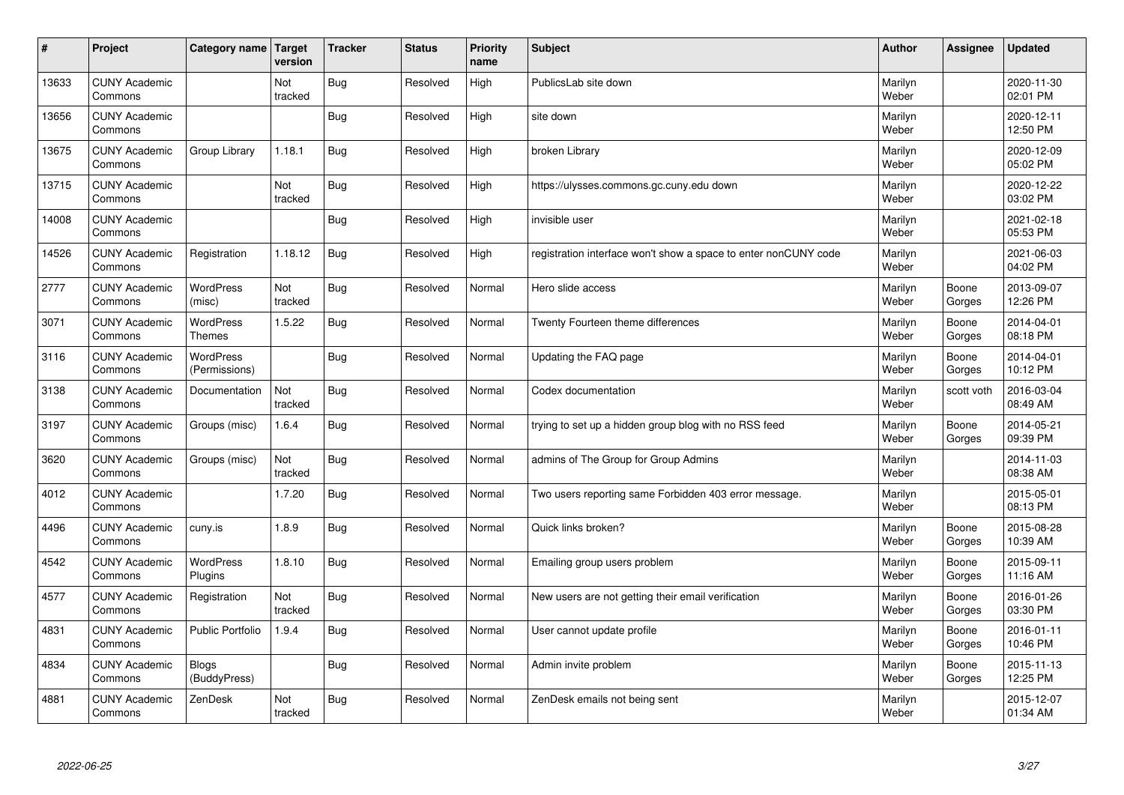| #     | Project                         | Category name                     | Target<br>version | <b>Tracker</b> | <b>Status</b> | <b>Priority</b><br>name | <b>Subject</b>                                                  | <b>Author</b>    | Assignee        | Updated                |
|-------|---------------------------------|-----------------------------------|-------------------|----------------|---------------|-------------------------|-----------------------------------------------------------------|------------------|-----------------|------------------------|
| 13633 | <b>CUNY Academic</b><br>Commons |                                   | Not<br>tracked    | Bug            | Resolved      | High                    | PublicsLab site down                                            | Marilyn<br>Weber |                 | 2020-11-30<br>02:01 PM |
| 13656 | <b>CUNY Academic</b><br>Commons |                                   |                   | Bug            | Resolved      | High                    | site down                                                       | Marilyn<br>Weber |                 | 2020-12-11<br>12:50 PM |
| 13675 | <b>CUNY Academic</b><br>Commons | Group Library                     | 1.18.1            | Bug            | Resolved      | High                    | broken Library                                                  | Marilyn<br>Weber |                 | 2020-12-09<br>05:02 PM |
| 13715 | <b>CUNY Academic</b><br>Commons |                                   | Not<br>tracked    | Bug            | Resolved      | High                    | https://ulysses.commons.gc.cuny.edu down                        | Marilyn<br>Weber |                 | 2020-12-22<br>03:02 PM |
| 14008 | <b>CUNY Academic</b><br>Commons |                                   |                   | Bug            | Resolved      | High                    | invisible user                                                  | Marilyn<br>Weber |                 | 2021-02-18<br>05:53 PM |
| 14526 | <b>CUNY Academic</b><br>Commons | Registration                      | 1.18.12           | Bug            | Resolved      | High                    | registration interface won't show a space to enter nonCUNY code | Marilyn<br>Weber |                 | 2021-06-03<br>04:02 PM |
| 2777  | <b>CUNY Academic</b><br>Commons | <b>WordPress</b><br>(misc)        | Not<br>tracked    | Bug            | Resolved      | Normal                  | Hero slide access                                               | Marilyn<br>Weber | Boone<br>Gorges | 2013-09-07<br>12:26 PM |
| 3071  | <b>CUNY Academic</b><br>Commons | <b>WordPress</b><br>Themes        | 1.5.22            | Bug            | Resolved      | Normal                  | Twenty Fourteen theme differences                               | Marilyn<br>Weber | Boone<br>Gorges | 2014-04-01<br>08:18 PM |
| 3116  | <b>CUNY Academic</b><br>Commons | <b>WordPress</b><br>(Permissions) |                   | Bug            | Resolved      | Normal                  | Updating the FAQ page                                           | Marilyn<br>Weber | Boone<br>Gorges | 2014-04-01<br>10:12 PM |
| 3138  | <b>CUNY Academic</b><br>Commons | Documentation                     | Not<br>tracked    | Bug            | Resolved      | Normal                  | Codex documentation                                             | Marilyn<br>Weber | scott voth      | 2016-03-04<br>08:49 AM |
| 3197  | <b>CUNY Academic</b><br>Commons | Groups (misc)                     | 1.6.4             | <b>Bug</b>     | Resolved      | Normal                  | trying to set up a hidden group blog with no RSS feed           | Marilyn<br>Weber | Boone<br>Gorges | 2014-05-21<br>09:39 PM |
| 3620  | <b>CUNY Academic</b><br>Commons | Groups (misc)                     | Not<br>tracked    | Bug            | Resolved      | Normal                  | admins of The Group for Group Admins                            | Marilyn<br>Weber |                 | 2014-11-03<br>08:38 AM |
| 4012  | <b>CUNY Academic</b><br>Commons |                                   | 1.7.20            | Bug            | Resolved      | Normal                  | Two users reporting same Forbidden 403 error message.           | Marilyn<br>Weber |                 | 2015-05-01<br>08:13 PM |
| 4496  | <b>CUNY Academic</b><br>Commons | cuny.is                           | 1.8.9             | <b>Bug</b>     | Resolved      | Normal                  | Quick links broken?                                             | Marilyn<br>Weber | Boone<br>Gorges | 2015-08-28<br>10:39 AM |
| 4542  | <b>CUNY Academic</b><br>Commons | <b>WordPress</b><br>Plugins       | 1.8.10            | Bug            | Resolved      | Normal                  | Emailing group users problem                                    | Marilyn<br>Weber | Boone<br>Gorges | 2015-09-11<br>11:16 AM |
| 4577  | <b>CUNY Academic</b><br>Commons | Registration                      | Not<br>tracked    | Bug            | Resolved      | Normal                  | New users are not getting their email verification              | Marilyn<br>Weber | Boone<br>Gorges | 2016-01-26<br>03:30 PM |
| 4831  | <b>CUNY Academic</b><br>Commons | <b>Public Portfolio</b>           | 1.9.4             | Bug            | Resolved      | Normal                  | User cannot update profile                                      | Marilyn<br>Weber | Boone<br>Gorges | 2016-01-11<br>10:46 PM |
| 4834  | <b>CUNY Academic</b><br>Commons | <b>Blogs</b><br>(BuddyPress)      |                   | Bug            | Resolved      | Normal                  | Admin invite problem                                            | Marilyn<br>Weber | Boone<br>Gorges | 2015-11-13<br>12:25 PM |
| 4881  | <b>CUNY Academic</b><br>Commons | ZenDesk                           | Not<br>tracked    | Bug            | Resolved      | Normal                  | ZenDesk emails not being sent                                   | Marilyn<br>Weber |                 | 2015-12-07<br>01:34 AM |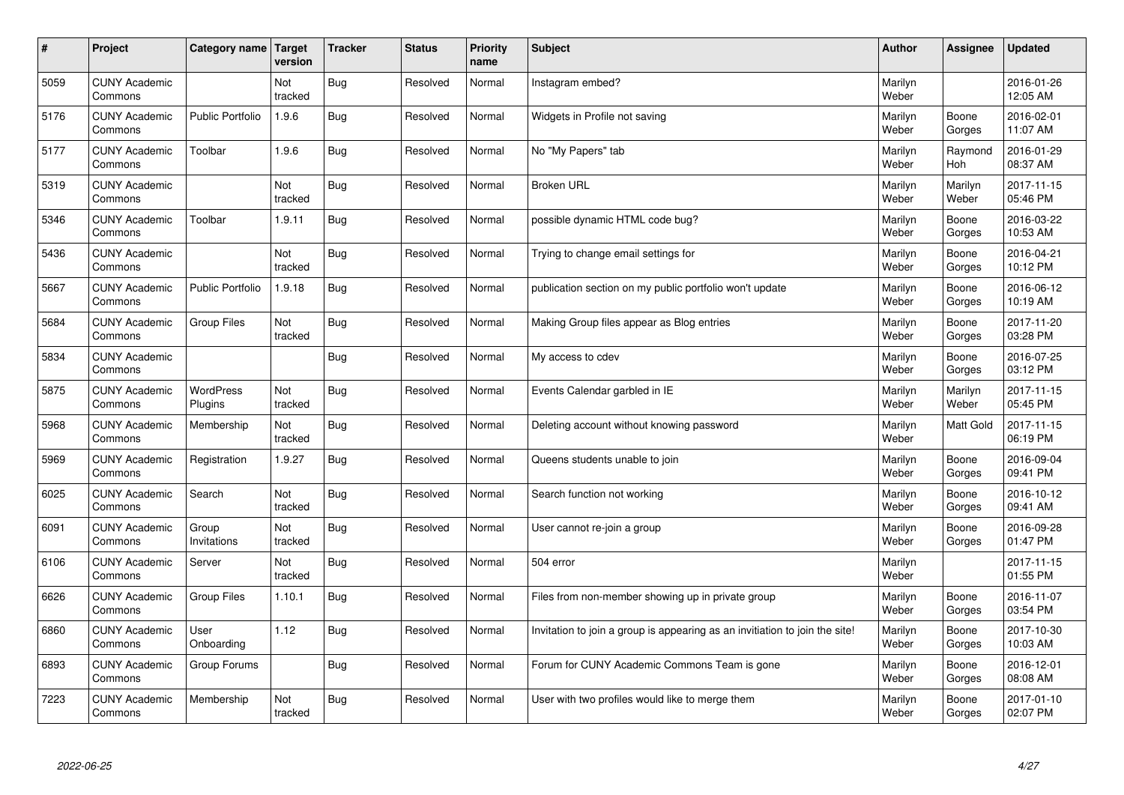| #    | Project                         | Category name   Target  | version        | <b>Tracker</b> | <b>Status</b> | <b>Priority</b><br>name | <b>Subject</b>                                                              | <b>Author</b>    | Assignee         | <b>Updated</b>         |
|------|---------------------------------|-------------------------|----------------|----------------|---------------|-------------------------|-----------------------------------------------------------------------------|------------------|------------------|------------------------|
| 5059 | <b>CUNY Academic</b><br>Commons |                         | Not<br>tracked | <b>Bug</b>     | Resolved      | Normal                  | Instagram embed?                                                            | Marilyn<br>Weber |                  | 2016-01-26<br>12:05 AM |
| 5176 | <b>CUNY Academic</b><br>Commons | <b>Public Portfolio</b> | 1.9.6          | Bug            | Resolved      | Normal                  | Widgets in Profile not saving                                               | Marilyn<br>Weber | Boone<br>Gorges  | 2016-02-01<br>11:07 AM |
| 5177 | <b>CUNY Academic</b><br>Commons | Toolbar                 | 1.9.6          | <b>Bug</b>     | Resolved      | Normal                  | No "My Papers" tab                                                          | Marilyn<br>Weber | Raymond<br>Hoh   | 2016-01-29<br>08:37 AM |
| 5319 | <b>CUNY Academic</b><br>Commons |                         | Not<br>tracked | <b>Bug</b>     | Resolved      | Normal                  | <b>Broken URL</b>                                                           | Marilyn<br>Weber | Marilyn<br>Weber | 2017-11-15<br>05:46 PM |
| 5346 | <b>CUNY Academic</b><br>Commons | Toolbar                 | 1.9.11         | Bug            | Resolved      | Normal                  | possible dynamic HTML code bug?                                             | Marilyn<br>Weber | Boone<br>Gorges  | 2016-03-22<br>10:53 AM |
| 5436 | <b>CUNY Academic</b><br>Commons |                         | Not<br>tracked | Bug            | Resolved      | Normal                  | Trying to change email settings for                                         | Marilyn<br>Weber | Boone<br>Gorges  | 2016-04-21<br>10:12 PM |
| 5667 | <b>CUNY Academic</b><br>Commons | <b>Public Portfolio</b> | 1.9.18         | Bug            | Resolved      | Normal                  | publication section on my public portfolio won't update                     | Marilyn<br>Weber | Boone<br>Gorges  | 2016-06-12<br>10:19 AM |
| 5684 | <b>CUNY Academic</b><br>Commons | <b>Group Files</b>      | Not<br>tracked | Bug            | Resolved      | Normal                  | Making Group files appear as Blog entries                                   | Marilyn<br>Weber | Boone<br>Gorges  | 2017-11-20<br>03:28 PM |
| 5834 | <b>CUNY Academic</b><br>Commons |                         |                | Bug            | Resolved      | Normal                  | My access to cdev                                                           | Marilyn<br>Weber | Boone<br>Gorges  | 2016-07-25<br>03:12 PM |
| 5875 | <b>CUNY Academic</b><br>Commons | WordPress<br>Plugins    | Not<br>tracked | Bug            | Resolved      | Normal                  | Events Calendar garbled in IE                                               | Marilyn<br>Weber | Marilyn<br>Weber | 2017-11-15<br>05:45 PM |
| 5968 | <b>CUNY Academic</b><br>Commons | Membership              | Not<br>tracked | Bug            | Resolved      | Normal                  | Deleting account without knowing password                                   | Marilyn<br>Weber | Matt Gold        | 2017-11-15<br>06:19 PM |
| 5969 | <b>CUNY Academic</b><br>Commons | Registration            | 1.9.27         | Bug            | Resolved      | Normal                  | Queens students unable to join                                              | Marilyn<br>Weber | Boone<br>Gorges  | 2016-09-04<br>09:41 PM |
| 6025 | <b>CUNY Academic</b><br>Commons | Search                  | Not<br>tracked | Bug            | Resolved      | Normal                  | Search function not working                                                 | Marilyn<br>Weber | Boone<br>Gorges  | 2016-10-12<br>09:41 AM |
| 6091 | <b>CUNY Academic</b><br>Commons | Group<br>Invitations    | Not<br>tracked | Bug            | Resolved      | Normal                  | User cannot re-join a group                                                 | Marilyn<br>Weber | Boone<br>Gorges  | 2016-09-28<br>01:47 PM |
| 6106 | <b>CUNY Academic</b><br>Commons | Server                  | Not<br>tracked | Bug            | Resolved      | Normal                  | 504 error                                                                   | Marilyn<br>Weber |                  | 2017-11-15<br>01:55 PM |
| 6626 | <b>CUNY Academic</b><br>Commons | <b>Group Files</b>      | 1.10.1         | Bug            | Resolved      | Normal                  | Files from non-member showing up in private group                           | Marilyn<br>Weber | Boone<br>Gorges  | 2016-11-07<br>03:54 PM |
| 6860 | <b>CUNY Academic</b><br>Commons | User<br>Onboarding      | 1.12           | Bug            | Resolved      | Normal                  | Invitation to join a group is appearing as an invitiation to join the site! | Marilyn<br>Weber | Boone<br>Gorges  | 2017-10-30<br>10:03 AM |
| 6893 | <b>CUNY Academic</b><br>Commons | Group Forums            |                | Bug            | Resolved      | Normal                  | Forum for CUNY Academic Commons Team is gone                                | Marilyn<br>Weber | Boone<br>Gorges  | 2016-12-01<br>08:08 AM |
| 7223 | <b>CUNY Academic</b><br>Commons | Membership              | Not<br>tracked | Bug            | Resolved      | Normal                  | User with two profiles would like to merge them                             | Marilyn<br>Weber | Boone<br>Gorges  | 2017-01-10<br>02:07 PM |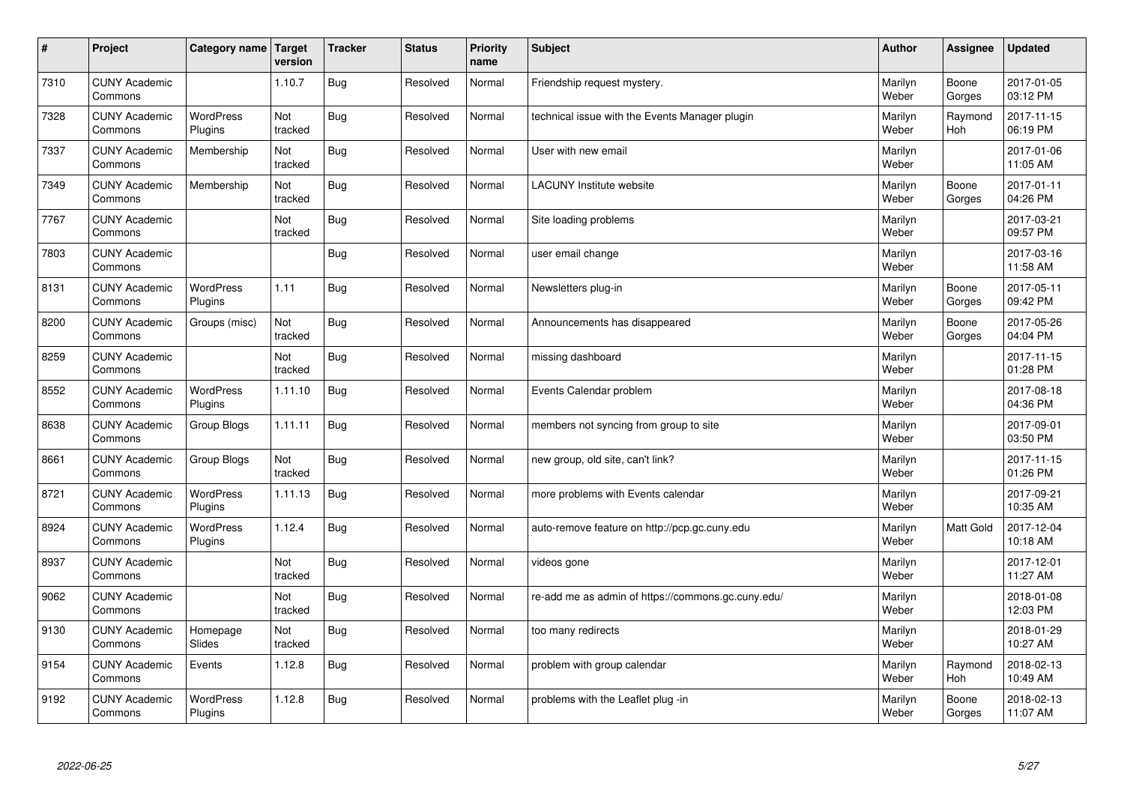| $\vert$ # | Project                         | Category name               | <b>Target</b><br>version | <b>Tracker</b> | <b>Status</b> | <b>Priority</b><br>name | <b>Subject</b>                                     | <b>Author</b>    | <b>Assignee</b>       | <b>Updated</b>         |
|-----------|---------------------------------|-----------------------------|--------------------------|----------------|---------------|-------------------------|----------------------------------------------------|------------------|-----------------------|------------------------|
| 7310      | <b>CUNY Academic</b><br>Commons |                             | 1.10.7                   | Bug            | Resolved      | Normal                  | Friendship request mystery.                        | Marilyn<br>Weber | Boone<br>Gorges       | 2017-01-05<br>03:12 PM |
| 7328      | <b>CUNY Academic</b><br>Commons | <b>WordPress</b><br>Plugins | Not<br>tracked           | <b>Bug</b>     | Resolved      | Normal                  | technical issue with the Events Manager plugin     | Marilyn<br>Weber | Raymond<br><b>Hoh</b> | 2017-11-15<br>06:19 PM |
| 7337      | <b>CUNY Academic</b><br>Commons | Membership                  | Not<br>tracked           | <b>Bug</b>     | Resolved      | Normal                  | User with new email                                | Marilyn<br>Weber |                       | 2017-01-06<br>11:05 AM |
| 7349      | <b>CUNY Academic</b><br>Commons | Membership                  | Not<br>tracked           | <b>Bug</b>     | Resolved      | Normal                  | <b>LACUNY Institute website</b>                    | Marilyn<br>Weber | Boone<br>Gorges       | 2017-01-11<br>04:26 PM |
| 7767      | <b>CUNY Academic</b><br>Commons |                             | Not<br>tracked           | <b>Bug</b>     | Resolved      | Normal                  | Site loading problems                              | Marilyn<br>Weber |                       | 2017-03-21<br>09:57 PM |
| 7803      | <b>CUNY Academic</b><br>Commons |                             |                          | Bug            | Resolved      | Normal                  | user email change                                  | Marilyn<br>Weber |                       | 2017-03-16<br>11:58 AM |
| 8131      | <b>CUNY Academic</b><br>Commons | WordPress<br>Plugins        | 1.11                     | Bug            | Resolved      | Normal                  | Newsletters plug-in                                | Marilyn<br>Weber | Boone<br>Gorges       | 2017-05-11<br>09:42 PM |
| 8200      | <b>CUNY Academic</b><br>Commons | Groups (misc)               | Not<br>tracked           | Bug            | Resolved      | Normal                  | Announcements has disappeared                      | Marilyn<br>Weber | Boone<br>Gorges       | 2017-05-26<br>04:04 PM |
| 8259      | <b>CUNY Academic</b><br>Commons |                             | Not<br>tracked           | Bug            | Resolved      | Normal                  | missing dashboard                                  | Marilyn<br>Weber |                       | 2017-11-15<br>01:28 PM |
| 8552      | <b>CUNY Academic</b><br>Commons | WordPress<br>Plugins        | 1.11.10                  | Bug            | Resolved      | Normal                  | Events Calendar problem                            | Marilyn<br>Weber |                       | 2017-08-18<br>04:36 PM |
| 8638      | <b>CUNY Academic</b><br>Commons | Group Blogs                 | 1.11.11                  | <b>Bug</b>     | Resolved      | Normal                  | members not syncing from group to site             | Marilyn<br>Weber |                       | 2017-09-01<br>03:50 PM |
| 8661      | <b>CUNY Academic</b><br>Commons | Group Blogs                 | Not<br>tracked           | <b>Bug</b>     | Resolved      | Normal                  | new group, old site, can't link?                   | Marilyn<br>Weber |                       | 2017-11-15<br>01:26 PM |
| 8721      | <b>CUNY Academic</b><br>Commons | WordPress<br>Plugins        | 1.11.13                  | Bug            | Resolved      | Normal                  | more problems with Events calendar                 | Marilyn<br>Weber |                       | 2017-09-21<br>10:35 AM |
| 8924      | <b>CUNY Academic</b><br>Commons | WordPress<br>Plugins        | 1.12.4                   | <b>Bug</b>     | Resolved      | Normal                  | auto-remove feature on http://pcp.gc.cuny.edu      | Marilyn<br>Weber | Matt Gold             | 2017-12-04<br>10:18 AM |
| 8937      | <b>CUNY Academic</b><br>Commons |                             | Not<br>tracked           | Bug            | Resolved      | Normal                  | videos gone                                        | Marilyn<br>Weber |                       | 2017-12-01<br>11:27 AM |
| 9062      | <b>CUNY Academic</b><br>Commons |                             | Not<br>tracked           | <b>Bug</b>     | Resolved      | Normal                  | re-add me as admin of https://commons.gc.cuny.edu/ | Marilyn<br>Weber |                       | 2018-01-08<br>12:03 PM |
| 9130      | <b>CUNY Academic</b><br>Commons | Homepage<br>Slides          | Not<br>tracked           | <b>Bug</b>     | Resolved      | Normal                  | too many redirects                                 | Marilyn<br>Weber |                       | 2018-01-29<br>10:27 AM |
| 9154      | <b>CUNY Academic</b><br>Commons | Events                      | 1.12.8                   | Bug            | Resolved      | Normal                  | problem with group calendar                        | Marilyn<br>Weber | Raymond<br>Hoh        | 2018-02-13<br>10:49 AM |
| 9192      | <b>CUNY Academic</b><br>Commons | <b>WordPress</b><br>Plugins | 1.12.8                   | Bug            | Resolved      | Normal                  | problems with the Leaflet plug -in                 | Marilyn<br>Weber | Boone<br>Gorges       | 2018-02-13<br>11:07 AM |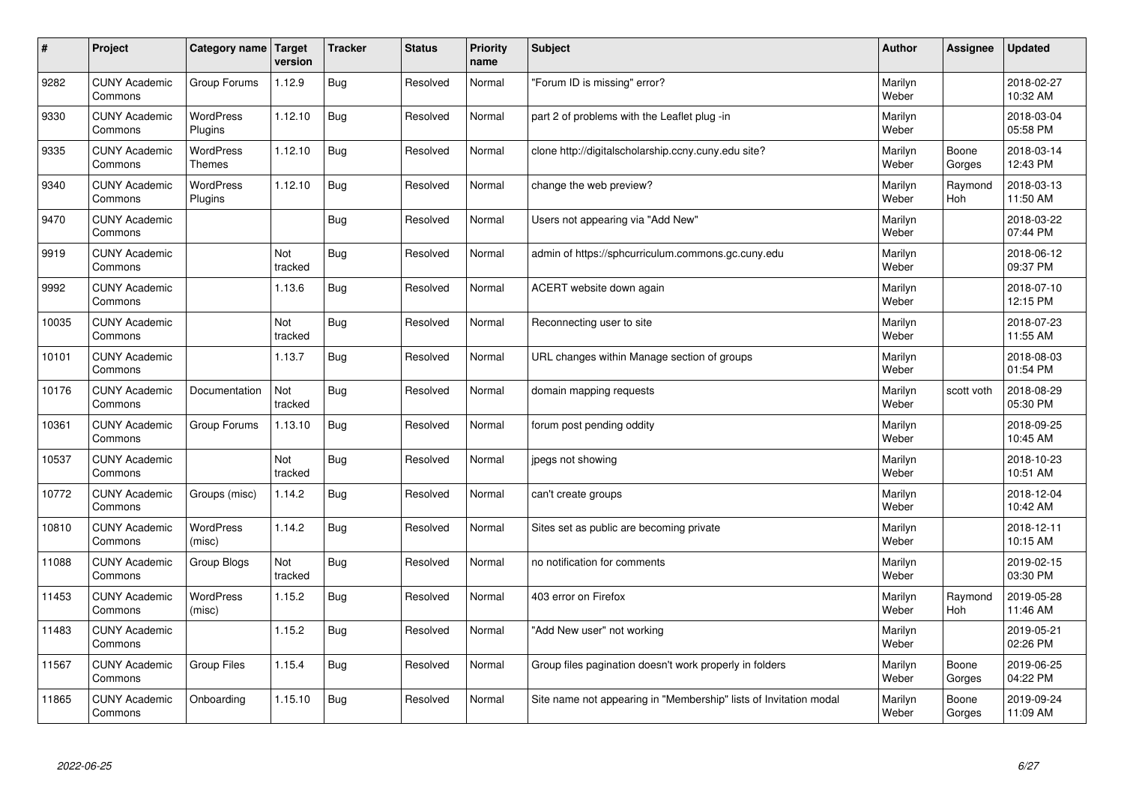| $\vert$ # | Project                         | Category name   Target            | version        | <b>Tracker</b> | <b>Status</b> | <b>Priority</b><br>name | <b>Subject</b>                                                    | <b>Author</b>    | Assignee              | <b>Updated</b>         |
|-----------|---------------------------------|-----------------------------------|----------------|----------------|---------------|-------------------------|-------------------------------------------------------------------|------------------|-----------------------|------------------------|
| 9282      | <b>CUNY Academic</b><br>Commons | Group Forums                      | 1.12.9         | Bug            | Resolved      | Normal                  | 'Forum ID is missing" error?                                      | Marilyn<br>Weber |                       | 2018-02-27<br>10:32 AM |
| 9330      | <b>CUNY Academic</b><br>Commons | <b>WordPress</b><br>Plugins       | 1.12.10        | Bug            | Resolved      | Normal                  | part 2 of problems with the Leaflet plug -in                      | Marilyn<br>Weber |                       | 2018-03-04<br>05:58 PM |
| 9335      | <b>CUNY Academic</b><br>Commons | <b>WordPress</b><br><b>Themes</b> | 1.12.10        | <b>Bug</b>     | Resolved      | Normal                  | clone http://digitalscholarship.ccny.cuny.edu site?               | Marilyn<br>Weber | Boone<br>Gorges       | 2018-03-14<br>12:43 PM |
| 9340      | <b>CUNY Academic</b><br>Commons | <b>WordPress</b><br>Plugins       | 1.12.10        | <b>Bug</b>     | Resolved      | Normal                  | change the web preview?                                           | Marilyn<br>Weber | Raymond<br><b>Hoh</b> | 2018-03-13<br>11:50 AM |
| 9470      | <b>CUNY Academic</b><br>Commons |                                   |                | Bug            | Resolved      | Normal                  | Users not appearing via "Add New"                                 | Marilyn<br>Weber |                       | 2018-03-22<br>07:44 PM |
| 9919      | <b>CUNY Academic</b><br>Commons |                                   | Not<br>tracked | <b>Bug</b>     | Resolved      | Normal                  | admin of https://sphcurriculum.commons.gc.cuny.edu                | Marilyn<br>Weber |                       | 2018-06-12<br>09:37 PM |
| 9992      | <b>CUNY Academic</b><br>Commons |                                   | 1.13.6         | <b>Bug</b>     | Resolved      | Normal                  | ACERT website down again                                          | Marilyn<br>Weber |                       | 2018-07-10<br>12:15 PM |
| 10035     | <b>CUNY Academic</b><br>Commons |                                   | Not<br>tracked | Bug            | Resolved      | Normal                  | Reconnecting user to site                                         | Marilyn<br>Weber |                       | 2018-07-23<br>11:55 AM |
| 10101     | <b>CUNY Academic</b><br>Commons |                                   | 1.13.7         | Bug            | Resolved      | Normal                  | URL changes within Manage section of groups                       | Marilyn<br>Weber |                       | 2018-08-03<br>01:54 PM |
| 10176     | <b>CUNY Academic</b><br>Commons | Documentation                     | Not<br>tracked | <b>Bug</b>     | Resolved      | Normal                  | domain mapping requests                                           | Marilyn<br>Weber | scott voth            | 2018-08-29<br>05:30 PM |
| 10361     | <b>CUNY Academic</b><br>Commons | Group Forums                      | 1.13.10        | <b>Bug</b>     | Resolved      | Normal                  | forum post pending oddity                                         | Marilyn<br>Weber |                       | 2018-09-25<br>10:45 AM |
| 10537     | <b>CUNY Academic</b><br>Commons |                                   | Not<br>tracked | Bug            | Resolved      | Normal                  | jpegs not showing                                                 | Marilyn<br>Weber |                       | 2018-10-23<br>10:51 AM |
| 10772     | <b>CUNY Academic</b><br>Commons | Groups (misc)                     | 1.14.2         | <b>Bug</b>     | Resolved      | Normal                  | can't create groups                                               | Marilyn<br>Weber |                       | 2018-12-04<br>10:42 AM |
| 10810     | <b>CUNY Academic</b><br>Commons | WordPress<br>(misc)               | 1.14.2         | <b>Bug</b>     | Resolved      | Normal                  | Sites set as public are becoming private                          | Marilyn<br>Weber |                       | 2018-12-11<br>10:15 AM |
| 11088     | <b>CUNY Academic</b><br>Commons | Group Blogs                       | Not<br>tracked | <b>Bug</b>     | Resolved      | Normal                  | no notification for comments                                      | Marilyn<br>Weber |                       | 2019-02-15<br>03:30 PM |
| 11453     | <b>CUNY Academic</b><br>Commons | WordPress<br>(misc)               | 1.15.2         | <b>Bug</b>     | Resolved      | Normal                  | 403 error on Firefox                                              | Marilyn<br>Weber | Raymond<br>Hoh        | 2019-05-28<br>11:46 AM |
| 11483     | <b>CUNY Academic</b><br>Commons |                                   | 1.15.2         | <b>Bug</b>     | Resolved      | Normal                  | 'Add New user" not working                                        | Marilyn<br>Weber |                       | 2019-05-21<br>02:26 PM |
| 11567     | <b>CUNY Academic</b><br>Commons | <b>Group Files</b>                | 1.15.4         | <b>Bug</b>     | Resolved      | Normal                  | Group files pagination doesn't work properly in folders           | Marilyn<br>Weber | Boone<br>Gorges       | 2019-06-25<br>04:22 PM |
| 11865     | <b>CUNY Academic</b><br>Commons | Onboarding                        | 1.15.10        | Bug            | Resolved      | Normal                  | Site name not appearing in "Membership" lists of Invitation modal | Marilyn<br>Weber | Boone<br>Gorges       | 2019-09-24<br>11:09 AM |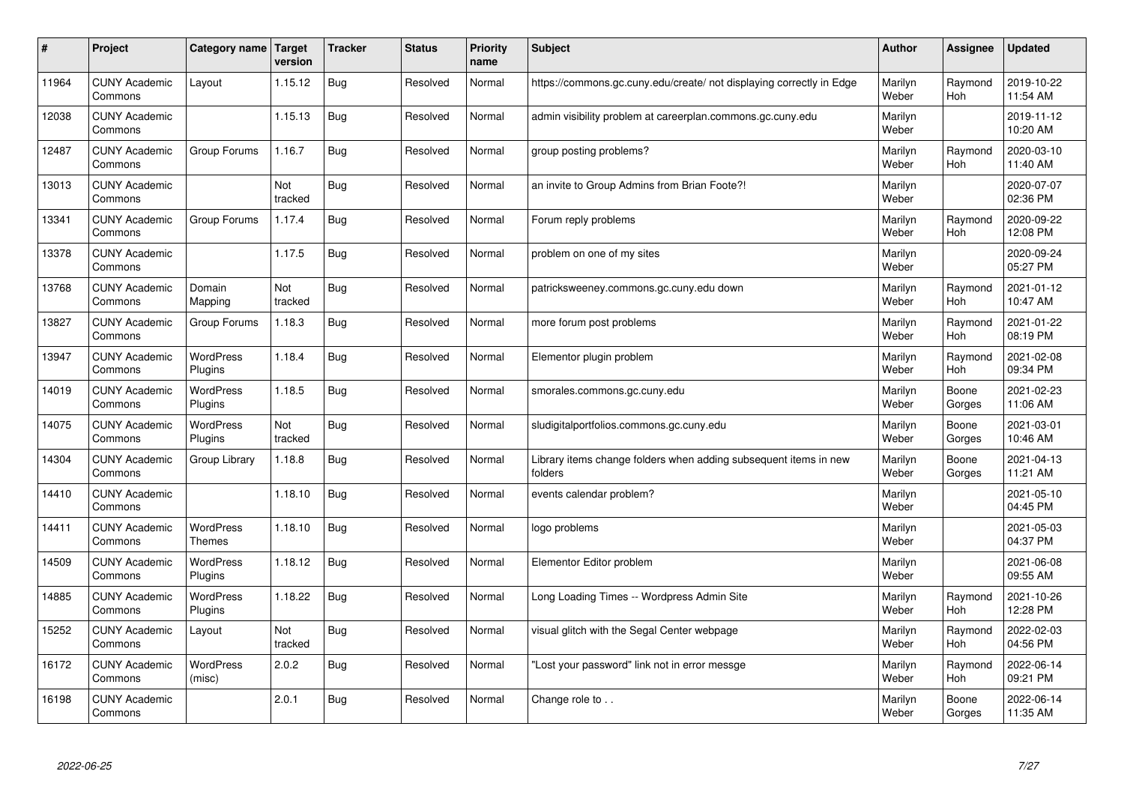| #     | Project                         | Category name                     | Target<br>version | <b>Tracker</b> | <b>Status</b> | <b>Priority</b><br>name | <b>Subject</b>                                                              | <b>Author</b>    | Assignee              | <b>Updated</b>         |
|-------|---------------------------------|-----------------------------------|-------------------|----------------|---------------|-------------------------|-----------------------------------------------------------------------------|------------------|-----------------------|------------------------|
| 11964 | <b>CUNY Academic</b><br>Commons | Layout                            | 1.15.12           | Bug            | Resolved      | Normal                  | https://commons.gc.cuny.edu/create/ not displaying correctly in Edge        | Marilyn<br>Weber | Raymond<br><b>Hoh</b> | 2019-10-22<br>11:54 AM |
| 12038 | <b>CUNY Academic</b><br>Commons |                                   | 1.15.13           | Bug            | Resolved      | Normal                  | admin visibility problem at careerplan.commons.gc.cuny.edu                  | Marilyn<br>Weber |                       | 2019-11-12<br>10:20 AM |
| 12487 | <b>CUNY Academic</b><br>Commons | Group Forums                      | 1.16.7            | <b>Bug</b>     | Resolved      | Normal                  | group posting problems?                                                     | Marilyn<br>Weber | Raymond<br><b>Hoh</b> | 2020-03-10<br>11:40 AM |
| 13013 | <b>CUNY Academic</b><br>Commons |                                   | Not<br>tracked    | Bug            | Resolved      | Normal                  | an invite to Group Admins from Brian Foote?!                                | Marilyn<br>Weber |                       | 2020-07-07<br>02:36 PM |
| 13341 | <b>CUNY Academic</b><br>Commons | Group Forums                      | 1.17.4            | Bug            | Resolved      | Normal                  | Forum reply problems                                                        | Marilyn<br>Weber | Raymond<br>Hoh        | 2020-09-22<br>12:08 PM |
| 13378 | <b>CUNY Academic</b><br>Commons |                                   | 1.17.5            | Bug            | Resolved      | Normal                  | problem on one of my sites                                                  | Marilyn<br>Weber |                       | 2020-09-24<br>05:27 PM |
| 13768 | <b>CUNY Academic</b><br>Commons | Domain<br>Mapping                 | Not<br>tracked    | Bug            | Resolved      | Normal                  | patricksweeney.commons.gc.cuny.edu down                                     | Marilyn<br>Weber | Raymond<br>Hoh        | 2021-01-12<br>10:47 AM |
| 13827 | <b>CUNY Academic</b><br>Commons | Group Forums                      | 1.18.3            | Bug            | Resolved      | Normal                  | more forum post problems                                                    | Marilyn<br>Weber | Raymond<br>Hoh        | 2021-01-22<br>08:19 PM |
| 13947 | <b>CUNY Academic</b><br>Commons | <b>WordPress</b><br>Plugins       | 1.18.4            | Bug            | Resolved      | Normal                  | Elementor plugin problem                                                    | Marilyn<br>Weber | Raymond<br><b>Hoh</b> | 2021-02-08<br>09:34 PM |
| 14019 | <b>CUNY Academic</b><br>Commons | WordPress<br>Plugins              | 1.18.5            | Bug            | Resolved      | Normal                  | smorales.commons.gc.cuny.edu                                                | Marilyn<br>Weber | Boone<br>Gorges       | 2021-02-23<br>11:06 AM |
| 14075 | <b>CUNY Academic</b><br>Commons | WordPress<br>Plugins              | Not<br>tracked    | Bug            | Resolved      | Normal                  | sludigitalportfolios.commons.gc.cuny.edu                                    | Marilyn<br>Weber | Boone<br>Gorges       | 2021-03-01<br>10:46 AM |
| 14304 | <b>CUNY Academic</b><br>Commons | Group Library                     | 1.18.8            | Bug            | Resolved      | Normal                  | Library items change folders when adding subsequent items in new<br>folders | Marilyn<br>Weber | Boone<br>Gorges       | 2021-04-13<br>11:21 AM |
| 14410 | <b>CUNY Academic</b><br>Commons |                                   | 1.18.10           | Bug            | Resolved      | Normal                  | events calendar problem?                                                    | Marilyn<br>Weber |                       | 2021-05-10<br>04:45 PM |
| 14411 | <b>CUNY Academic</b><br>Commons | <b>WordPress</b><br><b>Themes</b> | 1.18.10           | Bug            | Resolved      | Normal                  | logo problems                                                               | Marilyn<br>Weber |                       | 2021-05-03<br>04:37 PM |
| 14509 | <b>CUNY Academic</b><br>Commons | <b>WordPress</b><br>Plugins       | 1.18.12           | Bug            | Resolved      | Normal                  | Elementor Editor problem                                                    | Marilyn<br>Weber |                       | 2021-06-08<br>09:55 AM |
| 14885 | <b>CUNY Academic</b><br>Commons | <b>WordPress</b><br>Plugins       | 1.18.22           | Bug            | Resolved      | Normal                  | Long Loading Times -- Wordpress Admin Site                                  | Marilyn<br>Weber | Raymond<br>Hoh        | 2021-10-26<br>12:28 PM |
| 15252 | <b>CUNY Academic</b><br>Commons | Layout                            | Not<br>tracked    | Bug            | Resolved      | Normal                  | visual glitch with the Segal Center webpage                                 | Marilyn<br>Weber | Raymond<br>Hoh        | 2022-02-03<br>04:56 PM |
| 16172 | <b>CUNY Academic</b><br>Commons | <b>WordPress</b><br>(misc)        | 2.0.2             | <b>Bug</b>     | Resolved      | Normal                  | 'Lost your password" link not in error messge                               | Marilyn<br>Weber | Raymond<br>Hoh        | 2022-06-14<br>09:21 PM |
| 16198 | <b>CUNY Academic</b><br>Commons |                                   | 2.0.1             | Bug            | Resolved      | Normal                  | Change role to                                                              | Marilyn<br>Weber | Boone<br>Gorges       | 2022-06-14<br>11:35 AM |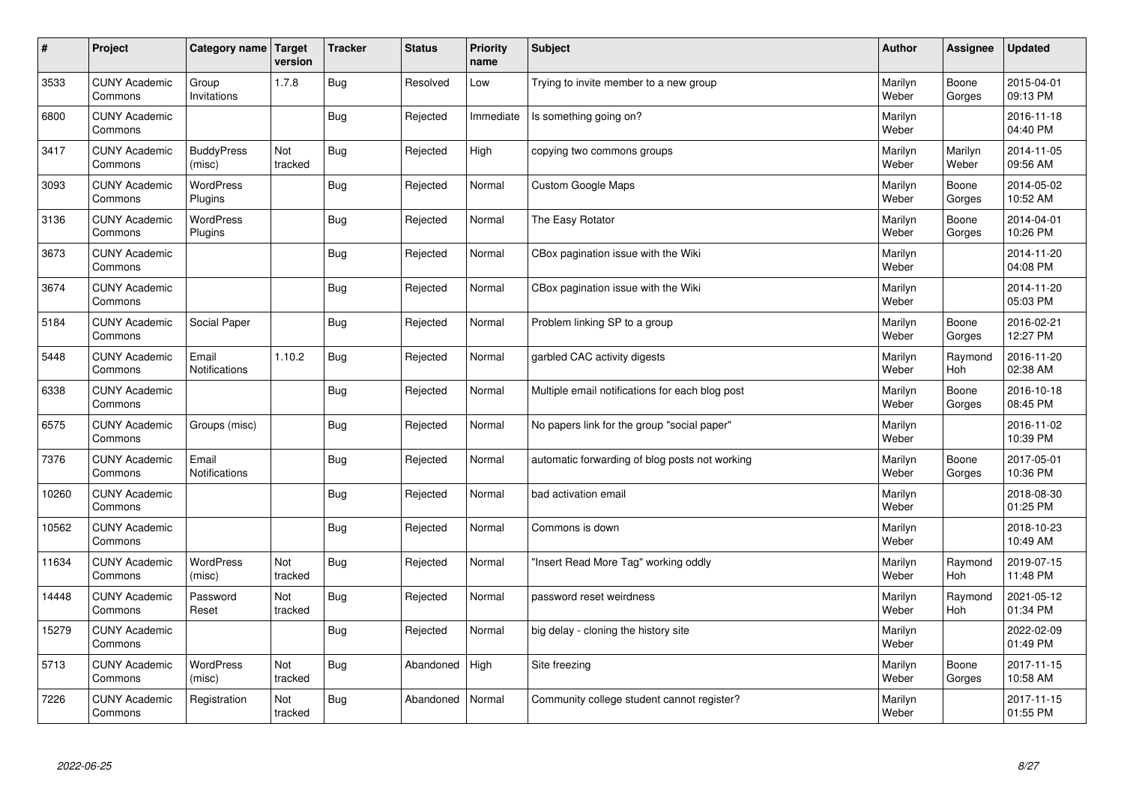| $\sharp$ | Project                         | Category name   Target      | version        | <b>Tracker</b> | <b>Status</b> | <b>Priority</b><br>name | <b>Subject</b>                                  | <b>Author</b>    | Assignee              | Updated                |
|----------|---------------------------------|-----------------------------|----------------|----------------|---------------|-------------------------|-------------------------------------------------|------------------|-----------------------|------------------------|
| 3533     | <b>CUNY Academic</b><br>Commons | Group<br>Invitations        | 1.7.8          | Bug            | Resolved      | Low                     | Trying to invite member to a new group          | Marilyn<br>Weber | Boone<br>Gorges       | 2015-04-01<br>09:13 PM |
| 6800     | <b>CUNY Academic</b><br>Commons |                             |                | Bug            | Rejected      | Immediate               | Is something going on?                          | Marilyn<br>Weber |                       | 2016-11-18<br>04:40 PM |
| 3417     | <b>CUNY Academic</b><br>Commons | <b>BuddyPress</b><br>(misc) | Not<br>tracked | Bug            | Rejected      | High                    | copying two commons groups                      | Marilyn<br>Weber | Marilyn<br>Weber      | 2014-11-05<br>09:56 AM |
| 3093     | <b>CUNY Academic</b><br>Commons | <b>WordPress</b><br>Plugins |                | Bug            | Rejected      | Normal                  | Custom Google Maps                              | Marilyn<br>Weber | Boone<br>Gorges       | 2014-05-02<br>10:52 AM |
| 3136     | <b>CUNY Academic</b><br>Commons | <b>WordPress</b><br>Plugins |                | Bug            | Rejected      | Normal                  | The Easy Rotator                                | Marilyn<br>Weber | Boone<br>Gorges       | 2014-04-01<br>10:26 PM |
| 3673     | <b>CUNY Academic</b><br>Commons |                             |                | Bug            | Rejected      | Normal                  | CBox pagination issue with the Wiki             | Marilyn<br>Weber |                       | 2014-11-20<br>04:08 PM |
| 3674     | <b>CUNY Academic</b><br>Commons |                             |                | Bug            | Rejected      | Normal                  | CBox pagination issue with the Wiki             | Marilyn<br>Weber |                       | 2014-11-20<br>05:03 PM |
| 5184     | <b>CUNY Academic</b><br>Commons | Social Paper                |                | Bug            | Rejected      | Normal                  | Problem linking SP to a group                   | Marilyn<br>Weber | Boone<br>Gorges       | 2016-02-21<br>12:27 PM |
| 5448     | <b>CUNY Academic</b><br>Commons | Email<br>Notifications      | 1.10.2         | Bug            | Rejected      | Normal                  | garbled CAC activity digests                    | Marilyn<br>Weber | Raymond<br><b>Hoh</b> | 2016-11-20<br>02:38 AM |
| 6338     | <b>CUNY Academic</b><br>Commons |                             |                | Bug            | Rejected      | Normal                  | Multiple email notifications for each blog post | Marilyn<br>Weber | Boone<br>Gorges       | 2016-10-18<br>08:45 PM |
| 6575     | <b>CUNY Academic</b><br>Commons | Groups (misc)               |                | <b>Bug</b>     | Rejected      | Normal                  | No papers link for the group "social paper"     | Marilyn<br>Weber |                       | 2016-11-02<br>10:39 PM |
| 7376     | <b>CUNY Academic</b><br>Commons | Email<br>Notifications      |                | <b>Bug</b>     | Rejected      | Normal                  | automatic forwarding of blog posts not working  | Marilyn<br>Weber | Boone<br>Gorges       | 2017-05-01<br>10:36 PM |
| 10260    | <b>CUNY Academic</b><br>Commons |                             |                | Bug            | Rejected      | Normal                  | bad activation email                            | Marilyn<br>Weber |                       | 2018-08-30<br>01:25 PM |
| 10562    | <b>CUNY Academic</b><br>Commons |                             |                | Bug            | Rejected      | Normal                  | Commons is down                                 | Marilyn<br>Weber |                       | 2018-10-23<br>10:49 AM |
| 11634    | <b>CUNY Academic</b><br>Commons | <b>WordPress</b><br>(misc)  | Not<br>tracked | Bug            | Rejected      | Normal                  | 'Insert Read More Tag" working oddly            | Marilyn<br>Weber | Raymond<br>Hoh        | 2019-07-15<br>11:48 PM |
| 14448    | <b>CUNY Academic</b><br>Commons | Password<br>Reset           | Not<br>tracked | Bug            | Rejected      | Normal                  | password reset weirdness                        | Marilyn<br>Weber | Raymond<br><b>Hoh</b> | 2021-05-12<br>01:34 PM |
| 15279    | <b>CUNY Academic</b><br>Commons |                             |                | Bug            | Rejected      | Normal                  | big delay - cloning the history site            | Marilyn<br>Weber |                       | 2022-02-09<br>01:49 PM |
| 5713     | <b>CUNY Academic</b><br>Commons | <b>WordPress</b><br>(misc)  | Not<br>tracked | Bug            | Abandoned     | High                    | Site freezing                                   | Marilyn<br>Weber | Boone<br>Gorges       | 2017-11-15<br>10:58 AM |
| 7226     | <b>CUNY Academic</b><br>Commons | Registration                | Not<br>tracked | Bug            | Abandoned     | Normal                  | Community college student cannot register?      | Marilyn<br>Weber |                       | 2017-11-15<br>01:55 PM |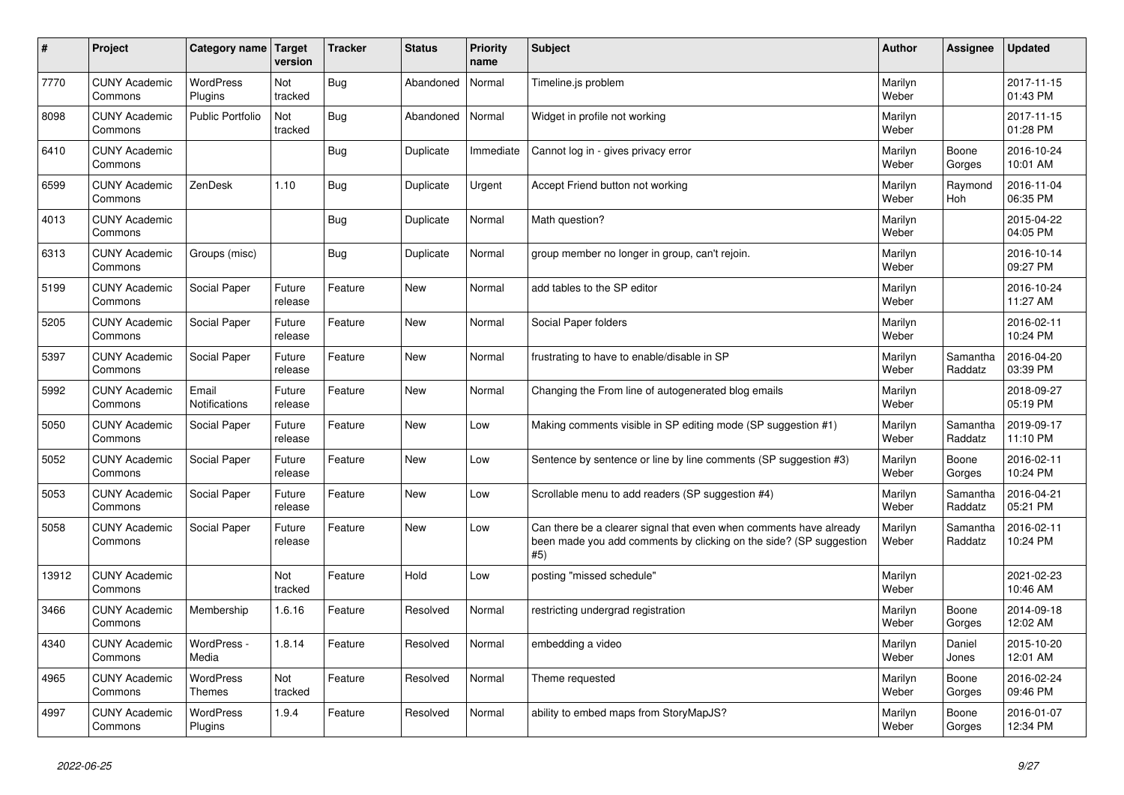| $\vert$ # | Project                         | Category name                 | Target<br>version | <b>Tracker</b> | <b>Status</b> | <b>Priority</b><br>name | <b>Subject</b>                                                                                                                                  | <b>Author</b>    | Assignee            | <b>Updated</b>         |
|-----------|---------------------------------|-------------------------------|-------------------|----------------|---------------|-------------------------|-------------------------------------------------------------------------------------------------------------------------------------------------|------------------|---------------------|------------------------|
| 7770      | <b>CUNY Academic</b><br>Commons | <b>WordPress</b><br>Plugins   | Not<br>tracked    | Bug            | Abandoned     | Normal                  | Timeline.js problem                                                                                                                             | Marilyn<br>Weber |                     | 2017-11-15<br>01:43 PM |
| 8098      | <b>CUNY Academic</b><br>Commons | <b>Public Portfolio</b>       | Not<br>tracked    | Bug            | Abandoned     | Normal                  | Widget in profile not working                                                                                                                   | Marilyn<br>Weber |                     | 2017-11-15<br>01:28 PM |
| 6410      | <b>CUNY Academic</b><br>Commons |                               |                   | Bug            | Duplicate     | Immediate               | Cannot log in - gives privacy error                                                                                                             | Marilyn<br>Weber | Boone<br>Gorges     | 2016-10-24<br>10:01 AM |
| 6599      | <b>CUNY Academic</b><br>Commons | ZenDesk                       | 1.10              | Bug            | Duplicate     | Urgent                  | Accept Friend button not working                                                                                                                | Marilyn<br>Weber | Raymond<br>Hoh      | 2016-11-04<br>06:35 PM |
| 4013      | <b>CUNY Academic</b><br>Commons |                               |                   | <b>Bug</b>     | Duplicate     | Normal                  | Math question?                                                                                                                                  | Marilyn<br>Weber |                     | 2015-04-22<br>04:05 PM |
| 6313      | <b>CUNY Academic</b><br>Commons | Groups (misc)                 |                   | <b>Bug</b>     | Duplicate     | Normal                  | group member no longer in group, can't rejoin.                                                                                                  | Marilyn<br>Weber |                     | 2016-10-14<br>09:27 PM |
| 5199      | <b>CUNY Academic</b><br>Commons | Social Paper                  | Future<br>release | Feature        | <b>New</b>    | Normal                  | add tables to the SP editor                                                                                                                     | Marilyn<br>Weber |                     | 2016-10-24<br>11:27 AM |
| 5205      | <b>CUNY Academic</b><br>Commons | Social Paper                  | Future<br>release | Feature        | <b>New</b>    | Normal                  | Social Paper folders                                                                                                                            | Marilyn<br>Weber |                     | 2016-02-11<br>10:24 PM |
| 5397      | <b>CUNY Academic</b><br>Commons | Social Paper                  | Future<br>release | Feature        | <b>New</b>    | Normal                  | frustrating to have to enable/disable in SP                                                                                                     | Marilyn<br>Weber | Samantha<br>Raddatz | 2016-04-20<br>03:39 PM |
| 5992      | <b>CUNY Academic</b><br>Commons | Email<br><b>Notifications</b> | Future<br>release | Feature        | <b>New</b>    | Normal                  | Changing the From line of autogenerated blog emails                                                                                             | Marilyn<br>Weber |                     | 2018-09-27<br>05:19 PM |
| 5050      | <b>CUNY Academic</b><br>Commons | Social Paper                  | Future<br>release | Feature        | <b>New</b>    | Low                     | Making comments visible in SP editing mode (SP suggestion #1)                                                                                   | Marilyn<br>Weber | Samantha<br>Raddatz | 2019-09-17<br>11:10 PM |
| 5052      | <b>CUNY Academic</b><br>Commons | Social Paper                  | Future<br>release | Feature        | <b>New</b>    | Low                     | Sentence by sentence or line by line comments (SP suggestion #3)                                                                                | Marilyn<br>Weber | Boone<br>Gorges     | 2016-02-11<br>10:24 PM |
| 5053      | <b>CUNY Academic</b><br>Commons | Social Paper                  | Future<br>release | Feature        | <b>New</b>    | Low                     | Scrollable menu to add readers (SP suggestion #4)                                                                                               | Marilyn<br>Weber | Samantha<br>Raddatz | 2016-04-21<br>05:21 PM |
| 5058      | <b>CUNY Academic</b><br>Commons | Social Paper                  | Future<br>release | Feature        | <b>New</b>    | Low                     | Can there be a clearer signal that even when comments have already<br>been made you add comments by clicking on the side? (SP suggestion<br>#5) | Marilyn<br>Weber | Samantha<br>Raddatz | 2016-02-11<br>10:24 PM |
| 13912     | <b>CUNY Academic</b><br>Commons |                               | Not<br>tracked    | Feature        | Hold          | Low                     | posting "missed schedule"                                                                                                                       | Marilyn<br>Weber |                     | 2021-02-23<br>10:46 AM |
| 3466      | <b>CUNY Academic</b><br>Commons | Membership                    | 1.6.16            | Feature        | Resolved      | Normal                  | restricting undergrad registration                                                                                                              | Marilyn<br>Weber | Boone<br>Gorges     | 2014-09-18<br>12:02 AM |
| 4340      | <b>CUNY Academic</b><br>Commons | WordPress -<br>Media          | 1.8.14            | Feature        | Resolved      | Normal                  | embedding a video                                                                                                                               | Marilyn<br>Weber | Daniel<br>Jones     | 2015-10-20<br>12:01 AM |
| 4965      | <b>CUNY Academic</b><br>Commons | <b>WordPress</b><br>Themes    | Not<br>tracked    | Feature        | Resolved      | Normal                  | Theme requested                                                                                                                                 | Marilyn<br>Weber | Boone<br>Gorges     | 2016-02-24<br>09:46 PM |
| 4997      | <b>CUNY Academic</b><br>Commons | <b>WordPress</b><br>Plugins   | 1.9.4             | Feature        | Resolved      | Normal                  | ability to embed maps from StoryMapJS?                                                                                                          | Marilyn<br>Weber | Boone<br>Gorges     | 2016-01-07<br>12:34 PM |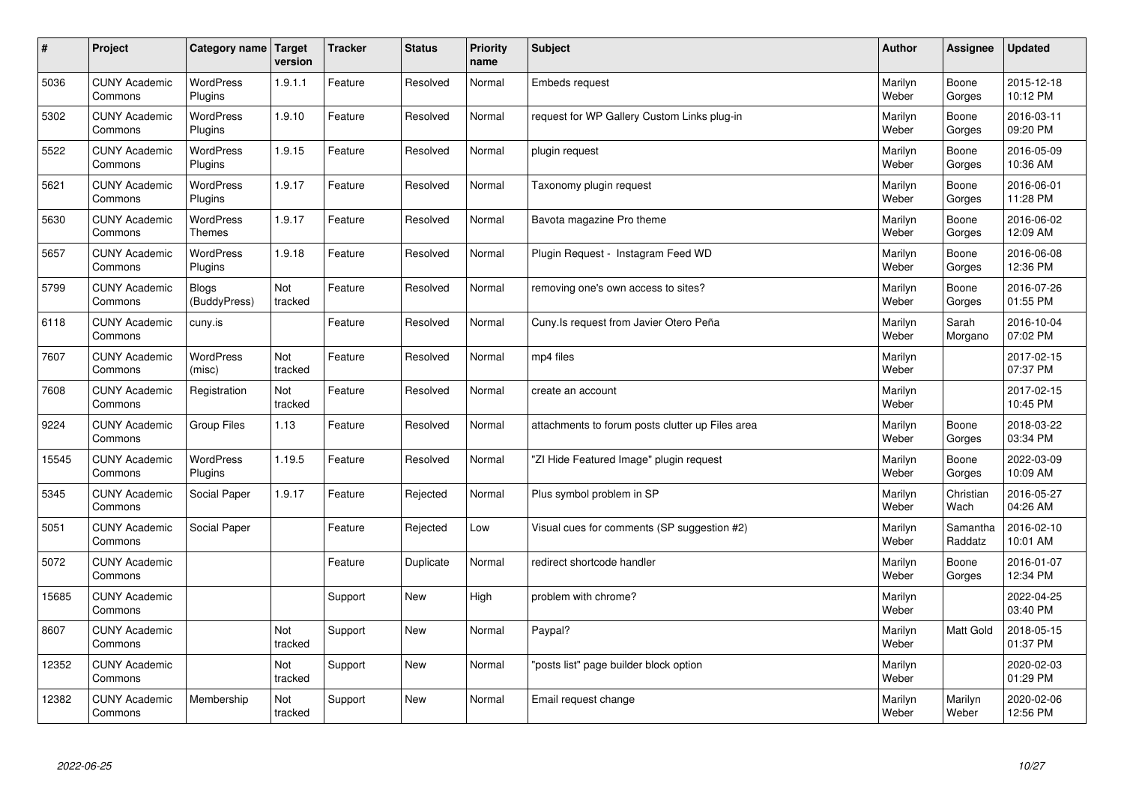| $\vert$ # | Project                         | Category name               | Target<br>version | <b>Tracker</b> | <b>Status</b> | <b>Priority</b><br>name | <b>Subject</b>                                   | <b>Author</b>    | <b>Assignee</b>     | <b>Updated</b>         |
|-----------|---------------------------------|-----------------------------|-------------------|----------------|---------------|-------------------------|--------------------------------------------------|------------------|---------------------|------------------------|
| 5036      | <b>CUNY Academic</b><br>Commons | <b>WordPress</b><br>Plugins | 1.9.1.1           | Feature        | Resolved      | Normal                  | Embeds request                                   | Marilyn<br>Weber | Boone<br>Gorges     | 2015-12-18<br>10:12 PM |
| 5302      | <b>CUNY Academic</b><br>Commons | <b>WordPress</b><br>Plugins | 1.9.10            | Feature        | Resolved      | Normal                  | request for WP Gallery Custom Links plug-in      | Marilyn<br>Weber | Boone<br>Gorges     | 2016-03-11<br>09:20 PM |
| 5522      | <b>CUNY Academic</b><br>Commons | WordPress<br>Plugins        | 1.9.15            | Feature        | Resolved      | Normal                  | plugin request                                   | Marilyn<br>Weber | Boone<br>Gorges     | 2016-05-09<br>10:36 AM |
| 5621      | <b>CUNY Academic</b><br>Commons | <b>WordPress</b><br>Plugins | 1.9.17            | Feature        | Resolved      | Normal                  | Taxonomy plugin request                          | Marilyn<br>Weber | Boone<br>Gorges     | 2016-06-01<br>11:28 PM |
| 5630      | <b>CUNY Academic</b><br>Commons | <b>WordPress</b><br>Themes  | 1.9.17            | Feature        | Resolved      | Normal                  | Bavota magazine Pro theme                        | Marilyn<br>Weber | Boone<br>Gorges     | 2016-06-02<br>12:09 AM |
| 5657      | <b>CUNY Academic</b><br>Commons | WordPress<br>Plugins        | 1.9.18            | Feature        | Resolved      | Normal                  | Plugin Request - Instagram Feed WD               | Marilyn<br>Weber | Boone<br>Gorges     | 2016-06-08<br>12:36 PM |
| 5799      | <b>CUNY Academic</b><br>Commons | Blogs<br>(BuddyPress)       | Not<br>tracked    | Feature        | Resolved      | Normal                  | removing one's own access to sites?              | Marilyn<br>Weber | Boone<br>Gorges     | 2016-07-26<br>01:55 PM |
| 6118      | <b>CUNY Academic</b><br>Commons | cuny.is                     |                   | Feature        | Resolved      | Normal                  | Cuny.Is request from Javier Otero Peña           | Marilyn<br>Weber | Sarah<br>Morgano    | 2016-10-04<br>07:02 PM |
| 7607      | <b>CUNY Academic</b><br>Commons | WordPress<br>(misc)         | Not<br>tracked    | Feature        | Resolved      | Normal                  | mp4 files                                        | Marilyn<br>Weber |                     | 2017-02-15<br>07:37 PM |
| 7608      | <b>CUNY Academic</b><br>Commons | Registration                | Not<br>tracked    | Feature        | Resolved      | Normal                  | create an account                                | Marilyn<br>Weber |                     | 2017-02-15<br>10:45 PM |
| 9224      | <b>CUNY Academic</b><br>Commons | <b>Group Files</b>          | 1.13              | Feature        | Resolved      | Normal                  | attachments to forum posts clutter up Files area | Marilyn<br>Weber | Boone<br>Gorges     | 2018-03-22<br>03:34 PM |
| 15545     | <b>CUNY Academic</b><br>Commons | <b>WordPress</b><br>Plugins | 1.19.5            | Feature        | Resolved      | Normal                  | 'ZI Hide Featured Image" plugin request          | Marilyn<br>Weber | Boone<br>Gorges     | 2022-03-09<br>10:09 AM |
| 5345      | <b>CUNY Academic</b><br>Commons | Social Paper                | 1.9.17            | Feature        | Rejected      | Normal                  | Plus symbol problem in SP                        | Marilyn<br>Weber | Christian<br>Wach   | 2016-05-27<br>04:26 AM |
| 5051      | <b>CUNY Academic</b><br>Commons | Social Paper                |                   | Feature        | Rejected      | Low                     | Visual cues for comments (SP suggestion #2)      | Marilyn<br>Weber | Samantha<br>Raddatz | 2016-02-10<br>10:01 AM |
| 5072      | <b>CUNY Academic</b><br>Commons |                             |                   | Feature        | Duplicate     | Normal                  | redirect shortcode handler                       | Marilyn<br>Weber | Boone<br>Gorges     | 2016-01-07<br>12:34 PM |
| 15685     | <b>CUNY Academic</b><br>Commons |                             |                   | Support        | <b>New</b>    | High                    | problem with chrome?                             | Marilyn<br>Weber |                     | 2022-04-25<br>03:40 PM |
| 8607      | <b>CUNY Academic</b><br>Commons |                             | Not<br>tracked    | Support        | <b>New</b>    | Normal                  | Paypal?                                          | Marilyn<br>Weber | Matt Gold           | 2018-05-15<br>01:37 PM |
| 12352     | <b>CUNY Academic</b><br>Commons |                             | Not<br>tracked    | Support        | New           | Normal                  | 'posts list" page builder block option           | Marilyn<br>Weber |                     | 2020-02-03<br>01:29 PM |
| 12382     | <b>CUNY Academic</b><br>Commons | Membership                  | Not<br>tracked    | Support        | <b>New</b>    | Normal                  | Email request change                             | Marilyn<br>Weber | Marilyn<br>Weber    | 2020-02-06<br>12:56 PM |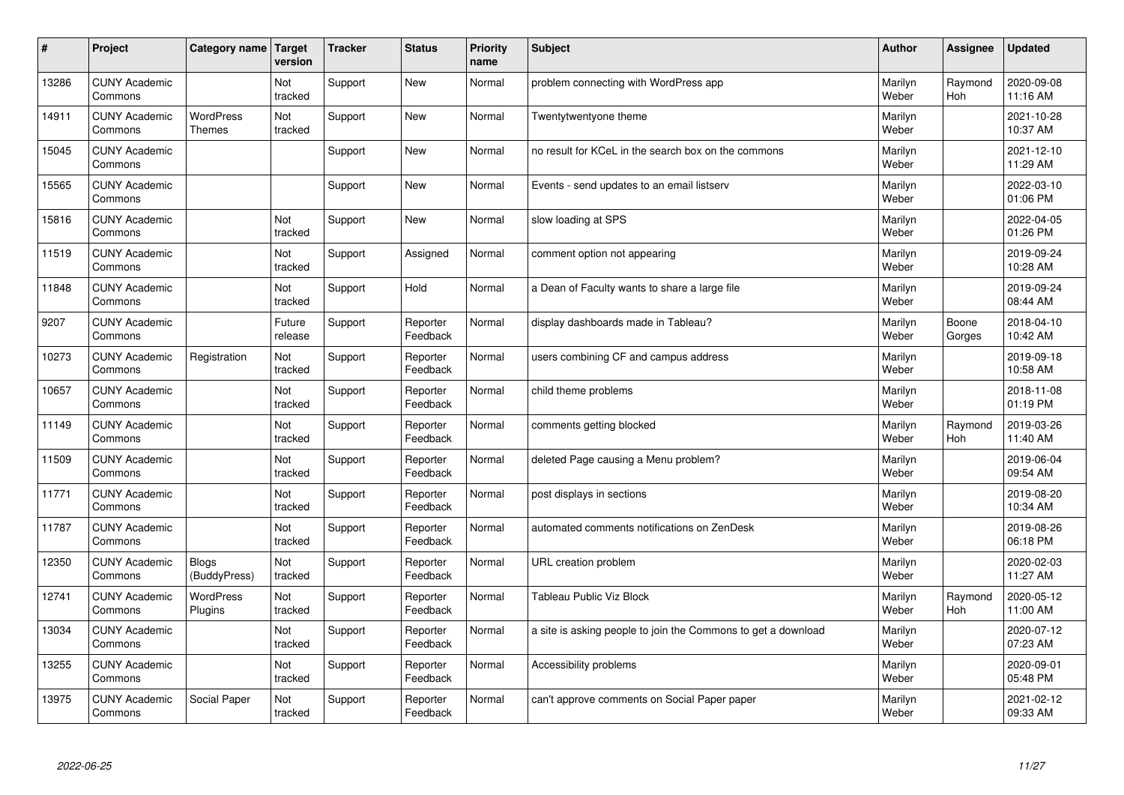| #     | Project                         | Category name   Target            | version               | <b>Tracker</b> | <b>Status</b>        | <b>Priority</b><br>name | <b>Subject</b>                                                | <b>Author</b>    | Assignee              | <b>Updated</b>         |
|-------|---------------------------------|-----------------------------------|-----------------------|----------------|----------------------|-------------------------|---------------------------------------------------------------|------------------|-----------------------|------------------------|
| 13286 | <b>CUNY Academic</b><br>Commons |                                   | Not<br>tracked        | Support        | <b>New</b>           | Normal                  | problem connecting with WordPress app                         | Marilyn<br>Weber | Raymond<br><b>Hoh</b> | 2020-09-08<br>11:16 AM |
| 14911 | <b>CUNY Academic</b><br>Commons | <b>WordPress</b><br><b>Themes</b> | Not<br>tracked        | Support        | <b>New</b>           | Normal                  | Twentytwentyone theme                                         | Marilyn<br>Weber |                       | 2021-10-28<br>10:37 AM |
| 15045 | <b>CUNY Academic</b><br>Commons |                                   |                       | Support        | <b>New</b>           | Normal                  | no result for KCeL in the search box on the commons           | Marilyn<br>Weber |                       | 2021-12-10<br>11:29 AM |
| 15565 | <b>CUNY Academic</b><br>Commons |                                   |                       | Support        | <b>New</b>           | Normal                  | Events - send updates to an email listserv                    | Marilyn<br>Weber |                       | 2022-03-10<br>01:06 PM |
| 15816 | <b>CUNY Academic</b><br>Commons |                                   | Not<br>tracked        | Support        | <b>New</b>           | Normal                  | slow loading at SPS                                           | Marilyn<br>Weber |                       | 2022-04-05<br>01:26 PM |
| 11519 | <b>CUNY Academic</b><br>Commons |                                   | <b>Not</b><br>tracked | Support        | Assigned             | Normal                  | comment option not appearing                                  | Marilyn<br>Weber |                       | 2019-09-24<br>10:28 AM |
| 11848 | <b>CUNY Academic</b><br>Commons |                                   | Not<br>tracked        | Support        | Hold                 | Normal                  | a Dean of Faculty wants to share a large file                 | Marilyn<br>Weber |                       | 2019-09-24<br>08:44 AM |
| 9207  | <b>CUNY Academic</b><br>Commons |                                   | Future<br>release     | Support        | Reporter<br>Feedback | Normal                  | display dashboards made in Tableau?                           | Marilyn<br>Weber | Boone<br>Gorges       | 2018-04-10<br>10:42 AM |
| 10273 | <b>CUNY Academic</b><br>Commons | Registration                      | Not<br>tracked        | Support        | Reporter<br>Feedback | Normal                  | users combining CF and campus address                         | Marilyn<br>Weber |                       | 2019-09-18<br>10:58 AM |
| 10657 | <b>CUNY Academic</b><br>Commons |                                   | Not<br>tracked        | Support        | Reporter<br>Feedback | Normal                  | child theme problems                                          | Marilyn<br>Weber |                       | 2018-11-08<br>01:19 PM |
| 11149 | <b>CUNY Academic</b><br>Commons |                                   | Not<br>tracked        | Support        | Reporter<br>Feedback | Normal                  | comments getting blocked                                      | Marilyn<br>Weber | Raymond<br>Hoh        | 2019-03-26<br>11:40 AM |
| 11509 | <b>CUNY Academic</b><br>Commons |                                   | Not<br>tracked        | Support        | Reporter<br>Feedback | Normal                  | deleted Page causing a Menu problem?                          | Marilyn<br>Weber |                       | 2019-06-04<br>09:54 AM |
| 11771 | <b>CUNY Academic</b><br>Commons |                                   | Not<br>tracked        | Support        | Reporter<br>Feedback | Normal                  | post displays in sections                                     | Marilyn<br>Weber |                       | 2019-08-20<br>10:34 AM |
| 11787 | <b>CUNY Academic</b><br>Commons |                                   | Not<br>tracked        | Support        | Reporter<br>Feedback | Normal                  | automated comments notifications on ZenDesk                   | Marilyn<br>Weber |                       | 2019-08-26<br>06:18 PM |
| 12350 | <b>CUNY Academic</b><br>Commons | <b>Blogs</b><br>(BuddyPress)      | Not<br>tracked        | Support        | Reporter<br>Feedback | Normal                  | URL creation problem                                          | Marilyn<br>Weber |                       | 2020-02-03<br>11:27 AM |
| 12741 | <b>CUNY Academic</b><br>Commons | WordPress<br>Plugins              | Not<br>tracked        | Support        | Reporter<br>Feedback | Normal                  | <b>Tableau Public Viz Block</b>                               | Marilyn<br>Weber | Raymond<br>Hoh        | 2020-05-12<br>11:00 AM |
| 13034 | <b>CUNY Academic</b><br>Commons |                                   | Not<br>tracked        | Support        | Reporter<br>Feedback | Normal                  | a site is asking people to join the Commons to get a download | Marilyn<br>Weber |                       | 2020-07-12<br>07:23 AM |
| 13255 | <b>CUNY Academic</b><br>Commons |                                   | Not<br>tracked        | Support        | Reporter<br>Feedback | Normal                  | Accessibility problems                                        | Marilyn<br>Weber |                       | 2020-09-01<br>05:48 PM |
| 13975 | <b>CUNY Academic</b><br>Commons | Social Paper                      | Not<br>tracked        | Support        | Reporter<br>Feedback | Normal                  | can't approve comments on Social Paper paper                  | Marilyn<br>Weber |                       | 2021-02-12<br>09:33 AM |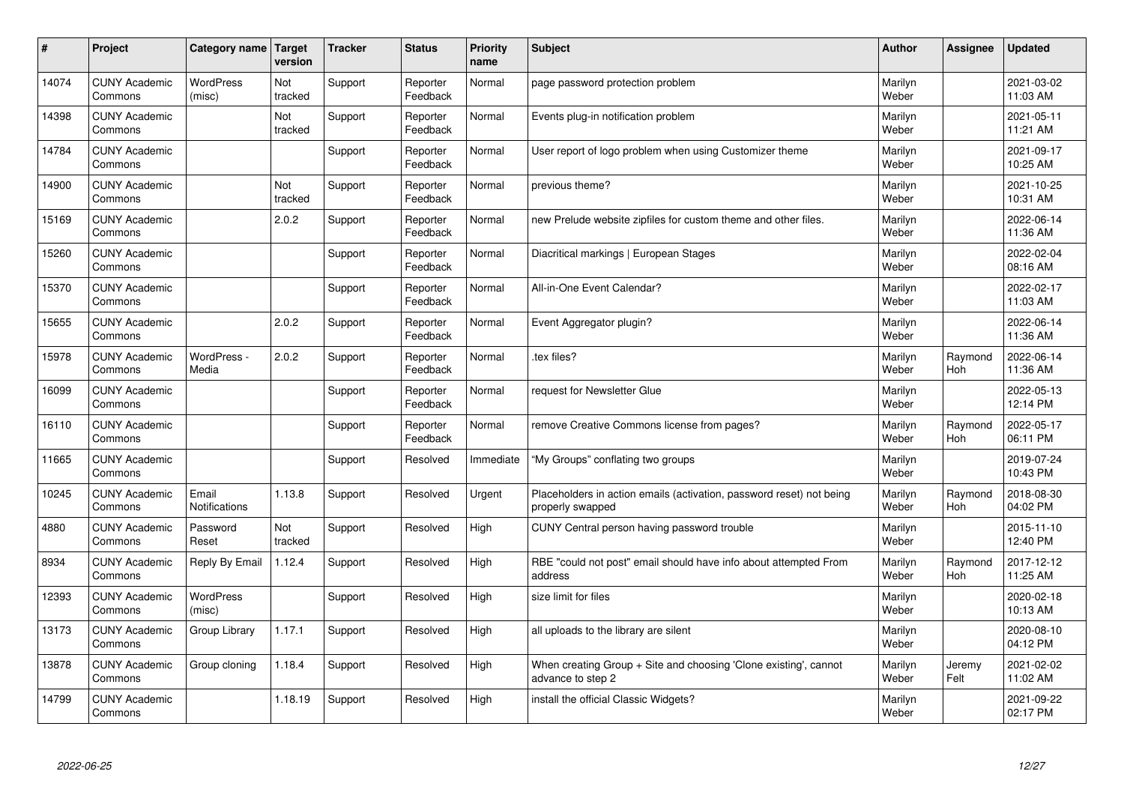| $\vert$ # | Project                         | Category name Target          | version        | <b>Tracker</b> | <b>Status</b>        | <b>Priority</b><br>name | <b>Subject</b>                                                                           | <b>Author</b>    | Assignee              | Updated                |
|-----------|---------------------------------|-------------------------------|----------------|----------------|----------------------|-------------------------|------------------------------------------------------------------------------------------|------------------|-----------------------|------------------------|
| 14074     | <b>CUNY Academic</b><br>Commons | <b>WordPress</b><br>(misc)    | Not<br>tracked | Support        | Reporter<br>Feedback | Normal                  | page password protection problem                                                         | Marilyn<br>Weber |                       | 2021-03-02<br>11:03 AM |
| 14398     | <b>CUNY Academic</b><br>Commons |                               | Not<br>tracked | Support        | Reporter<br>Feedback | Normal                  | Events plug-in notification problem                                                      | Marilyn<br>Weber |                       | 2021-05-11<br>11:21 AM |
| 14784     | <b>CUNY Academic</b><br>Commons |                               |                | Support        | Reporter<br>Feedback | Normal                  | User report of logo problem when using Customizer theme                                  | Marilyn<br>Weber |                       | 2021-09-17<br>10:25 AM |
| 14900     | <b>CUNY Academic</b><br>Commons |                               | Not<br>tracked | Support        | Reporter<br>Feedback | Normal                  | previous theme?                                                                          | Marilyn<br>Weber |                       | 2021-10-25<br>10:31 AM |
| 15169     | <b>CUNY Academic</b><br>Commons |                               | 2.0.2          | Support        | Reporter<br>Feedback | Normal                  | new Prelude website zipfiles for custom theme and other files.                           | Marilyn<br>Weber |                       | 2022-06-14<br>11:36 AM |
| 15260     | <b>CUNY Academic</b><br>Commons |                               |                | Support        | Reporter<br>Feedback | Normal                  | Diacritical markings   European Stages                                                   | Marilyn<br>Weber |                       | 2022-02-04<br>08:16 AM |
| 15370     | <b>CUNY Academic</b><br>Commons |                               |                | Support        | Reporter<br>Feedback | Normal                  | All-in-One Event Calendar?                                                               | Marilyn<br>Weber |                       | 2022-02-17<br>11:03 AM |
| 15655     | <b>CUNY Academic</b><br>Commons |                               | 2.0.2          | Support        | Reporter<br>Feedback | Normal                  | Event Aggregator plugin?                                                                 | Marilyn<br>Weber |                       | 2022-06-14<br>11:36 AM |
| 15978     | <b>CUNY Academic</b><br>Commons | WordPress -<br>Media          | 2.0.2          | Support        | Reporter<br>Feedback | Normal                  | .tex files?                                                                              | Marilyn<br>Weber | Raymond<br><b>Hoh</b> | 2022-06-14<br>11:36 AM |
| 16099     | <b>CUNY Academic</b><br>Commons |                               |                | Support        | Reporter<br>Feedback | Normal                  | request for Newsletter Glue                                                              | Marilyn<br>Weber |                       | 2022-05-13<br>12:14 PM |
| 16110     | <b>CUNY Academic</b><br>Commons |                               |                | Support        | Reporter<br>Feedback | Normal                  | remove Creative Commons license from pages?                                              | Marilyn<br>Weber | Raymond<br><b>Hoh</b> | 2022-05-17<br>06:11 PM |
| 11665     | <b>CUNY Academic</b><br>Commons |                               |                | Support        | Resolved             | Immediate               | "My Groups" conflating two groups                                                        | Marilyn<br>Weber |                       | 2019-07-24<br>10:43 PM |
| 10245     | <b>CUNY Academic</b><br>Commons | Email<br><b>Notifications</b> | 1.13.8         | Support        | Resolved             | Urgent                  | Placeholders in action emails (activation, password reset) not being<br>properly swapped | Marilyn<br>Weber | Raymond<br>Hoh        | 2018-08-30<br>04:02 PM |
| 4880      | <b>CUNY Academic</b><br>Commons | Password<br>Reset             | Not<br>tracked | Support        | Resolved             | High                    | CUNY Central person having password trouble                                              | Marilyn<br>Weber |                       | 2015-11-10<br>12:40 PM |
| 8934      | <b>CUNY Academic</b><br>Commons | Reply By Email                | 1.12.4         | Support        | Resolved             | High                    | RBE "could not post" email should have info about attempted From<br>address              | Marilyn<br>Weber | Raymond<br><b>Hoh</b> | 2017-12-12<br>11:25 AM |
| 12393     | <b>CUNY Academic</b><br>Commons | <b>WordPress</b><br>(misc)    |                | Support        | Resolved             | High                    | size limit for files                                                                     | Marilyn<br>Weber |                       | 2020-02-18<br>10:13 AM |
| 13173     | <b>CUNY Academic</b><br>Commons | Group Library                 | 1.17.1         | Support        | Resolved             | High                    | all uploads to the library are silent                                                    | Marilyn<br>Weber |                       | 2020-08-10<br>04:12 PM |
| 13878     | <b>CUNY Academic</b><br>Commons | Group cloning                 | 1.18.4         | Support        | Resolved             | High                    | When creating Group + Site and choosing 'Clone existing', cannot<br>advance to step 2    | Marilyn<br>Weber | Jeremy<br>Felt        | 2021-02-02<br>11:02 AM |
| 14799     | <b>CUNY Academic</b><br>Commons |                               | 1.18.19        | Support        | Resolved             | High                    | install the official Classic Widgets?                                                    | Marilyn<br>Weber |                       | 2021-09-22<br>02:17 PM |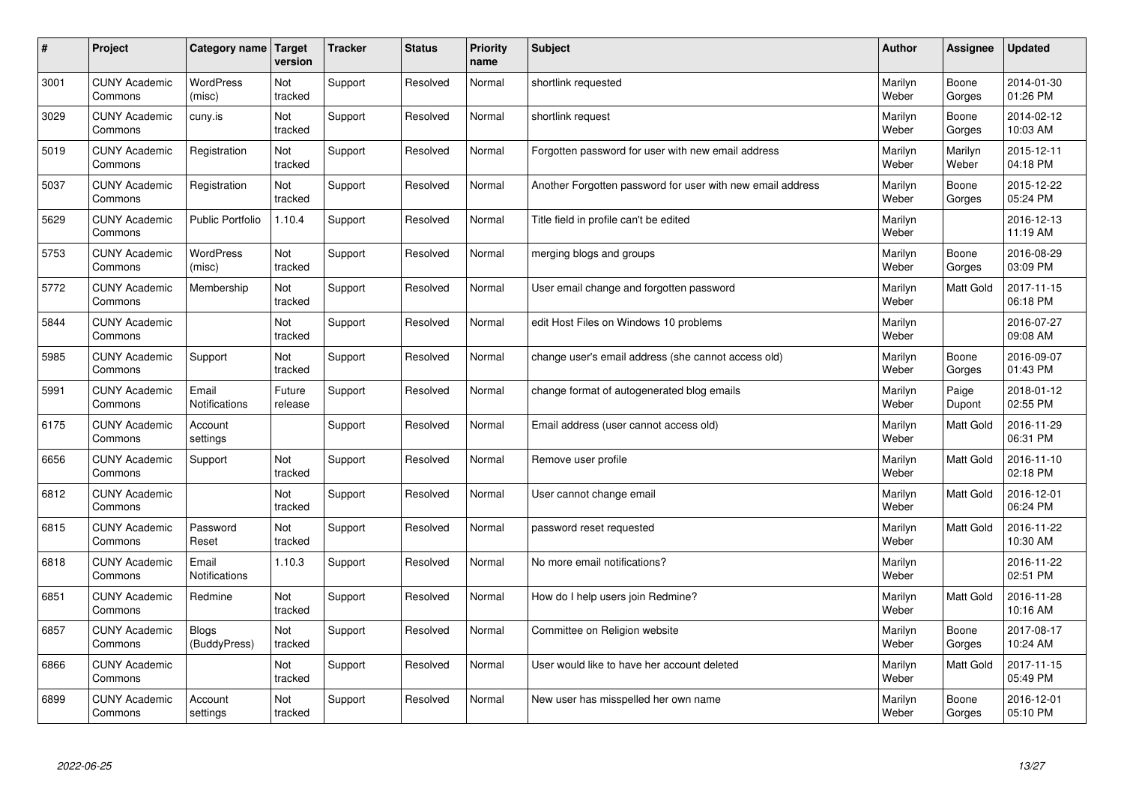| $\pmb{\#}$ | Project                         | Category name                | Target<br>version | <b>Tracker</b> | <b>Status</b> | <b>Priority</b><br>name | <b>Subject</b>                                             | <b>Author</b>    | Assignee         | <b>Updated</b>         |
|------------|---------------------------------|------------------------------|-------------------|----------------|---------------|-------------------------|------------------------------------------------------------|------------------|------------------|------------------------|
| 3001       | <b>CUNY Academic</b><br>Commons | <b>WordPress</b><br>(misc)   | Not<br>tracked    | Support        | Resolved      | Normal                  | shortlink requested                                        | Marilyn<br>Weber | Boone<br>Gorges  | 2014-01-30<br>01:26 PM |
| 3029       | <b>CUNY Academic</b><br>Commons | cuny.is                      | Not<br>tracked    | Support        | Resolved      | Normal                  | shortlink request                                          | Marilyn<br>Weber | Boone<br>Gorges  | 2014-02-12<br>10:03 AM |
| 5019       | <b>CUNY Academic</b><br>Commons | Registration                 | Not<br>tracked    | Support        | Resolved      | Normal                  | Forgotten password for user with new email address         | Marilyn<br>Weber | Marilyn<br>Weber | 2015-12-11<br>04:18 PM |
| 5037       | <b>CUNY Academic</b><br>Commons | Registration                 | Not<br>tracked    | Support        | Resolved      | Normal                  | Another Forgotten password for user with new email address | Marilyn<br>Weber | Boone<br>Gorges  | 2015-12-22<br>05:24 PM |
| 5629       | <b>CUNY Academic</b><br>Commons | <b>Public Portfolio</b>      | 1.10.4            | Support        | Resolved      | Normal                  | Title field in profile can't be edited                     | Marilyn<br>Weber |                  | 2016-12-13<br>11:19 AM |
| 5753       | <b>CUNY Academic</b><br>Commons | WordPress<br>(misc)          | Not<br>tracked    | Support        | Resolved      | Normal                  | merging blogs and groups                                   | Marilyn<br>Weber | Boone<br>Gorges  | 2016-08-29<br>03:09 PM |
| 5772       | <b>CUNY Academic</b><br>Commons | Membership                   | Not<br>tracked    | Support        | Resolved      | Normal                  | User email change and forgotten password                   | Marilyn<br>Weber | Matt Gold        | 2017-11-15<br>06:18 PM |
| 5844       | <b>CUNY Academic</b><br>Commons |                              | Not<br>tracked    | Support        | Resolved      | Normal                  | edit Host Files on Windows 10 problems                     | Marilyn<br>Weber |                  | 2016-07-27<br>09:08 AM |
| 5985       | <b>CUNY Academic</b><br>Commons | Support                      | Not<br>tracked    | Support        | Resolved      | Normal                  | change user's email address (she cannot access old)        | Marilyn<br>Weber | Boone<br>Gorges  | 2016-09-07<br>01:43 PM |
| 5991       | <b>CUNY Academic</b><br>Commons | Email<br>Notifications       | Future<br>release | Support        | Resolved      | Normal                  | change format of autogenerated blog emails                 | Marilyn<br>Weber | Paige<br>Dupont  | 2018-01-12<br>02:55 PM |
| 6175       | <b>CUNY Academic</b><br>Commons | Account<br>settings          |                   | Support        | Resolved      | Normal                  | Email address (user cannot access old)                     | Marilyn<br>Weber | Matt Gold        | 2016-11-29<br>06:31 PM |
| 6656       | <b>CUNY Academic</b><br>Commons | Support                      | Not<br>tracked    | Support        | Resolved      | Normal                  | Remove user profile                                        | Marilyn<br>Weber | Matt Gold        | 2016-11-10<br>02:18 PM |
| 6812       | <b>CUNY Academic</b><br>Commons |                              | Not<br>tracked    | Support        | Resolved      | Normal                  | User cannot change email                                   | Marilyn<br>Weber | Matt Gold        | 2016-12-01<br>06:24 PM |
| 6815       | <b>CUNY Academic</b><br>Commons | Password<br>Reset            | Not<br>tracked    | Support        | Resolved      | Normal                  | password reset requested                                   | Marilyn<br>Weber | Matt Gold        | 2016-11-22<br>10:30 AM |
| 6818       | <b>CUNY Academic</b><br>Commons | Email<br>Notifications       | 1.10.3            | Support        | Resolved      | Normal                  | No more email notifications?                               | Marilyn<br>Weber |                  | 2016-11-22<br>02:51 PM |
| 6851       | <b>CUNY Academic</b><br>Commons | Redmine                      | Not<br>tracked    | Support        | Resolved      | Normal                  | How do I help users join Redmine?                          | Marilyn<br>Weber | Matt Gold        | 2016-11-28<br>10:16 AM |
| 6857       | <b>CUNY Academic</b><br>Commons | <b>Blogs</b><br>(BuddyPress) | Not<br>tracked    | Support        | Resolved      | Normal                  | Committee on Religion website                              | Marilyn<br>Weber | Boone<br>Gorges  | 2017-08-17<br>10:24 AM |
| 6866       | <b>CUNY Academic</b><br>Commons |                              | Not<br>tracked    | Support        | Resolved      | Normal                  | User would like to have her account deleted                | Marilyn<br>Weber | Matt Gold        | 2017-11-15<br>05:49 PM |
| 6899       | <b>CUNY Academic</b><br>Commons | Account<br>settings          | Not<br>tracked    | Support        | Resolved      | Normal                  | New user has misspelled her own name                       | Marilyn<br>Weber | Boone<br>Gorges  | 2016-12-01<br>05:10 PM |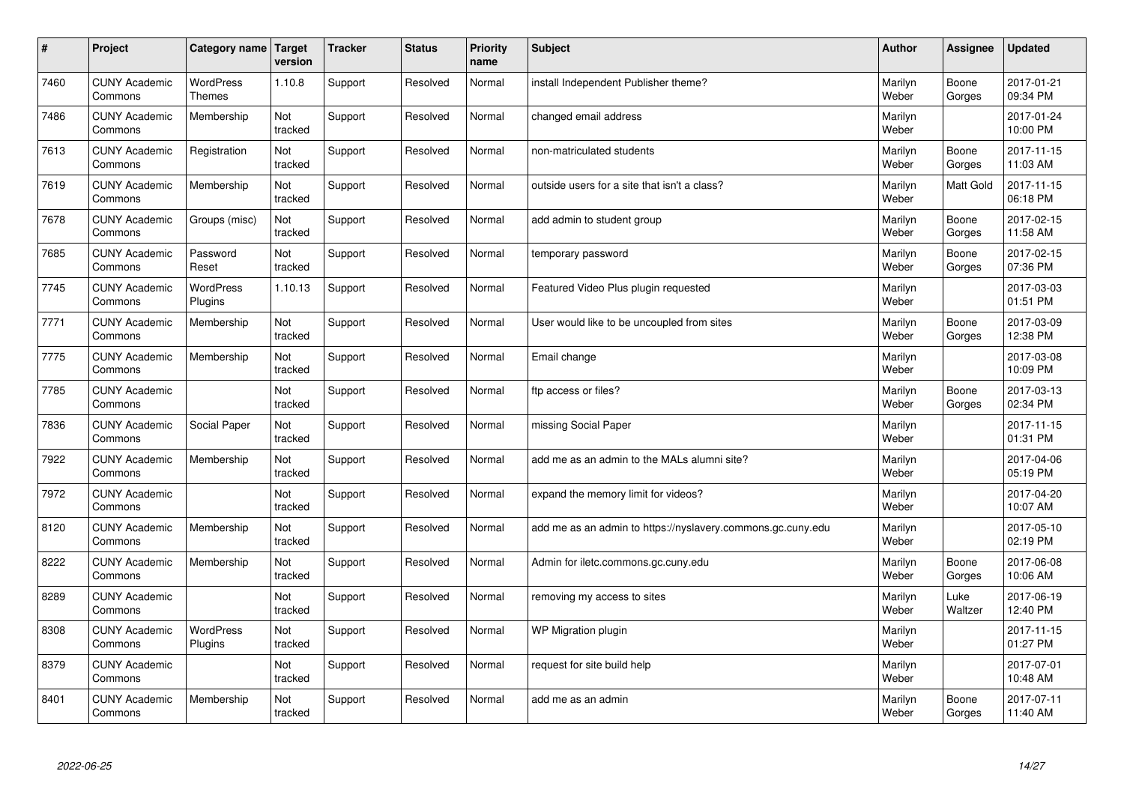| #    | Project                         | Category name                     | Target<br>version | <b>Tracker</b> | <b>Status</b> | <b>Priority</b><br>name | <b>Subject</b>                                              | <b>Author</b>    | Assignee         | Updated                |
|------|---------------------------------|-----------------------------------|-------------------|----------------|---------------|-------------------------|-------------------------------------------------------------|------------------|------------------|------------------------|
| 7460 | <b>CUNY Academic</b><br>Commons | <b>WordPress</b><br><b>Themes</b> | 1.10.8            | Support        | Resolved      | Normal                  | install Independent Publisher theme?                        | Marilyn<br>Weber | Boone<br>Gorges  | 2017-01-21<br>09:34 PM |
| 7486 | <b>CUNY Academic</b><br>Commons | Membership                        | Not<br>tracked    | Support        | Resolved      | Normal                  | changed email address                                       | Marilyn<br>Weber |                  | 2017-01-24<br>10:00 PM |
| 7613 | <b>CUNY Academic</b><br>Commons | Registration                      | Not<br>tracked    | Support        | Resolved      | Normal                  | non-matriculated students                                   | Marilyn<br>Weber | Boone<br>Gorges  | 2017-11-15<br>11:03 AM |
| 7619 | <b>CUNY Academic</b><br>Commons | Membership                        | Not<br>tracked    | Support        | Resolved      | Normal                  | outside users for a site that isn't a class?                | Marilyn<br>Weber | <b>Matt Gold</b> | 2017-11-15<br>06:18 PM |
| 7678 | <b>CUNY Academic</b><br>Commons | Groups (misc)                     | Not<br>tracked    | Support        | Resolved      | Normal                  | add admin to student group                                  | Marilyn<br>Weber | Boone<br>Gorges  | 2017-02-15<br>11:58 AM |
| 7685 | <b>CUNY Academic</b><br>Commons | Password<br>Reset                 | Not<br>tracked    | Support        | Resolved      | Normal                  | temporary password                                          | Marilyn<br>Weber | Boone<br>Gorges  | 2017-02-15<br>07:36 PM |
| 7745 | <b>CUNY Academic</b><br>Commons | <b>WordPress</b><br>Plugins       | 1.10.13           | Support        | Resolved      | Normal                  | Featured Video Plus plugin requested                        | Marilyn<br>Weber |                  | 2017-03-03<br>01:51 PM |
| 7771 | <b>CUNY Academic</b><br>Commons | Membership                        | Not<br>tracked    | Support        | Resolved      | Normal                  | User would like to be uncoupled from sites                  | Marilyn<br>Weber | Boone<br>Gorges  | 2017-03-09<br>12:38 PM |
| 7775 | <b>CUNY Academic</b><br>Commons | Membership                        | Not<br>tracked    | Support        | Resolved      | Normal                  | Email change                                                | Marilyn<br>Weber |                  | 2017-03-08<br>10:09 PM |
| 7785 | <b>CUNY Academic</b><br>Commons |                                   | Not<br>tracked    | Support        | Resolved      | Normal                  | ftp access or files?                                        | Marilyn<br>Weber | Boone<br>Gorges  | 2017-03-13<br>02:34 PM |
| 7836 | <b>CUNY Academic</b><br>Commons | Social Paper                      | Not<br>tracked    | Support        | Resolved      | Normal                  | missing Social Paper                                        | Marilyn<br>Weber |                  | 2017-11-15<br>01:31 PM |
| 7922 | <b>CUNY Academic</b><br>Commons | Membership                        | Not<br>tracked    | Support        | Resolved      | Normal                  | add me as an admin to the MALs alumni site?                 | Marilyn<br>Weber |                  | 2017-04-06<br>05:19 PM |
| 7972 | <b>CUNY Academic</b><br>Commons |                                   | Not<br>tracked    | Support        | Resolved      | Normal                  | expand the memory limit for videos?                         | Marilyn<br>Weber |                  | 2017-04-20<br>10:07 AM |
| 8120 | <b>CUNY Academic</b><br>Commons | Membership                        | Not<br>tracked    | Support        | Resolved      | Normal                  | add me as an admin to https://nyslavery.commons.gc.cuny.edu | Marilyn<br>Weber |                  | 2017-05-10<br>02:19 PM |
| 8222 | <b>CUNY Academic</b><br>Commons | Membership                        | Not<br>tracked    | Support        | Resolved      | Normal                  | Admin for iletc.commons.gc.cuny.edu                         | Marilyn<br>Weber | Boone<br>Gorges  | 2017-06-08<br>10:06 AM |
| 8289 | <b>CUNY Academic</b><br>Commons |                                   | Not<br>tracked    | Support        | Resolved      | Normal                  | removing my access to sites                                 | Marilyn<br>Weber | Luke<br>Waltzer  | 2017-06-19<br>12:40 PM |
| 8308 | <b>CUNY Academic</b><br>Commons | WordPress<br>Plugins              | Not<br>tracked    | Support        | Resolved      | Normal                  | WP Migration plugin                                         | Marilyn<br>Weber |                  | 2017-11-15<br>01:27 PM |
| 8379 | <b>CUNY Academic</b><br>Commons |                                   | Not<br>tracked    | Support        | Resolved      | Normal                  | request for site build help                                 | Marilyn<br>Weber |                  | 2017-07-01<br>10:48 AM |
| 8401 | <b>CUNY Academic</b><br>Commons | Membership                        | Not<br>tracked    | Support        | Resolved      | Normal                  | add me as an admin                                          | Marilyn<br>Weber | Boone<br>Gorges  | 2017-07-11<br>11:40 AM |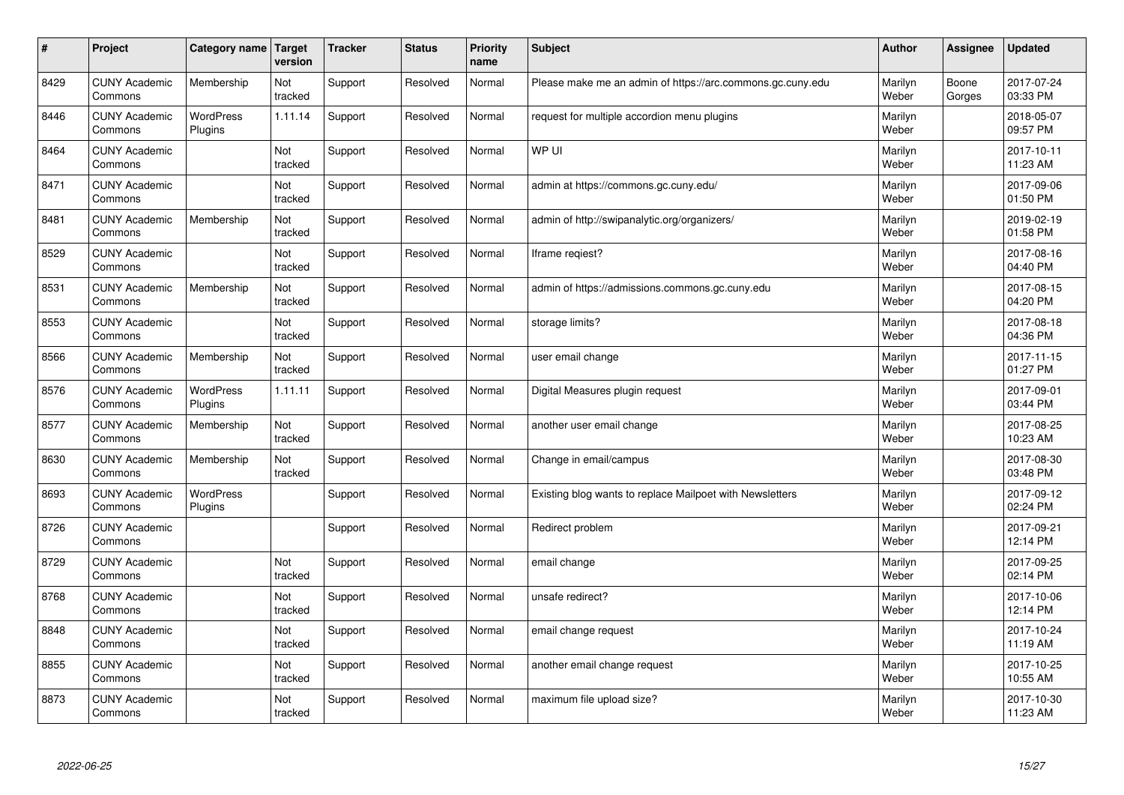| $\vert$ # | Project                         | Category name               | <b>Target</b><br>version | <b>Tracker</b> | <b>Status</b> | <b>Priority</b><br>name | <b>Subject</b>                                             | <b>Author</b>    | Assignee        | <b>Updated</b>         |
|-----------|---------------------------------|-----------------------------|--------------------------|----------------|---------------|-------------------------|------------------------------------------------------------|------------------|-----------------|------------------------|
| 8429      | <b>CUNY Academic</b><br>Commons | Membership                  | Not<br>tracked           | Support        | Resolved      | Normal                  | Please make me an admin of https://arc.commons.gc.cuny.edu | Marilyn<br>Weber | Boone<br>Gorges | 2017-07-24<br>03:33 PM |
| 8446      | <b>CUNY Academic</b><br>Commons | <b>WordPress</b><br>Plugins | 1.11.14                  | Support        | Resolved      | Normal                  | request for multiple accordion menu plugins                | Marilyn<br>Weber |                 | 2018-05-07<br>09:57 PM |
| 8464      | <b>CUNY Academic</b><br>Commons |                             | Not<br>tracked           | Support        | Resolved      | Normal                  | WP UI                                                      | Marilyn<br>Weber |                 | 2017-10-11<br>11:23 AM |
| 8471      | <b>CUNY Academic</b><br>Commons |                             | Not<br>tracked           | Support        | Resolved      | Normal                  | admin at https://commons.gc.cuny.edu/                      | Marilyn<br>Weber |                 | 2017-09-06<br>01:50 PM |
| 8481      | <b>CUNY Academic</b><br>Commons | Membership                  | Not<br>tracked           | Support        | Resolved      | Normal                  | admin of http://swipanalytic.org/organizers/               | Marilyn<br>Weber |                 | 2019-02-19<br>01:58 PM |
| 8529      | <b>CUNY Academic</b><br>Commons |                             | Not<br>tracked           | Support        | Resolved      | Normal                  | Iframe regiest?                                            | Marilyn<br>Weber |                 | 2017-08-16<br>04:40 PM |
| 8531      | <b>CUNY Academic</b><br>Commons | Membership                  | Not<br>tracked           | Support        | Resolved      | Normal                  | admin of https://admissions.commons.gc.cuny.edu            | Marilyn<br>Weber |                 | 2017-08-15<br>04:20 PM |
| 8553      | <b>CUNY Academic</b><br>Commons |                             | Not<br>tracked           | Support        | Resolved      | Normal                  | storage limits?                                            | Marilyn<br>Weber |                 | 2017-08-18<br>04:36 PM |
| 8566      | <b>CUNY Academic</b><br>Commons | Membership                  | Not<br>tracked           | Support        | Resolved      | Normal                  | user email change                                          | Marilyn<br>Weber |                 | 2017-11-15<br>01:27 PM |
| 8576      | <b>CUNY Academic</b><br>Commons | <b>WordPress</b><br>Plugins | 1.11.11                  | Support        | Resolved      | Normal                  | Digital Measures plugin request                            | Marilyn<br>Weber |                 | 2017-09-01<br>03:44 PM |
| 8577      | <b>CUNY Academic</b><br>Commons | Membership                  | Not<br>tracked           | Support        | Resolved      | Normal                  | another user email change                                  | Marilyn<br>Weber |                 | 2017-08-25<br>10:23 AM |
| 8630      | <b>CUNY Academic</b><br>Commons | Membership                  | Not<br>tracked           | Support        | Resolved      | Normal                  | Change in email/campus                                     | Marilyn<br>Weber |                 | 2017-08-30<br>03:48 PM |
| 8693      | <b>CUNY Academic</b><br>Commons | WordPress<br>Plugins        |                          | Support        | Resolved      | Normal                  | Existing blog wants to replace Mailpoet with Newsletters   | Marilyn<br>Weber |                 | 2017-09-12<br>02:24 PM |
| 8726      | <b>CUNY Academic</b><br>Commons |                             |                          | Support        | Resolved      | Normal                  | Redirect problem                                           | Marilyn<br>Weber |                 | 2017-09-21<br>12:14 PM |
| 8729      | <b>CUNY Academic</b><br>Commons |                             | Not<br>tracked           | Support        | Resolved      | Normal                  | email change                                               | Marilyn<br>Weber |                 | 2017-09-25<br>02:14 PM |
| 8768      | <b>CUNY Academic</b><br>Commons |                             | Not<br>tracked           | Support        | Resolved      | Normal                  | unsafe redirect?                                           | Marilyn<br>Weber |                 | 2017-10-06<br>12:14 PM |
| 8848      | <b>CUNY Academic</b><br>Commons |                             | Not<br>tracked           | Support        | Resolved      | Normal                  | email change request                                       | Marilyn<br>Weber |                 | 2017-10-24<br>11:19 AM |
| 8855      | <b>CUNY Academic</b><br>Commons |                             | Not<br>tracked           | Support        | Resolved      | Normal                  | another email change request                               | Marilyn<br>Weber |                 | 2017-10-25<br>10:55 AM |
| 8873      | <b>CUNY Academic</b><br>Commons |                             | Not<br>tracked           | Support        | Resolved      | Normal                  | maximum file upload size?                                  | Marilyn<br>Weber |                 | 2017-10-30<br>11:23 AM |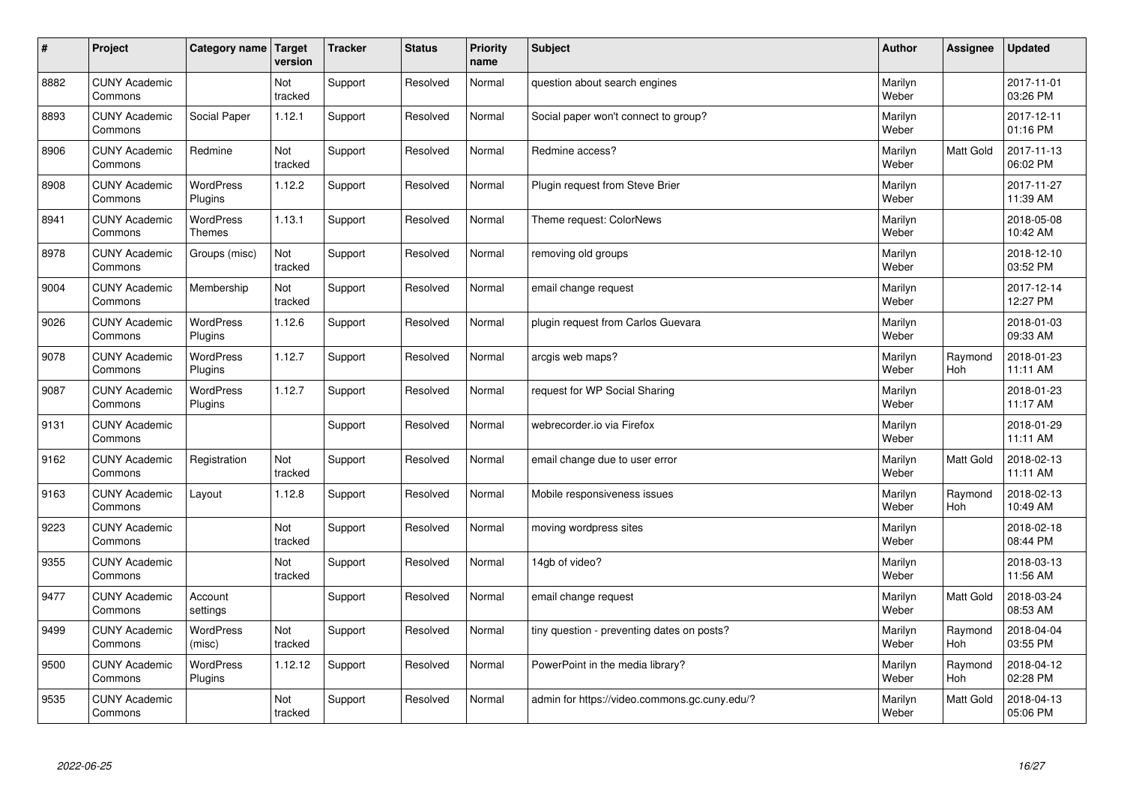| #    | Project                         | Category name   Target            | version        | <b>Tracker</b> | <b>Status</b> | <b>Priority</b><br>name | <b>Subject</b>                                | <b>Author</b>    | Assignee              | <b>Updated</b>         |
|------|---------------------------------|-----------------------------------|----------------|----------------|---------------|-------------------------|-----------------------------------------------|------------------|-----------------------|------------------------|
| 8882 | <b>CUNY Academic</b><br>Commons |                                   | Not<br>tracked | Support        | Resolved      | Normal                  | question about search engines                 | Marilyn<br>Weber |                       | 2017-11-01<br>03:26 PM |
| 8893 | <b>CUNY Academic</b><br>Commons | Social Paper                      | 1.12.1         | Support        | Resolved      | Normal                  | Social paper won't connect to group?          | Marilyn<br>Weber |                       | 2017-12-11<br>01:16 PM |
| 8906 | <b>CUNY Academic</b><br>Commons | Redmine                           | Not<br>tracked | Support        | Resolved      | Normal                  | Redmine access?                               | Marilyn<br>Weber | Matt Gold             | 2017-11-13<br>06:02 PM |
| 8908 | <b>CUNY Academic</b><br>Commons | <b>WordPress</b><br>Plugins       | 1.12.2         | Support        | Resolved      | Normal                  | Plugin request from Steve Brier               | Marilyn<br>Weber |                       | 2017-11-27<br>11:39 AM |
| 8941 | <b>CUNY Academic</b><br>Commons | <b>WordPress</b><br><b>Themes</b> | 1.13.1         | Support        | Resolved      | Normal                  | Theme request: ColorNews                      | Marilyn<br>Weber |                       | 2018-05-08<br>10:42 AM |
| 8978 | <b>CUNY Academic</b><br>Commons | Groups (misc)                     | Not<br>tracked | Support        | Resolved      | Normal                  | removing old groups                           | Marilyn<br>Weber |                       | 2018-12-10<br>03:52 PM |
| 9004 | <b>CUNY Academic</b><br>Commons | Membership                        | Not<br>tracked | Support        | Resolved      | Normal                  | email change request                          | Marilyn<br>Weber |                       | 2017-12-14<br>12:27 PM |
| 9026 | <b>CUNY Academic</b><br>Commons | WordPress<br>Plugins              | 1.12.6         | Support        | Resolved      | Normal                  | plugin request from Carlos Guevara            | Marilyn<br>Weber |                       | 2018-01-03<br>09:33 AM |
| 9078 | <b>CUNY Academic</b><br>Commons | WordPress<br>Plugins              | 1.12.7         | Support        | Resolved      | Normal                  | arcgis web maps?                              | Marilyn<br>Weber | Raymond<br>Hoh        | 2018-01-23<br>11:11 AM |
| 9087 | <b>CUNY Academic</b><br>Commons | WordPress<br>Plugins              | 1.12.7         | Support        | Resolved      | Normal                  | request for WP Social Sharing                 | Marilyn<br>Weber |                       | 2018-01-23<br>11:17 AM |
| 9131 | <b>CUNY Academic</b><br>Commons |                                   |                | Support        | Resolved      | Normal                  | webrecorder.io via Firefox                    | Marilyn<br>Weber |                       | 2018-01-29<br>11:11 AM |
| 9162 | <b>CUNY Academic</b><br>Commons | Registration                      | Not<br>tracked | Support        | Resolved      | Normal                  | email change due to user error                | Marilyn<br>Weber | Matt Gold             | 2018-02-13<br>11:11 AM |
| 9163 | <b>CUNY Academic</b><br>Commons | Layout                            | 1.12.8         | Support        | Resolved      | Normal                  | Mobile responsiveness issues                  | Marilyn<br>Weber | Raymond<br>Hoh        | 2018-02-13<br>10:49 AM |
| 9223 | <b>CUNY Academic</b><br>Commons |                                   | Not<br>tracked | Support        | Resolved      | Normal                  | moving wordpress sites                        | Marilyn<br>Weber |                       | 2018-02-18<br>08:44 PM |
| 9355 | <b>CUNY Academic</b><br>Commons |                                   | Not<br>tracked | Support        | Resolved      | Normal                  | 14gb of video?                                | Marilyn<br>Weber |                       | 2018-03-13<br>11:56 AM |
| 9477 | <b>CUNY Academic</b><br>Commons | Account<br>settings               |                | Support        | Resolved      | Normal                  | email change request                          | Marilyn<br>Weber | <b>Matt Gold</b>      | 2018-03-24<br>08:53 AM |
| 9499 | <b>CUNY Academic</b><br>Commons | <b>WordPress</b><br>(misc)        | Not<br>tracked | Support        | Resolved      | Normal                  | tiny question - preventing dates on posts?    | Marilyn<br>Weber | Raymond<br><b>Hoh</b> | 2018-04-04<br>03:55 PM |
| 9500 | <b>CUNY Academic</b><br>Commons | WordPress<br>Plugins              | 1.12.12        | Support        | Resolved      | Normal                  | PowerPoint in the media library?              | Marilyn<br>Weber | Raymond<br>Hoh        | 2018-04-12<br>02:28 PM |
| 9535 | <b>CUNY Academic</b><br>Commons |                                   | Not<br>tracked | Support        | Resolved      | Normal                  | admin for https://video.commons.gc.cuny.edu/? | Marilyn<br>Weber | <b>Matt Gold</b>      | 2018-04-13<br>05:06 PM |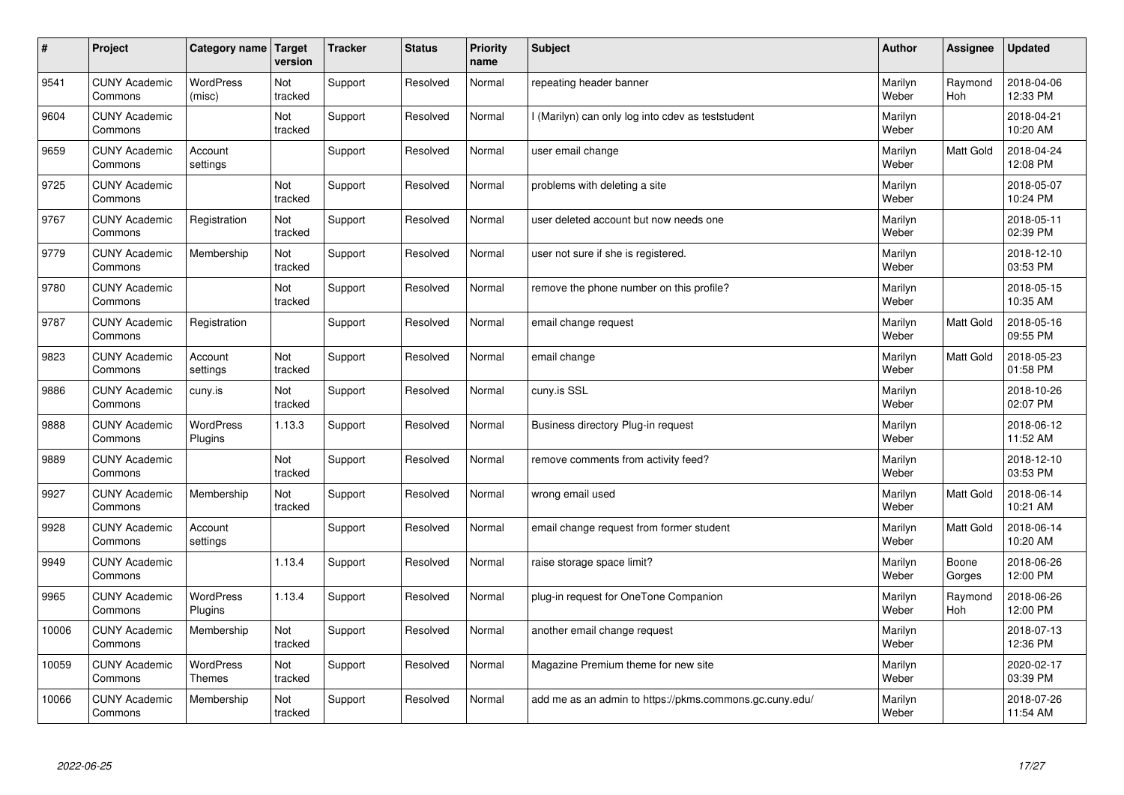| $\sharp$ | Project                         | Category name                     | Target<br>version | <b>Tracker</b> | <b>Status</b> | <b>Priority</b><br>name | <b>Subject</b>                                          | <b>Author</b>    | Assignee              | Updated                |
|----------|---------------------------------|-----------------------------------|-------------------|----------------|---------------|-------------------------|---------------------------------------------------------|------------------|-----------------------|------------------------|
| 9541     | <b>CUNY Academic</b><br>Commons | <b>WordPress</b><br>(misc)        | Not<br>tracked    | Support        | Resolved      | Normal                  | repeating header banner                                 | Marilyn<br>Weber | Raymond<br><b>Hoh</b> | 2018-04-06<br>12:33 PM |
| 9604     | <b>CUNY Academic</b><br>Commons |                                   | Not<br>tracked    | Support        | Resolved      | Normal                  | l (Marilyn) can only log into cdev as teststudent       | Marilyn<br>Weber |                       | 2018-04-21<br>10:20 AM |
| 9659     | <b>CUNY Academic</b><br>Commons | Account<br>settings               |                   | Support        | Resolved      | Normal                  | user email change                                       | Marilyn<br>Weber | <b>Matt Gold</b>      | 2018-04-24<br>12:08 PM |
| 9725     | <b>CUNY Academic</b><br>Commons |                                   | Not<br>tracked    | Support        | Resolved      | Normal                  | problems with deleting a site                           | Marilyn<br>Weber |                       | 2018-05-07<br>10:24 PM |
| 9767     | <b>CUNY Academic</b><br>Commons | Registration                      | Not<br>tracked    | Support        | Resolved      | Normal                  | user deleted account but now needs one                  | Marilyn<br>Weber |                       | 2018-05-11<br>02:39 PM |
| 9779     | <b>CUNY Academic</b><br>Commons | Membership                        | Not<br>tracked    | Support        | Resolved      | Normal                  | user not sure if she is registered.                     | Marilyn<br>Weber |                       | 2018-12-10<br>03:53 PM |
| 9780     | <b>CUNY Academic</b><br>Commons |                                   | Not<br>tracked    | Support        | Resolved      | Normal                  | remove the phone number on this profile?                | Marilyn<br>Weber |                       | 2018-05-15<br>10:35 AM |
| 9787     | <b>CUNY Academic</b><br>Commons | Registration                      |                   | Support        | Resolved      | Normal                  | email change request                                    | Marilyn<br>Weber | Matt Gold             | 2018-05-16<br>09:55 PM |
| 9823     | <b>CUNY Academic</b><br>Commons | Account<br>settings               | Not<br>tracked    | Support        | Resolved      | Normal                  | email change                                            | Marilyn<br>Weber | <b>Matt Gold</b>      | 2018-05-23<br>01:58 PM |
| 9886     | <b>CUNY Academic</b><br>Commons | cuny.is                           | Not<br>tracked    | Support        | Resolved      | Normal                  | cuny.is SSL                                             | Marilyn<br>Weber |                       | 2018-10-26<br>02:07 PM |
| 9888     | <b>CUNY Academic</b><br>Commons | WordPress<br>Plugins              | 1.13.3            | Support        | Resolved      | Normal                  | Business directory Plug-in request                      | Marilyn<br>Weber |                       | 2018-06-12<br>11:52 AM |
| 9889     | <b>CUNY Academic</b><br>Commons |                                   | Not<br>tracked    | Support        | Resolved      | Normal                  | remove comments from activity feed?                     | Marilyn<br>Weber |                       | 2018-12-10<br>03:53 PM |
| 9927     | <b>CUNY Academic</b><br>Commons | Membership                        | Not<br>tracked    | Support        | Resolved      | Normal                  | wrong email used                                        | Marilyn<br>Weber | Matt Gold             | 2018-06-14<br>10:21 AM |
| 9928     | <b>CUNY Academic</b><br>Commons | Account<br>settings               |                   | Support        | Resolved      | Normal                  | email change request from former student                | Marilyn<br>Weber | Matt Gold             | 2018-06-14<br>10:20 AM |
| 9949     | <b>CUNY Academic</b><br>Commons |                                   | 1.13.4            | Support        | Resolved      | Normal                  | raise storage space limit?                              | Marilyn<br>Weber | Boone<br>Gorges       | 2018-06-26<br>12:00 PM |
| 9965     | <b>CUNY Academic</b><br>Commons | <b>WordPress</b><br>Plugins       | 1.13.4            | Support        | Resolved      | Normal                  | plug-in request for OneTone Companion                   | Marilyn<br>Weber | Raymond<br><b>Hoh</b> | 2018-06-26<br>12:00 PM |
| 10006    | <b>CUNY Academic</b><br>Commons | Membership                        | Not<br>tracked    | Support        | Resolved      | Normal                  | another email change request                            | Marilyn<br>Weber |                       | 2018-07-13<br>12:36 PM |
| 10059    | <b>CUNY Academic</b><br>Commons | <b>WordPress</b><br><b>Themes</b> | Not<br>tracked    | Support        | Resolved      | Normal                  | Magazine Premium theme for new site                     | Marilyn<br>Weber |                       | 2020-02-17<br>03:39 PM |
| 10066    | <b>CUNY Academic</b><br>Commons | Membership                        | Not<br>tracked    | Support        | Resolved      | Normal                  | add me as an admin to https://pkms.commons.gc.cuny.edu/ | Marilyn<br>Weber |                       | 2018-07-26<br>11:54 AM |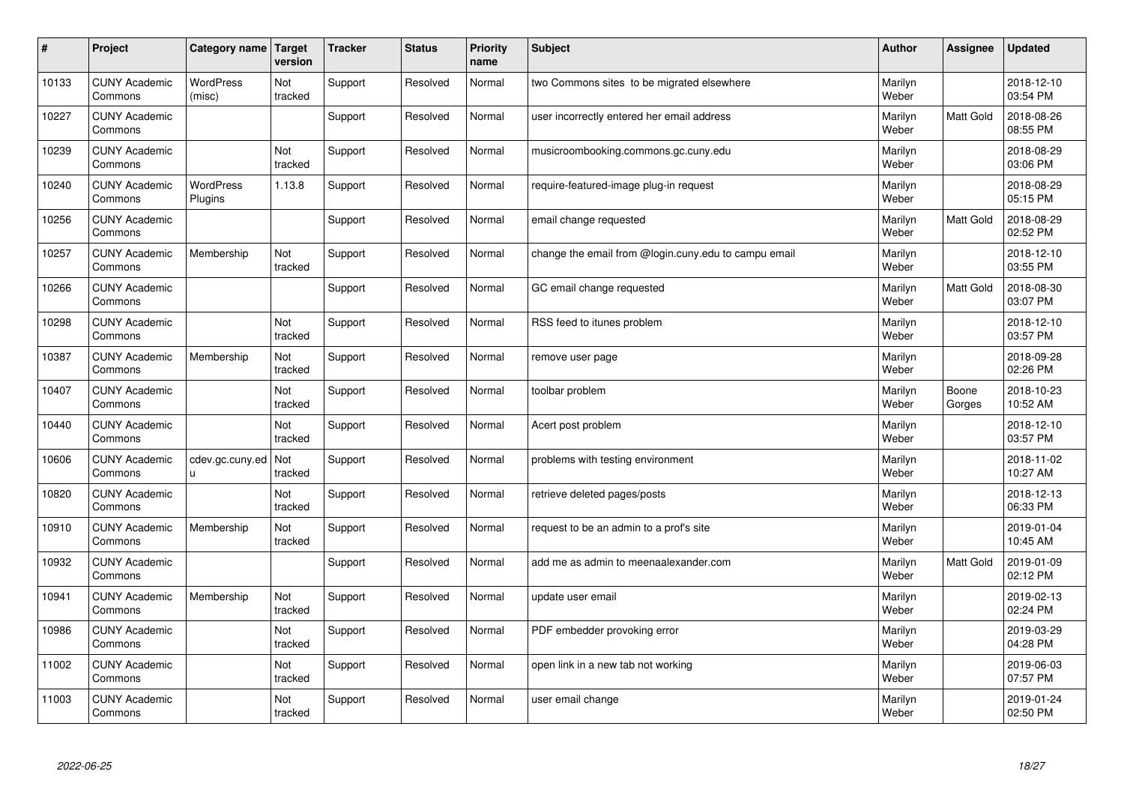| #     | Project                         | Category name               | Target<br>version | <b>Tracker</b> | <b>Status</b> | <b>Priority</b><br>name | <b>Subject</b>                                       | <b>Author</b>    | Assignee         | Updated                |
|-------|---------------------------------|-----------------------------|-------------------|----------------|---------------|-------------------------|------------------------------------------------------|------------------|------------------|------------------------|
| 10133 | <b>CUNY Academic</b><br>Commons | <b>WordPress</b><br>(misc)  | Not<br>tracked    | Support        | Resolved      | Normal                  | two Commons sites to be migrated elsewhere           | Marilyn<br>Weber |                  | 2018-12-10<br>03:54 PM |
| 10227 | <b>CUNY Academic</b><br>Commons |                             |                   | Support        | Resolved      | Normal                  | user incorrectly entered her email address           | Marilyn<br>Weber | <b>Matt Gold</b> | 2018-08-26<br>08:55 PM |
| 10239 | <b>CUNY Academic</b><br>Commons |                             | Not<br>tracked    | Support        | Resolved      | Normal                  | musicroombooking.commons.gc.cuny.edu                 | Marilyn<br>Weber |                  | 2018-08-29<br>03:06 PM |
| 10240 | <b>CUNY Academic</b><br>Commons | <b>WordPress</b><br>Plugins | 1.13.8            | Support        | Resolved      | Normal                  | require-featured-image plug-in request               | Marilyn<br>Weber |                  | 2018-08-29<br>05:15 PM |
| 10256 | <b>CUNY Academic</b><br>Commons |                             |                   | Support        | Resolved      | Normal                  | email change requested                               | Marilyn<br>Weber | <b>Matt Gold</b> | 2018-08-29<br>02:52 PM |
| 10257 | <b>CUNY Academic</b><br>Commons | Membership                  | Not<br>tracked    | Support        | Resolved      | Normal                  | change the email from @login.cuny.edu to campu email | Marilyn<br>Weber |                  | 2018-12-10<br>03:55 PM |
| 10266 | <b>CUNY Academic</b><br>Commons |                             |                   | Support        | Resolved      | Normal                  | GC email change requested                            | Marilyn<br>Weber | <b>Matt Gold</b> | 2018-08-30<br>03:07 PM |
| 10298 | <b>CUNY Academic</b><br>Commons |                             | Not<br>tracked    | Support        | Resolved      | Normal                  | RSS feed to itunes problem                           | Marilyn<br>Weber |                  | 2018-12-10<br>03:57 PM |
| 10387 | <b>CUNY Academic</b><br>Commons | Membership                  | Not<br>tracked    | Support        | Resolved      | Normal                  | remove user page                                     | Marilyn<br>Weber |                  | 2018-09-28<br>02:26 PM |
| 10407 | <b>CUNY Academic</b><br>Commons |                             | Not<br>tracked    | Support        | Resolved      | Normal                  | toolbar problem                                      | Marilyn<br>Weber | Boone<br>Gorges  | 2018-10-23<br>10:52 AM |
| 10440 | <b>CUNY Academic</b><br>Commons |                             | Not<br>tracked    | Support        | Resolved      | Normal                  | Acert post problem                                   | Marilyn<br>Weber |                  | 2018-12-10<br>03:57 PM |
| 10606 | <b>CUNY Academic</b><br>Commons | cdev.gc.cuny.ed<br>u.       | Not<br>tracked    | Support        | Resolved      | Normal                  | problems with testing environment                    | Marilyn<br>Weber |                  | 2018-11-02<br>10:27 AM |
| 10820 | <b>CUNY Academic</b><br>Commons |                             | Not<br>tracked    | Support        | Resolved      | Normal                  | retrieve deleted pages/posts                         | Marilyn<br>Weber |                  | 2018-12-13<br>06:33 PM |
| 10910 | <b>CUNY Academic</b><br>Commons | Membership                  | Not<br>tracked    | Support        | Resolved      | Normal                  | request to be an admin to a prof's site              | Marilyn<br>Weber |                  | 2019-01-04<br>10:45 AM |
| 10932 | <b>CUNY Academic</b><br>Commons |                             |                   | Support        | Resolved      | Normal                  | add me as admin to meenaalexander.com                | Marilyn<br>Weber | <b>Matt Gold</b> | 2019-01-09<br>02:12 PM |
| 10941 | <b>CUNY Academic</b><br>Commons | Membership                  | Not<br>tracked    | Support        | Resolved      | Normal                  | update user email                                    | Marilyn<br>Weber |                  | 2019-02-13<br>02:24 PM |
| 10986 | <b>CUNY Academic</b><br>Commons |                             | Not<br>tracked    | Support        | Resolved      | Normal                  | PDF embedder provoking error                         | Marilyn<br>Weber |                  | 2019-03-29<br>04:28 PM |
| 11002 | <b>CUNY Academic</b><br>Commons |                             | Not<br>tracked    | Support        | Resolved      | Normal                  | open link in a new tab not working                   | Marilyn<br>Weber |                  | 2019-06-03<br>07:57 PM |
| 11003 | <b>CUNY Academic</b><br>Commons |                             | Not<br>tracked    | Support        | Resolved      | Normal                  | user email change                                    | Marilyn<br>Weber |                  | 2019-01-24<br>02:50 PM |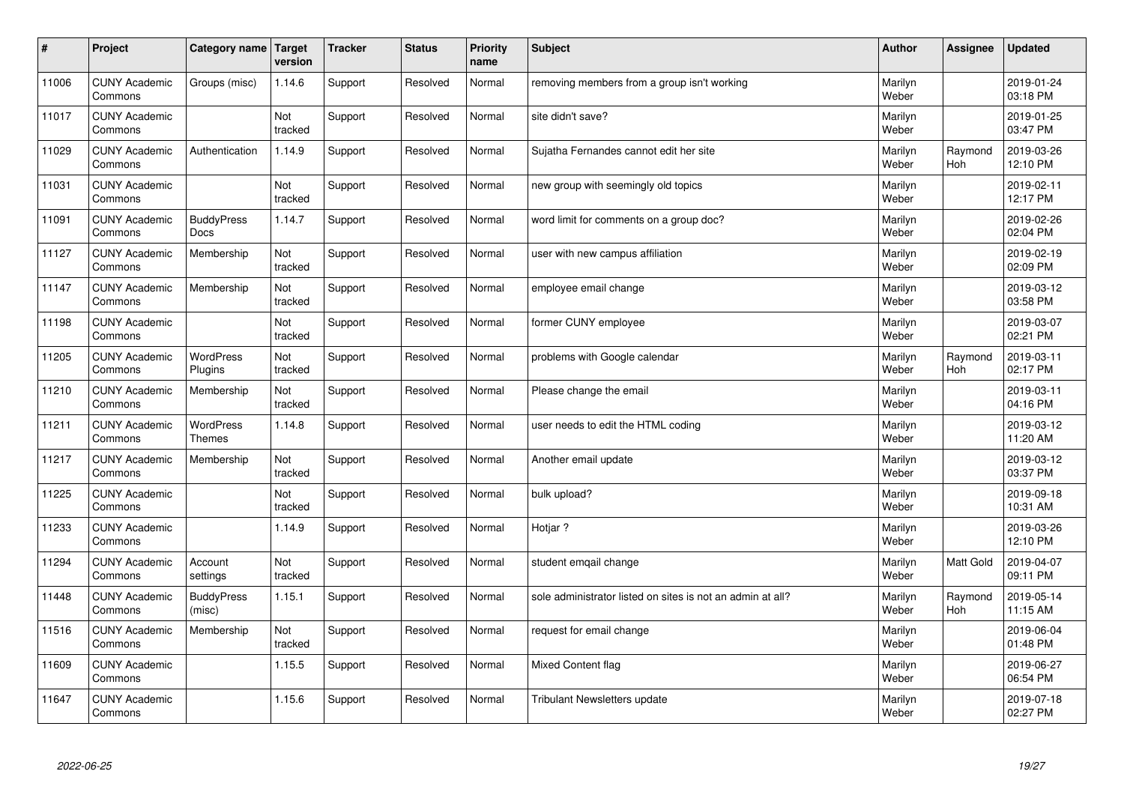| $\sharp$ | Project                         | Category name   Target            | version        | <b>Tracker</b> | <b>Status</b> | <b>Priority</b><br>name | <b>Subject</b>                                             | <b>Author</b>    | Assignee              | <b>Updated</b>         |
|----------|---------------------------------|-----------------------------------|----------------|----------------|---------------|-------------------------|------------------------------------------------------------|------------------|-----------------------|------------------------|
| 11006    | <b>CUNY Academic</b><br>Commons | Groups (misc)                     | 1.14.6         | Support        | Resolved      | Normal                  | removing members from a group isn't working                | Marilyn<br>Weber |                       | 2019-01-24<br>03:18 PM |
| 11017    | <b>CUNY Academic</b><br>Commons |                                   | Not<br>tracked | Support        | Resolved      | Normal                  | site didn't save?                                          | Marilyn<br>Weber |                       | 2019-01-25<br>03:47 PM |
| 11029    | <b>CUNY Academic</b><br>Commons | Authentication                    | 1.14.9         | Support        | Resolved      | Normal                  | Sujatha Fernandes cannot edit her site                     | Marilyn<br>Weber | Raymond<br>Hoh        | 2019-03-26<br>12:10 PM |
| 11031    | <b>CUNY Academic</b><br>Commons |                                   | Not<br>tracked | Support        | Resolved      | Normal                  | new group with seemingly old topics                        | Marilyn<br>Weber |                       | 2019-02-11<br>12:17 PM |
| 11091    | <b>CUNY Academic</b><br>Commons | <b>BuddyPress</b><br><b>Docs</b>  | 1.14.7         | Support        | Resolved      | Normal                  | word limit for comments on a group doc?                    | Marilyn<br>Weber |                       | 2019-02-26<br>02:04 PM |
| 11127    | <b>CUNY Academic</b><br>Commons | Membership                        | Not<br>tracked | Support        | Resolved      | Normal                  | user with new campus affiliation                           | Marilyn<br>Weber |                       | 2019-02-19<br>02:09 PM |
| 11147    | <b>CUNY Academic</b><br>Commons | Membership                        | Not<br>tracked | Support        | Resolved      | Normal                  | employee email change                                      | Marilyn<br>Weber |                       | 2019-03-12<br>03:58 PM |
| 11198    | <b>CUNY Academic</b><br>Commons |                                   | Not<br>tracked | Support        | Resolved      | Normal                  | former CUNY employee                                       | Marilyn<br>Weber |                       | 2019-03-07<br>02:21 PM |
| 11205    | <b>CUNY Academic</b><br>Commons | <b>WordPress</b><br>Plugins       | Not<br>tracked | Support        | Resolved      | Normal                  | problems with Google calendar                              | Marilyn<br>Weber | Raymond<br>Hoh        | 2019-03-11<br>02:17 PM |
| 11210    | <b>CUNY Academic</b><br>Commons | Membership                        | Not<br>tracked | Support        | Resolved      | Normal                  | Please change the email                                    | Marilyn<br>Weber |                       | 2019-03-11<br>04:16 PM |
| 11211    | <b>CUNY Academic</b><br>Commons | <b>WordPress</b><br><b>Themes</b> | 1.14.8         | Support        | Resolved      | Normal                  | user needs to edit the HTML coding                         | Marilyn<br>Weber |                       | 2019-03-12<br>11:20 AM |
| 11217    | <b>CUNY Academic</b><br>Commons | Membership                        | Not<br>tracked | Support        | Resolved      | Normal                  | Another email update                                       | Marilyn<br>Weber |                       | 2019-03-12<br>03:37 PM |
| 11225    | <b>CUNY Academic</b><br>Commons |                                   | Not<br>tracked | Support        | Resolved      | Normal                  | bulk upload?                                               | Marilyn<br>Weber |                       | 2019-09-18<br>10:31 AM |
| 11233    | <b>CUNY Academic</b><br>Commons |                                   | 1.14.9         | Support        | Resolved      | Normal                  | Hotjar ?                                                   | Marilyn<br>Weber |                       | 2019-03-26<br>12:10 PM |
| 11294    | <b>CUNY Academic</b><br>Commons | Account<br>settings               | Not<br>tracked | Support        | Resolved      | Normal                  | student emqail change                                      | Marilyn<br>Weber | Matt Gold             | 2019-04-07<br>09:11 PM |
| 11448    | <b>CUNY Academic</b><br>Commons | <b>BuddyPress</b><br>(misc)       | 1.15.1         | Support        | Resolved      | Normal                  | sole administrator listed on sites is not an admin at all? | Marilyn<br>Weber | Raymond<br><b>Hoh</b> | 2019-05-14<br>11:15 AM |
| 11516    | <b>CUNY Academic</b><br>Commons | Membership                        | Not<br>tracked | Support        | Resolved      | Normal                  | request for email change                                   | Marilyn<br>Weber |                       | 2019-06-04<br>01:48 PM |
| 11609    | <b>CUNY Academic</b><br>Commons |                                   | 1.15.5         | Support        | Resolved      | Normal                  | <b>Mixed Content flag</b>                                  | Marilyn<br>Weber |                       | 2019-06-27<br>06:54 PM |
| 11647    | <b>CUNY Academic</b><br>Commons |                                   | 1.15.6         | Support        | Resolved      | Normal                  | <b>Tribulant Newsletters update</b>                        | Marilyn<br>Weber |                       | 2019-07-18<br>02:27 PM |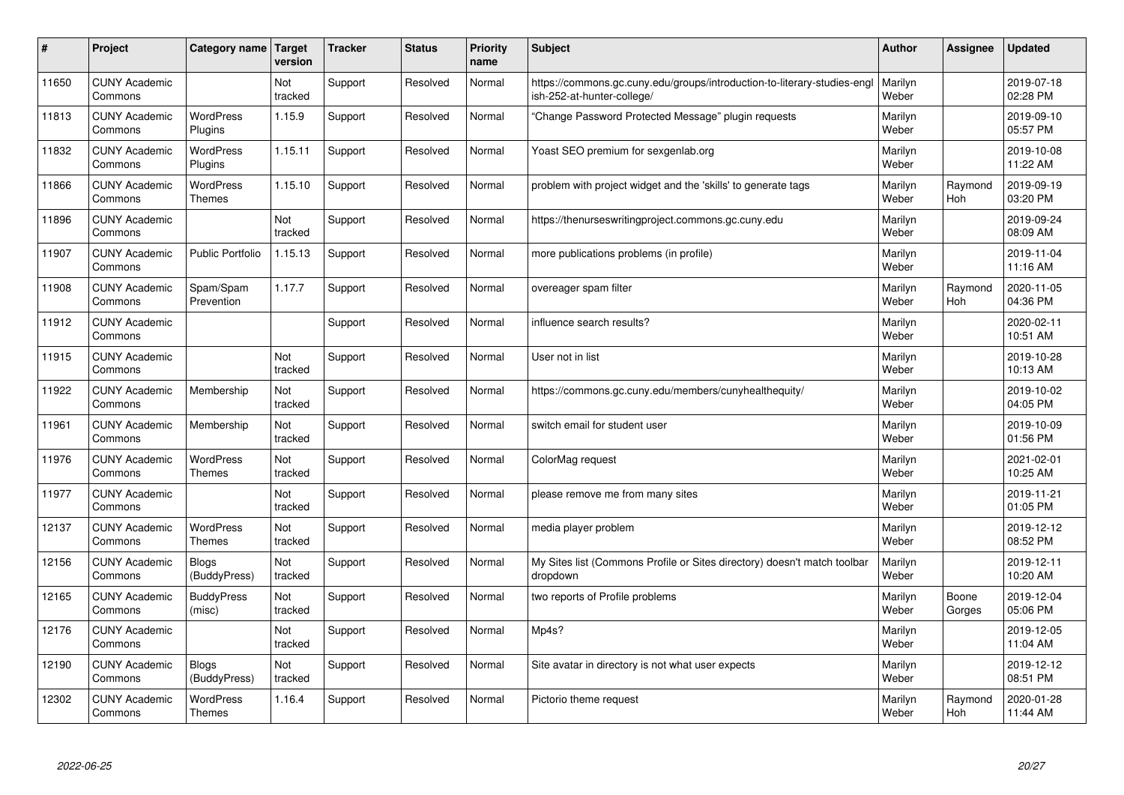| #     | Project                         | Category name                     | Target<br>version | <b>Tracker</b> | <b>Status</b> | <b>Priority</b><br>name | <b>Subject</b>                                                                                         | <b>Author</b>    | Assignee              | Updated                |
|-------|---------------------------------|-----------------------------------|-------------------|----------------|---------------|-------------------------|--------------------------------------------------------------------------------------------------------|------------------|-----------------------|------------------------|
| 11650 | <b>CUNY Academic</b><br>Commons |                                   | Not<br>tracked    | Support        | Resolved      | Normal                  | https://commons.gc.cuny.edu/groups/introduction-to-literary-studies-engl<br>ish-252-at-hunter-college/ | Marilyn<br>Weber |                       | 2019-07-18<br>02:28 PM |
| 11813 | <b>CUNY Academic</b><br>Commons | <b>WordPress</b><br>Plugins       | 1.15.9            | Support        | Resolved      | Normal                  | 'Change Password Protected Message" plugin requests                                                    | Marilyn<br>Weber |                       | 2019-09-10<br>05:57 PM |
| 11832 | <b>CUNY Academic</b><br>Commons | <b>WordPress</b><br>Plugins       | 1.15.11           | Support        | Resolved      | Normal                  | Yoast SEO premium for sexgenlab.org                                                                    | Marilyn<br>Weber |                       | 2019-10-08<br>11:22 AM |
| 11866 | <b>CUNY Academic</b><br>Commons | <b>WordPress</b><br><b>Themes</b> | 1.15.10           | Support        | Resolved      | Normal                  | problem with project widget and the 'skills' to generate tags                                          | Marilyn<br>Weber | Raymond<br><b>Hoh</b> | 2019-09-19<br>03:20 PM |
| 11896 | <b>CUNY Academic</b><br>Commons |                                   | Not<br>tracked    | Support        | Resolved      | Normal                  | https://thenurseswritingproject.commons.gc.cuny.edu                                                    | Marilyn<br>Weber |                       | 2019-09-24<br>08:09 AM |
| 11907 | <b>CUNY Academic</b><br>Commons | <b>Public Portfolio</b>           | 1.15.13           | Support        | Resolved      | Normal                  | more publications problems (in profile)                                                                | Marilyn<br>Weber |                       | 2019-11-04<br>11:16 AM |
| 11908 | <b>CUNY Academic</b><br>Commons | Spam/Spam<br>Prevention           | 1.17.7            | Support        | Resolved      | Normal                  | overeager spam filter                                                                                  | Marilyn<br>Weber | Raymond<br>Hoh        | 2020-11-05<br>04:36 PM |
| 11912 | <b>CUNY Academic</b><br>Commons |                                   |                   | Support        | Resolved      | Normal                  | influence search results?                                                                              | Marilyn<br>Weber |                       | 2020-02-11<br>10:51 AM |
| 11915 | <b>CUNY Academic</b><br>Commons |                                   | Not<br>tracked    | Support        | Resolved      | Normal                  | User not in list                                                                                       | Marilyn<br>Weber |                       | 2019-10-28<br>10:13 AM |
| 11922 | <b>CUNY Academic</b><br>Commons | Membership                        | Not<br>tracked    | Support        | Resolved      | Normal                  | https://commons.gc.cuny.edu/members/cunyhealthequity/                                                  | Marilyn<br>Weber |                       | 2019-10-02<br>04:05 PM |
| 11961 | <b>CUNY Academic</b><br>Commons | Membership                        | Not<br>tracked    | Support        | Resolved      | Normal                  | switch email for student user                                                                          | Marilyn<br>Weber |                       | 2019-10-09<br>01:56 PM |
| 11976 | <b>CUNY Academic</b><br>Commons | <b>WordPress</b><br><b>Themes</b> | Not<br>tracked    | Support        | Resolved      | Normal                  | ColorMag request                                                                                       | Marilyn<br>Weber |                       | 2021-02-01<br>10:25 AM |
| 11977 | <b>CUNY Academic</b><br>Commons |                                   | Not<br>tracked    | Support        | Resolved      | Normal                  | please remove me from many sites                                                                       | Marilyn<br>Weber |                       | 2019-11-21<br>01:05 PM |
| 12137 | <b>CUNY Academic</b><br>Commons | <b>WordPress</b><br><b>Themes</b> | Not<br>tracked    | Support        | Resolved      | Normal                  | media player problem                                                                                   | Marilyn<br>Weber |                       | 2019-12-12<br>08:52 PM |
| 12156 | <b>CUNY Academic</b><br>Commons | <b>Blogs</b><br>(BuddyPress)      | Not<br>tracked    | Support        | Resolved      | Normal                  | My Sites list (Commons Profile or Sites directory) doesn't match toolbar<br>dropdown                   | Marilyn<br>Weber |                       | 2019-12-11<br>10:20 AM |
| 12165 | <b>CUNY Academic</b><br>Commons | <b>BuddyPress</b><br>(misc)       | Not<br>tracked    | Support        | Resolved      | Normal                  | two reports of Profile problems                                                                        | Marilyn<br>Weber | Boone<br>Gorges       | 2019-12-04<br>05:06 PM |
| 12176 | <b>CUNY Academic</b><br>Commons |                                   | Not<br>tracked    | Support        | Resolved      | Normal                  | Mp4s?                                                                                                  | Marilyn<br>Weber |                       | 2019-12-05<br>11:04 AM |
| 12190 | <b>CUNY Academic</b><br>Commons | <b>Blogs</b><br>(BuddyPress)      | Not<br>tracked    | Support        | Resolved      | Normal                  | Site avatar in directory is not what user expects                                                      | Marilyn<br>Weber |                       | 2019-12-12<br>08:51 PM |
| 12302 | <b>CUNY Academic</b><br>Commons | <b>WordPress</b><br><b>Themes</b> | 1.16.4            | Support        | Resolved      | Normal                  | Pictorio theme request                                                                                 | Marilyn<br>Weber | Raymond<br>Hoh        | 2020-01-28<br>11:44 AM |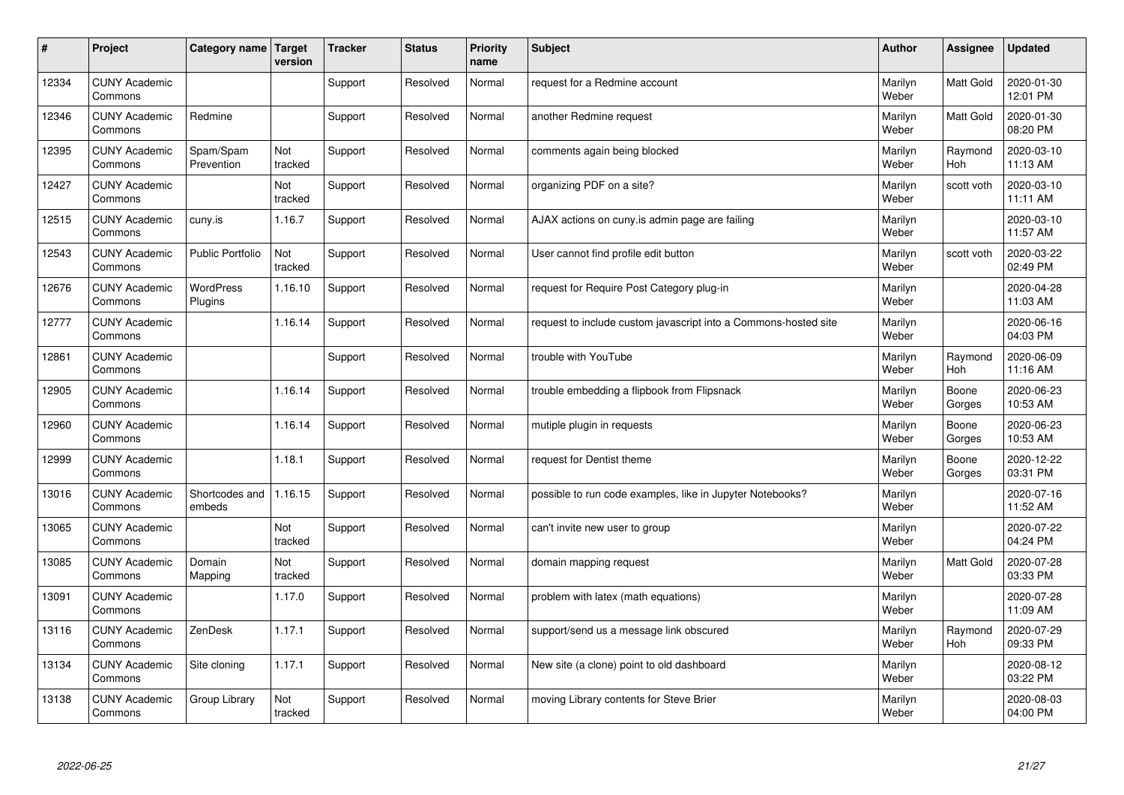| $\sharp$ | Project                         | Category name   Target      | version        | <b>Tracker</b> | <b>Status</b> | <b>Priority</b><br>name | <b>Subject</b>                                                  | <b>Author</b>    | Assignee         | <b>Updated</b>         |
|----------|---------------------------------|-----------------------------|----------------|----------------|---------------|-------------------------|-----------------------------------------------------------------|------------------|------------------|------------------------|
| 12334    | <b>CUNY Academic</b><br>Commons |                             |                | Support        | Resolved      | Normal                  | request for a Redmine account                                   | Marilyn<br>Weber | <b>Matt Gold</b> | 2020-01-30<br>12:01 PM |
| 12346    | <b>CUNY Academic</b><br>Commons | Redmine                     |                | Support        | Resolved      | Normal                  | another Redmine request                                         | Marilyn<br>Weber | <b>Matt Gold</b> | 2020-01-30<br>08:20 PM |
| 12395    | <b>CUNY Academic</b><br>Commons | Spam/Spam<br>Prevention     | Not<br>tracked | Support        | Resolved      | Normal                  | comments again being blocked                                    | Marilyn<br>Weber | Raymond<br>Hoh   | 2020-03-10<br>11:13 AM |
| 12427    | <b>CUNY Academic</b><br>Commons |                             | Not<br>tracked | Support        | Resolved      | Normal                  | organizing PDF on a site?                                       | Marilyn<br>Weber | scott voth       | 2020-03-10<br>11:11 AM |
| 12515    | <b>CUNY Academic</b><br>Commons | cuny.is                     | 1.16.7         | Support        | Resolved      | Normal                  | AJAX actions on cuny is admin page are failing                  | Marilyn<br>Weber |                  | 2020-03-10<br>11:57 AM |
| 12543    | <b>CUNY Academic</b><br>Commons | <b>Public Portfolio</b>     | Not<br>tracked | Support        | Resolved      | Normal                  | User cannot find profile edit button                            | Marilyn<br>Weber | scott voth       | 2020-03-22<br>02:49 PM |
| 12676    | <b>CUNY Academic</b><br>Commons | <b>WordPress</b><br>Plugins | 1.16.10        | Support        | Resolved      | Normal                  | request for Require Post Category plug-in                       | Marilyn<br>Weber |                  | 2020-04-28<br>11:03 AM |
| 12777    | <b>CUNY Academic</b><br>Commons |                             | 1.16.14        | Support        | Resolved      | Normal                  | request to include custom javascript into a Commons-hosted site | Marilyn<br>Weber |                  | 2020-06-16<br>04:03 PM |
| 12861    | <b>CUNY Academic</b><br>Commons |                             |                | Support        | Resolved      | Normal                  | trouble with YouTube                                            | Marilyn<br>Weber | Raymond<br>Hoh   | 2020-06-09<br>11:16 AM |
| 12905    | <b>CUNY Academic</b><br>Commons |                             | 1.16.14        | Support        | Resolved      | Normal                  | trouble embedding a flipbook from Flipsnack                     | Marilyn<br>Weber | Boone<br>Gorges  | 2020-06-23<br>10:53 AM |
| 12960    | <b>CUNY Academic</b><br>Commons |                             | 1.16.14        | Support        | Resolved      | Normal                  | mutiple plugin in requests                                      | Marilyn<br>Weber | Boone<br>Gorges  | 2020-06-23<br>10:53 AM |
| 12999    | <b>CUNY Academic</b><br>Commons |                             | 1.18.1         | Support        | Resolved      | Normal                  | request for Dentist theme                                       | Marilyn<br>Weber | Boone<br>Gorges  | 2020-12-22<br>03:31 PM |
| 13016    | <b>CUNY Academic</b><br>Commons | Shortcodes and<br>embeds    | 1.16.15        | Support        | Resolved      | Normal                  | possible to run code examples, like in Jupyter Notebooks?       | Marilyn<br>Weber |                  | 2020-07-16<br>11:52 AM |
| 13065    | <b>CUNY Academic</b><br>Commons |                             | Not<br>tracked | Support        | Resolved      | Normal                  | can't invite new user to group                                  | Marilyn<br>Weber |                  | 2020-07-22<br>04:24 PM |
| 13085    | <b>CUNY Academic</b><br>Commons | Domain<br>Mapping           | Not<br>tracked | Support        | Resolved      | Normal                  | domain mapping request                                          | Marilyn<br>Weber | Matt Gold        | 2020-07-28<br>03:33 PM |
| 13091    | <b>CUNY Academic</b><br>Commons |                             | 1.17.0         | Support        | Resolved      | Normal                  | problem with latex (math equations)                             | Marilyn<br>Weber |                  | 2020-07-28<br>11:09 AM |
| 13116    | <b>CUNY Academic</b><br>Commons | ZenDesk                     | 1.17.1         | Support        | Resolved      | Normal                  | support/send us a message link obscured                         | Marilyn<br>Weber | Raymond<br>Hoh   | 2020-07-29<br>09:33 PM |
| 13134    | <b>CUNY Academic</b><br>Commons | Site cloning                | 1.17.1         | Support        | Resolved      | Normal                  | New site (a clone) point to old dashboard                       | Marilyn<br>Weber |                  | 2020-08-12<br>03:22 PM |
| 13138    | <b>CUNY Academic</b><br>Commons | Group Library               | Not<br>tracked | Support        | Resolved      | Normal                  | moving Library contents for Steve Brier                         | Marilyn<br>Weber |                  | 2020-08-03<br>04:00 PM |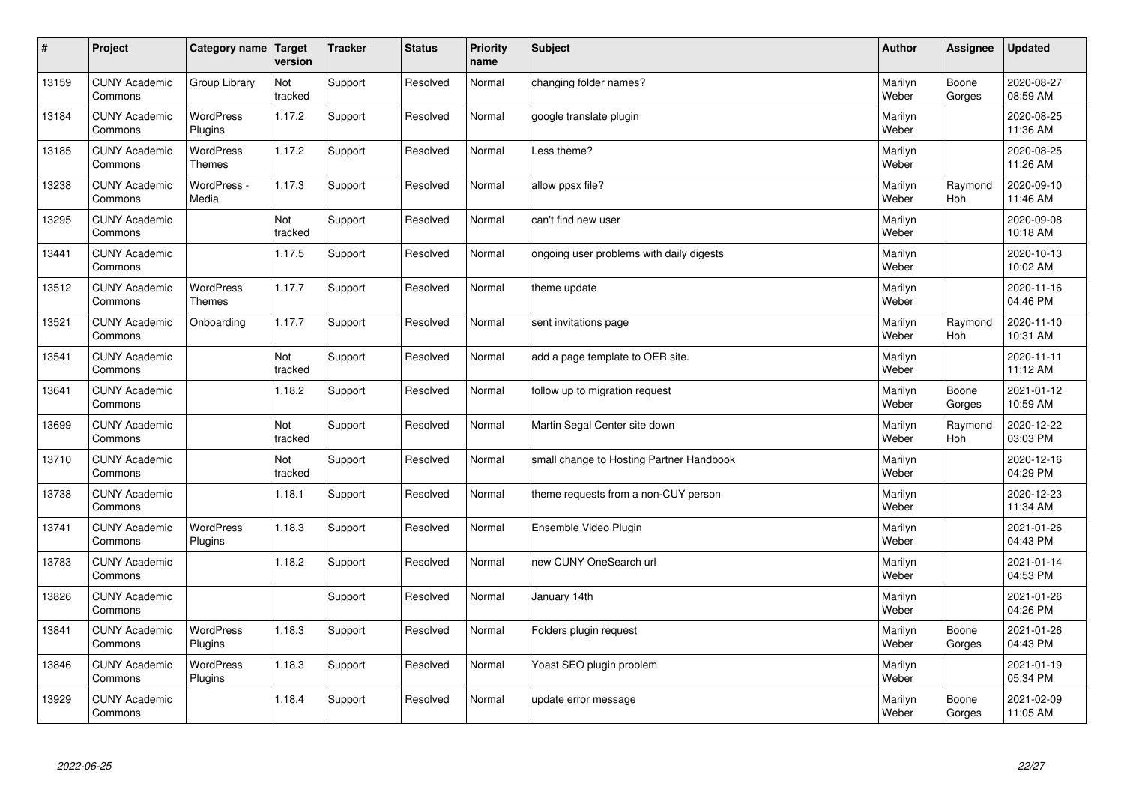| $\sharp$ | Project                         | Category name   Target            | version        | <b>Tracker</b> | <b>Status</b> | <b>Priority</b><br>name | <b>Subject</b>                           | <b>Author</b>    | Assignee              | <b>Updated</b>         |
|----------|---------------------------------|-----------------------------------|----------------|----------------|---------------|-------------------------|------------------------------------------|------------------|-----------------------|------------------------|
| 13159    | <b>CUNY Academic</b><br>Commons | Group Library                     | Not<br>tracked | Support        | Resolved      | Normal                  | changing folder names?                   | Marilyn<br>Weber | Boone<br>Gorges       | 2020-08-27<br>08:59 AM |
| 13184    | <b>CUNY Academic</b><br>Commons | <b>WordPress</b><br>Plugins       | 1.17.2         | Support        | Resolved      | Normal                  | google translate plugin                  | Marilyn<br>Weber |                       | 2020-08-25<br>11:36 AM |
| 13185    | <b>CUNY Academic</b><br>Commons | <b>WordPress</b><br><b>Themes</b> | 1.17.2         | Support        | Resolved      | Normal                  | Less theme?                              | Marilyn<br>Weber |                       | 2020-08-25<br>11:26 AM |
| 13238    | <b>CUNY Academic</b><br>Commons | WordPress -<br>Media              | 1.17.3         | Support        | Resolved      | Normal                  | allow ppsx file?                         | Marilyn<br>Weber | Raymond<br><b>Hoh</b> | 2020-09-10<br>11:46 AM |
| 13295    | <b>CUNY Academic</b><br>Commons |                                   | Not<br>tracked | Support        | Resolved      | Normal                  | can't find new user                      | Marilyn<br>Weber |                       | 2020-09-08<br>10:18 AM |
| 13441    | <b>CUNY Academic</b><br>Commons |                                   | 1.17.5         | Support        | Resolved      | Normal                  | ongoing user problems with daily digests | Marilyn<br>Weber |                       | 2020-10-13<br>10:02 AM |
| 13512    | <b>CUNY Academic</b><br>Commons | <b>WordPress</b><br><b>Themes</b> | 1.17.7         | Support        | Resolved      | Normal                  | theme update                             | Marilyn<br>Weber |                       | 2020-11-16<br>04:46 PM |
| 13521    | <b>CUNY Academic</b><br>Commons | Onboarding                        | 1.17.7         | Support        | Resolved      | Normal                  | sent invitations page                    | Marilyn<br>Weber | Raymond<br>Hoh        | 2020-11-10<br>10:31 AM |
| 13541    | <b>CUNY Academic</b><br>Commons |                                   | Not<br>tracked | Support        | Resolved      | Normal                  | add a page template to OER site.         | Marilyn<br>Weber |                       | 2020-11-11<br>11:12 AM |
| 13641    | <b>CUNY Academic</b><br>Commons |                                   | 1.18.2         | Support        | Resolved      | Normal                  | follow up to migration request           | Marilyn<br>Weber | Boone<br>Gorges       | 2021-01-12<br>10:59 AM |
| 13699    | <b>CUNY Academic</b><br>Commons |                                   | Not<br>tracked | Support        | Resolved      | Normal                  | Martin Segal Center site down            | Marilyn<br>Weber | Raymond<br><b>Hoh</b> | 2020-12-22<br>03:03 PM |
| 13710    | <b>CUNY Academic</b><br>Commons |                                   | Not<br>tracked | Support        | Resolved      | Normal                  | small change to Hosting Partner Handbook | Marilyn<br>Weber |                       | 2020-12-16<br>04:29 PM |
| 13738    | <b>CUNY Academic</b><br>Commons |                                   | 1.18.1         | Support        | Resolved      | Normal                  | theme requests from a non-CUY person     | Marilyn<br>Weber |                       | 2020-12-23<br>11:34 AM |
| 13741    | <b>CUNY Academic</b><br>Commons | <b>WordPress</b><br>Plugins       | 1.18.3         | Support        | Resolved      | Normal                  | Ensemble Video Plugin                    | Marilyn<br>Weber |                       | 2021-01-26<br>04:43 PM |
| 13783    | <b>CUNY Academic</b><br>Commons |                                   | 1.18.2         | Support        | Resolved      | Normal                  | new CUNY OneSearch url                   | Marilyn<br>Weber |                       | 2021-01-14<br>04:53 PM |
| 13826    | <b>CUNY Academic</b><br>Commons |                                   |                | Support        | Resolved      | Normal                  | January 14th                             | Marilyn<br>Weber |                       | 2021-01-26<br>04:26 PM |
| 13841    | <b>CUNY Academic</b><br>Commons | <b>WordPress</b><br>Plugins       | 1.18.3         | Support        | Resolved      | Normal                  | Folders plugin request                   | Marilyn<br>Weber | Boone<br>Gorges       | 2021-01-26<br>04:43 PM |
| 13846    | <b>CUNY Academic</b><br>Commons | <b>WordPress</b><br>Plugins       | 1.18.3         | Support        | Resolved      | Normal                  | Yoast SEO plugin problem                 | Marilyn<br>Weber |                       | 2021-01-19<br>05:34 PM |
| 13929    | <b>CUNY Academic</b><br>Commons |                                   | 1.18.4         | Support        | Resolved      | Normal                  | update error message                     | Marilyn<br>Weber | Boone<br>Gorges       | 2021-02-09<br>11:05 AM |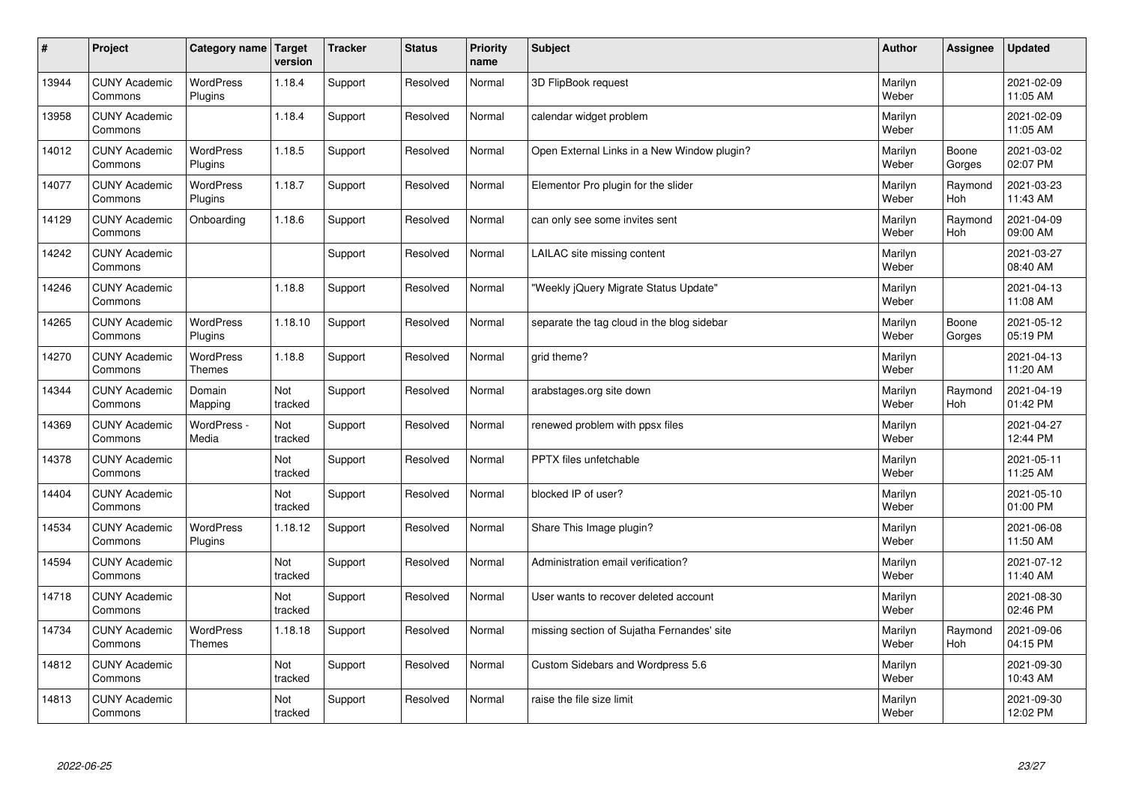| $\sharp$ | Project                         | Category name   Target      | version        | <b>Tracker</b> | <b>Status</b> | <b>Priority</b><br>name | <b>Subject</b>                              | <b>Author</b>    | Assignee              | <b>Updated</b>         |
|----------|---------------------------------|-----------------------------|----------------|----------------|---------------|-------------------------|---------------------------------------------|------------------|-----------------------|------------------------|
| 13944    | <b>CUNY Academic</b><br>Commons | <b>WordPress</b><br>Plugins | 1.18.4         | Support        | Resolved      | Normal                  | 3D FlipBook request                         | Marilyn<br>Weber |                       | 2021-02-09<br>11:05 AM |
| 13958    | <b>CUNY Academic</b><br>Commons |                             | 1.18.4         | Support        | Resolved      | Normal                  | calendar widget problem                     | Marilyn<br>Weber |                       | 2021-02-09<br>11:05 AM |
| 14012    | <b>CUNY Academic</b><br>Commons | <b>WordPress</b><br>Plugins | 1.18.5         | Support        | Resolved      | Normal                  | Open External Links in a New Window plugin? | Marilyn<br>Weber | Boone<br>Gorges       | 2021-03-02<br>02:07 PM |
| 14077    | <b>CUNY Academic</b><br>Commons | <b>WordPress</b><br>Plugins | 1.18.7         | Support        | Resolved      | Normal                  | Elementor Pro plugin for the slider         | Marilyn<br>Weber | Raymond<br>Hoh        | 2021-03-23<br>11:43 AM |
| 14129    | <b>CUNY Academic</b><br>Commons | Onboarding                  | 1.18.6         | Support        | Resolved      | Normal                  | can only see some invites sent              | Marilyn<br>Weber | Raymond<br><b>Hoh</b> | 2021-04-09<br>09:00 AM |
| 14242    | <b>CUNY Academic</b><br>Commons |                             |                | Support        | Resolved      | Normal                  | LAILAC site missing content                 | Marilyn<br>Weber |                       | 2021-03-27<br>08:40 AM |
| 14246    | <b>CUNY Academic</b><br>Commons |                             | 1.18.8         | Support        | Resolved      | Normal                  | 'Weekly jQuery Migrate Status Update"       | Marilyn<br>Weber |                       | 2021-04-13<br>11:08 AM |
| 14265    | <b>CUNY Academic</b><br>Commons | <b>WordPress</b><br>Plugins | 1.18.10        | Support        | Resolved      | Normal                  | separate the tag cloud in the blog sidebar  | Marilyn<br>Weber | Boone<br>Gorges       | 2021-05-12<br>05:19 PM |
| 14270    | <b>CUNY Academic</b><br>Commons | WordPress<br><b>Themes</b>  | 1.18.8         | Support        | Resolved      | Normal                  | grid theme?                                 | Marilyn<br>Weber |                       | 2021-04-13<br>11:20 AM |
| 14344    | <b>CUNY Academic</b><br>Commons | Domain<br>Mapping           | Not<br>tracked | Support        | Resolved      | Normal                  | arabstages.org site down                    | Marilyn<br>Weber | Raymond<br>Hoh        | 2021-04-19<br>01:42 PM |
| 14369    | <b>CUNY Academic</b><br>Commons | WordPress -<br>Media        | Not<br>tracked | Support        | Resolved      | Normal                  | renewed problem with ppsx files             | Marilyn<br>Weber |                       | 2021-04-27<br>12:44 PM |
| 14378    | <b>CUNY Academic</b><br>Commons |                             | Not<br>tracked | Support        | Resolved      | Normal                  | PPTX files unfetchable                      | Marilyn<br>Weber |                       | 2021-05-11<br>11:25 AM |
| 14404    | <b>CUNY Academic</b><br>Commons |                             | Not<br>tracked | Support        | Resolved      | Normal                  | blocked IP of user?                         | Marilyn<br>Weber |                       | 2021-05-10<br>01:00 PM |
| 14534    | <b>CUNY Academic</b><br>Commons | <b>WordPress</b><br>Plugins | 1.18.12        | Support        | Resolved      | Normal                  | Share This Image plugin?                    | Marilyn<br>Weber |                       | 2021-06-08<br>11:50 AM |
| 14594    | <b>CUNY Academic</b><br>Commons |                             | Not<br>tracked | Support        | Resolved      | Normal                  | Administration email verification?          | Marilyn<br>Weber |                       | 2021-07-12<br>11:40 AM |
| 14718    | <b>CUNY Academic</b><br>Commons |                             | Not<br>tracked | Support        | Resolved      | Normal                  | User wants to recover deleted account       | Marilyn<br>Weber |                       | 2021-08-30<br>02:46 PM |
| 14734    | <b>CUNY Academic</b><br>Commons | WordPress<br>Themes         | 1.18.18        | Support        | Resolved      | Normal                  | missing section of Sujatha Fernandes' site  | Marilyn<br>Weber | Raymond<br><b>Hoh</b> | 2021-09-06<br>04:15 PM |
| 14812    | <b>CUNY Academic</b><br>Commons |                             | Not<br>tracked | Support        | Resolved      | Normal                  | Custom Sidebars and Wordpress 5.6           | Marilyn<br>Weber |                       | 2021-09-30<br>10:43 AM |
| 14813    | <b>CUNY Academic</b><br>Commons |                             | Not<br>tracked | Support        | Resolved      | Normal                  | raise the file size limit                   | Marilyn<br>Weber |                       | 2021-09-30<br>12:02 PM |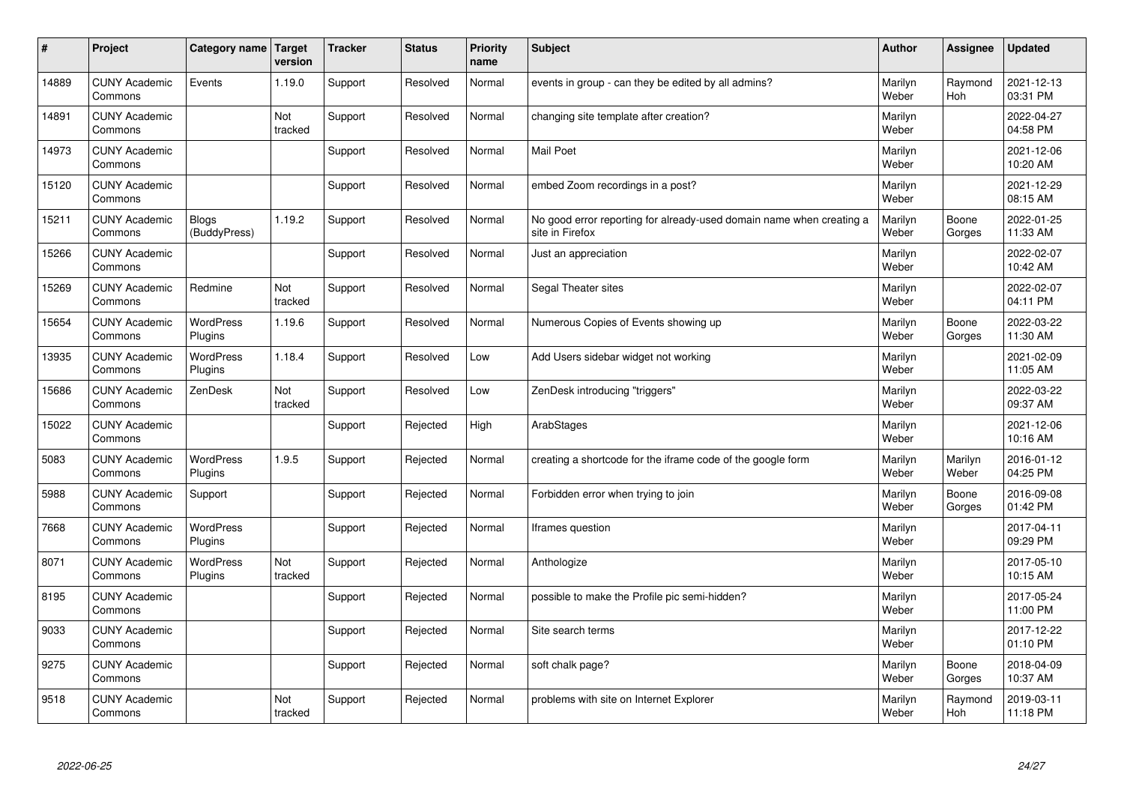| #     | Project                         | Category name   Target       | version        | <b>Tracker</b> | <b>Status</b> | <b>Priority</b><br>name | <b>Subject</b>                                                                          | <b>Author</b>    | Assignee              | <b>Updated</b>         |
|-------|---------------------------------|------------------------------|----------------|----------------|---------------|-------------------------|-----------------------------------------------------------------------------------------|------------------|-----------------------|------------------------|
| 14889 | <b>CUNY Academic</b><br>Commons | Events                       | 1.19.0         | Support        | Resolved      | Normal                  | events in group - can they be edited by all admins?                                     | Marilyn<br>Weber | Raymond<br><b>Hoh</b> | 2021-12-13<br>03:31 PM |
| 14891 | <b>CUNY Academic</b><br>Commons |                              | Not<br>tracked | Support        | Resolved      | Normal                  | changing site template after creation?                                                  | Marilyn<br>Weber |                       | 2022-04-27<br>04:58 PM |
| 14973 | <b>CUNY Academic</b><br>Commons |                              |                | Support        | Resolved      | Normal                  | <b>Mail Poet</b>                                                                        | Marilyn<br>Weber |                       | 2021-12-06<br>10:20 AM |
| 15120 | <b>CUNY Academic</b><br>Commons |                              |                | Support        | Resolved      | Normal                  | embed Zoom recordings in a post?                                                        | Marilyn<br>Weber |                       | 2021-12-29<br>08:15 AM |
| 15211 | <b>CUNY Academic</b><br>Commons | <b>Blogs</b><br>(BuddyPress) | 1.19.2         | Support        | Resolved      | Normal                  | No good error reporting for already-used domain name when creating a<br>site in Firefox | Marilyn<br>Weber | Boone<br>Gorges       | 2022-01-25<br>11:33 AM |
| 15266 | <b>CUNY Academic</b><br>Commons |                              |                | Support        | Resolved      | Normal                  | Just an appreciation                                                                    | Marilyn<br>Weber |                       | 2022-02-07<br>10:42 AM |
| 15269 | <b>CUNY Academic</b><br>Commons | Redmine                      | Not<br>tracked | Support        | Resolved      | Normal                  | Segal Theater sites                                                                     | Marilyn<br>Weber |                       | 2022-02-07<br>04:11 PM |
| 15654 | <b>CUNY Academic</b><br>Commons | WordPress<br>Plugins         | 1.19.6         | Support        | Resolved      | Normal                  | Numerous Copies of Events showing up                                                    | Marilyn<br>Weber | Boone<br>Gorges       | 2022-03-22<br>11:30 AM |
| 13935 | <b>CUNY Academic</b><br>Commons | WordPress<br>Plugins         | 1.18.4         | Support        | Resolved      | Low                     | Add Users sidebar widget not working                                                    | Marilyn<br>Weber |                       | 2021-02-09<br>11:05 AM |
| 15686 | <b>CUNY Academic</b><br>Commons | ZenDesk                      | Not<br>tracked | Support        | Resolved      | Low                     | ZenDesk introducing "triggers"                                                          | Marilyn<br>Weber |                       | 2022-03-22<br>09:37 AM |
| 15022 | <b>CUNY Academic</b><br>Commons |                              |                | Support        | Rejected      | High                    | ArabStages                                                                              | Marilyn<br>Weber |                       | 2021-12-06<br>10:16 AM |
| 5083  | <b>CUNY Academic</b><br>Commons | <b>WordPress</b><br>Plugins  | 1.9.5          | Support        | Rejected      | Normal                  | creating a shortcode for the iframe code of the google form                             | Marilyn<br>Weber | Marilyn<br>Weber      | 2016-01-12<br>04:25 PM |
| 5988  | <b>CUNY Academic</b><br>Commons | Support                      |                | Support        | Rejected      | Normal                  | Forbidden error when trying to join                                                     | Marilyn<br>Weber | Boone<br>Gorges       | 2016-09-08<br>01:42 PM |
| 7668  | <b>CUNY Academic</b><br>Commons | WordPress<br>Plugins         |                | Support        | Rejected      | Normal                  | Iframes question                                                                        | Marilyn<br>Weber |                       | 2017-04-11<br>09:29 PM |
| 8071  | <b>CUNY Academic</b><br>Commons | <b>WordPress</b><br>Plugins  | Not<br>tracked | Support        | Rejected      | Normal                  | Anthologize                                                                             | Marilyn<br>Weber |                       | 2017-05-10<br>10:15 AM |
| 8195  | <b>CUNY Academic</b><br>Commons |                              |                | Support        | Rejected      | Normal                  | possible to make the Profile pic semi-hidden?                                           | Marilyn<br>Weber |                       | 2017-05-24<br>11:00 PM |
| 9033  | <b>CUNY Academic</b><br>Commons |                              |                | Support        | Rejected      | Normal                  | Site search terms                                                                       | Marilyn<br>Weber |                       | 2017-12-22<br>01:10 PM |
| 9275  | <b>CUNY Academic</b><br>Commons |                              |                | Support        | Rejected      | Normal                  | soft chalk page?                                                                        | Marilyn<br>Weber | Boone<br>Gorges       | 2018-04-09<br>10:37 AM |
| 9518  | <b>CUNY Academic</b><br>Commons |                              | Not<br>tracked | Support        | Rejected      | Normal                  | problems with site on Internet Explorer                                                 | Marilyn<br>Weber | Raymond<br>Hoh        | 2019-03-11<br>11:18 PM |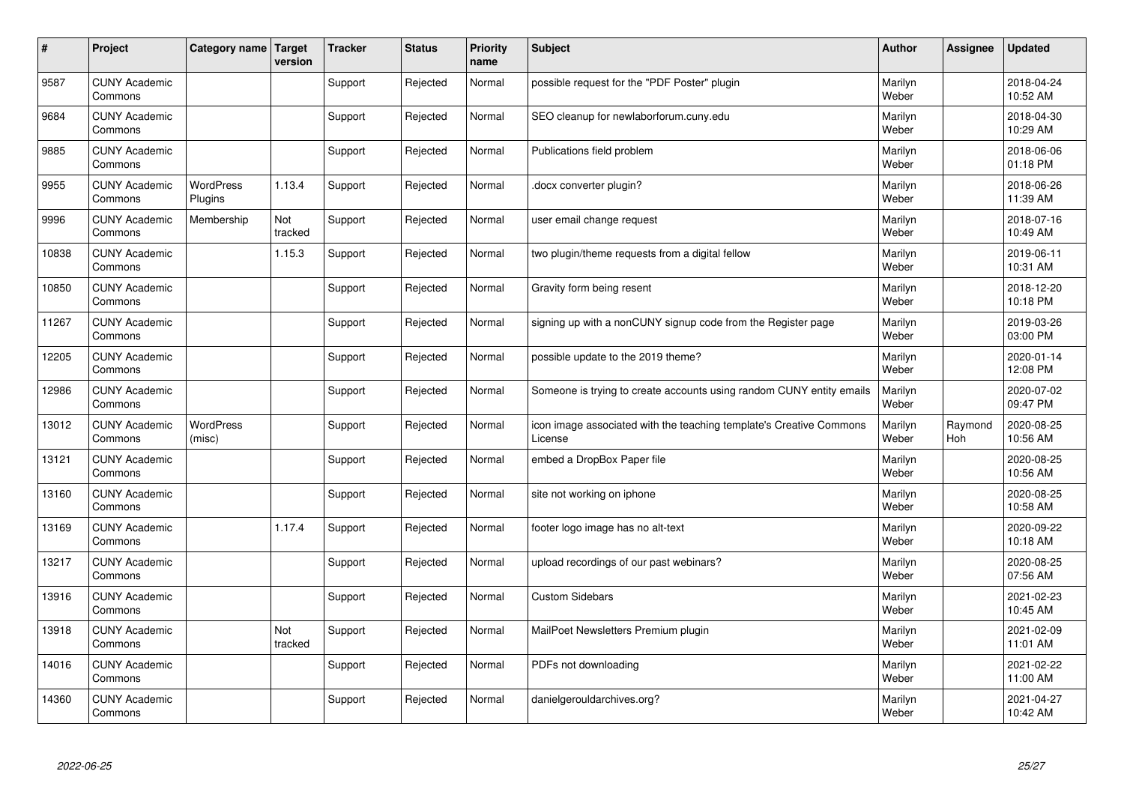| #     | Project                         | Category name   Target      | version        | <b>Tracker</b> | <b>Status</b> | <b>Priority</b><br>name | <b>Subject</b>                                                                 | <b>Author</b>    | Assignee       | <b>Updated</b>         |
|-------|---------------------------------|-----------------------------|----------------|----------------|---------------|-------------------------|--------------------------------------------------------------------------------|------------------|----------------|------------------------|
| 9587  | <b>CUNY Academic</b><br>Commons |                             |                | Support        | Rejected      | Normal                  | possible request for the "PDF Poster" plugin                                   | Marilyn<br>Weber |                | 2018-04-24<br>10:52 AM |
| 9684  | <b>CUNY Academic</b><br>Commons |                             |                | Support        | Rejected      | Normal                  | SEO cleanup for newlaborforum.cuny.edu                                         | Marilyn<br>Weber |                | 2018-04-30<br>10:29 AM |
| 9885  | <b>CUNY Academic</b><br>Commons |                             |                | Support        | Rejected      | Normal                  | Publications field problem                                                     | Marilyn<br>Weber |                | 2018-06-06<br>01:18 PM |
| 9955  | <b>CUNY Academic</b><br>Commons | <b>WordPress</b><br>Plugins | 1.13.4         | Support        | Rejected      | Normal                  | docx converter plugin?                                                         | Marilyn<br>Weber |                | 2018-06-26<br>11:39 AM |
| 9996  | <b>CUNY Academic</b><br>Commons | Membership                  | Not<br>tracked | Support        | Rejected      | Normal                  | user email change request                                                      | Marilyn<br>Weber |                | 2018-07-16<br>10:49 AM |
| 10838 | <b>CUNY Academic</b><br>Commons |                             | 1.15.3         | Support        | Rejected      | Normal                  | two plugin/theme requests from a digital fellow                                | Marilyn<br>Weber |                | 2019-06-11<br>10:31 AM |
| 10850 | <b>CUNY Academic</b><br>Commons |                             |                | Support        | Rejected      | Normal                  | Gravity form being resent                                                      | Marilyn<br>Weber |                | 2018-12-20<br>10:18 PM |
| 11267 | <b>CUNY Academic</b><br>Commons |                             |                | Support        | Rejected      | Normal                  | signing up with a nonCUNY signup code from the Register page                   | Marilyn<br>Weber |                | 2019-03-26<br>03:00 PM |
| 12205 | <b>CUNY Academic</b><br>Commons |                             |                | Support        | Rejected      | Normal                  | possible update to the 2019 theme?                                             | Marilyn<br>Weber |                | 2020-01-14<br>12:08 PM |
| 12986 | <b>CUNY Academic</b><br>Commons |                             |                | Support        | Rejected      | Normal                  | Someone is trying to create accounts using random CUNY entity emails           | Marilyn<br>Weber |                | 2020-07-02<br>09:47 PM |
| 13012 | <b>CUNY Academic</b><br>Commons | <b>WordPress</b><br>(misc)  |                | Support        | Rejected      | Normal                  | icon image associated with the teaching template's Creative Commons<br>License | Marilyn<br>Weber | Raymond<br>Hoh | 2020-08-25<br>10:56 AM |
| 13121 | <b>CUNY Academic</b><br>Commons |                             |                | Support        | Rejected      | Normal                  | embed a DropBox Paper file                                                     | Marilyn<br>Weber |                | 2020-08-25<br>10:56 AM |
| 13160 | <b>CUNY Academic</b><br>Commons |                             |                | Support        | Rejected      | Normal                  | site not working on iphone                                                     | Marilyn<br>Weber |                | 2020-08-25<br>10:58 AM |
| 13169 | <b>CUNY Academic</b><br>Commons |                             | 1.17.4         | Support        | Rejected      | Normal                  | footer logo image has no alt-text                                              | Marilyn<br>Weber |                | 2020-09-22<br>10:18 AM |
| 13217 | <b>CUNY Academic</b><br>Commons |                             |                | Support        | Rejected      | Normal                  | upload recordings of our past webinars?                                        | Marilyn<br>Weber |                | 2020-08-25<br>07:56 AM |
| 13916 | <b>CUNY Academic</b><br>Commons |                             |                | Support        | Rejected      | Normal                  | <b>Custom Sidebars</b>                                                         | Marilyn<br>Weber |                | 2021-02-23<br>10:45 AM |
| 13918 | <b>CUNY Academic</b><br>Commons |                             | Not<br>tracked | Support        | Rejected      | Normal                  | MailPoet Newsletters Premium plugin                                            | Marilyn<br>Weber |                | 2021-02-09<br>11:01 AM |
| 14016 | <b>CUNY Academic</b><br>Commons |                             |                | Support        | Rejected      | Normal                  | PDFs not downloading                                                           | Marilyn<br>Weber |                | 2021-02-22<br>11:00 AM |
| 14360 | <b>CUNY Academic</b><br>Commons |                             |                | Support        | Rejected      | Normal                  | danielgerouldarchives.org?                                                     | Marilyn<br>Weber |                | 2021-04-27<br>10:42 AM |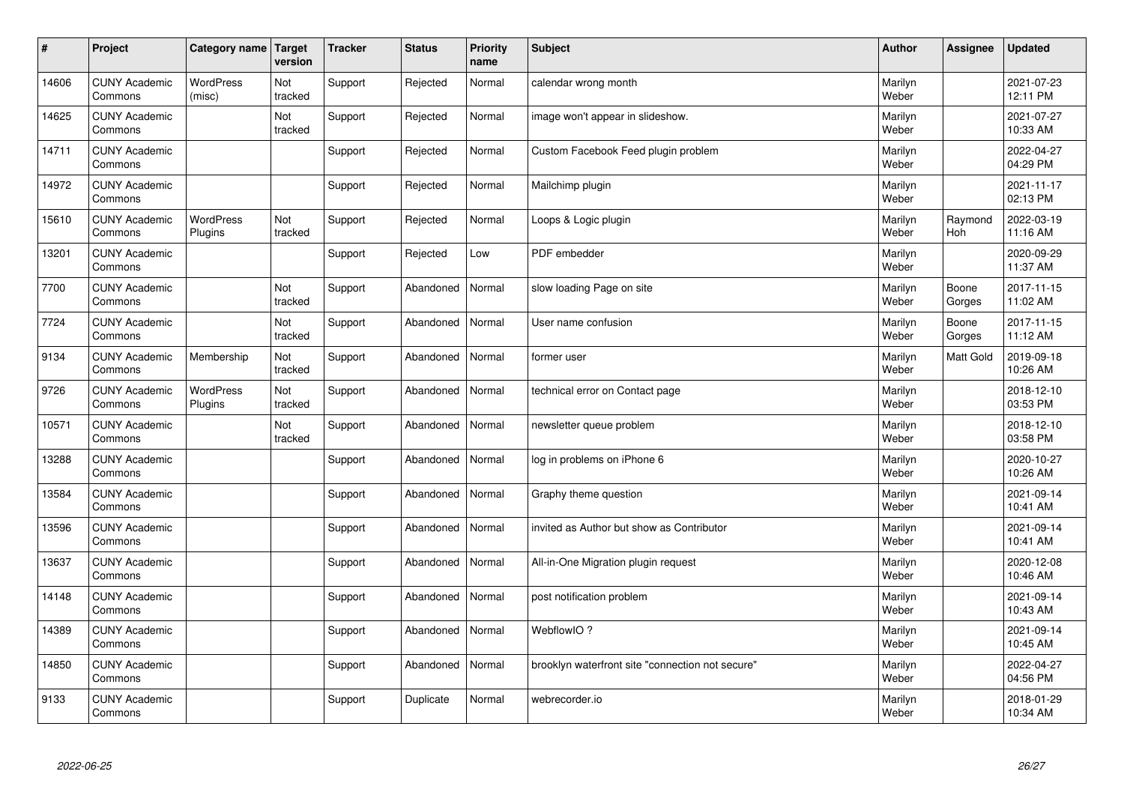| $\vert$ # | Project                         | Category name   Target      | version        | <b>Tracker</b> | <b>Status</b> | <b>Priority</b><br>name | <b>Subject</b>                                   | <b>Author</b>    | <b>Assignee</b> | <b>Updated</b>         |
|-----------|---------------------------------|-----------------------------|----------------|----------------|---------------|-------------------------|--------------------------------------------------|------------------|-----------------|------------------------|
| 14606     | <b>CUNY Academic</b><br>Commons | <b>WordPress</b><br>(misc)  | Not<br>tracked | Support        | Rejected      | Normal                  | calendar wrong month                             | Marilyn<br>Weber |                 | 2021-07-23<br>12:11 PM |
| 14625     | <b>CUNY Academic</b><br>Commons |                             | Not<br>tracked | Support        | Rejected      | Normal                  | image won't appear in slideshow.                 | Marilyn<br>Weber |                 | 2021-07-27<br>10:33 AM |
| 14711     | <b>CUNY Academic</b><br>Commons |                             |                | Support        | Rejected      | Normal                  | Custom Facebook Feed plugin problem              | Marilyn<br>Weber |                 | 2022-04-27<br>04:29 PM |
| 14972     | <b>CUNY Academic</b><br>Commons |                             |                | Support        | Rejected      | Normal                  | Mailchimp plugin                                 | Marilyn<br>Weber |                 | 2021-11-17<br>02:13 PM |
| 15610     | <b>CUNY Academic</b><br>Commons | <b>WordPress</b><br>Plugins | Not<br>tracked | Support        | Rejected      | Normal                  | Loops & Logic plugin                             | Marilyn<br>Weber | Raymond<br>Hoh  | 2022-03-19<br>11:16 AM |
| 13201     | <b>CUNY Academic</b><br>Commons |                             |                | Support        | Rejected      | Low                     | PDF embedder                                     | Marilyn<br>Weber |                 | 2020-09-29<br>11:37 AM |
| 7700      | <b>CUNY Academic</b><br>Commons |                             | Not<br>tracked | Support        | Abandoned     | Normal                  | slow loading Page on site                        | Marilyn<br>Weber | Boone<br>Gorges | 2017-11-15<br>11:02 AM |
| 7724      | <b>CUNY Academic</b><br>Commons |                             | Not<br>tracked | Support        | Abandoned     | Normal                  | User name confusion                              | Marilyn<br>Weber | Boone<br>Gorges | 2017-11-15<br>11:12 AM |
| 9134      | <b>CUNY Academic</b><br>Commons | Membership                  | Not<br>tracked | Support        | Abandoned     | Normal                  | former user                                      | Marilyn<br>Weber | Matt Gold       | 2019-09-18<br>10:26 AM |
| 9726      | <b>CUNY Academic</b><br>Commons | WordPress<br>Plugins        | Not<br>tracked | Support        | Abandoned     | Normal                  | technical error on Contact page                  | Marilyn<br>Weber |                 | 2018-12-10<br>03:53 PM |
| 10571     | <b>CUNY Academic</b><br>Commons |                             | Not<br>tracked | Support        | Abandoned     | Normal                  | newsletter queue problem                         | Marilyn<br>Weber |                 | 2018-12-10<br>03:58 PM |
| 13288     | <b>CUNY Academic</b><br>Commons |                             |                | Support        | Abandoned     | Normal                  | log in problems on iPhone 6                      | Marilyn<br>Weber |                 | 2020-10-27<br>10:26 AM |
| 13584     | <b>CUNY Academic</b><br>Commons |                             |                | Support        | Abandoned     | Normal                  | Graphy theme question                            | Marilyn<br>Weber |                 | 2021-09-14<br>10:41 AM |
| 13596     | <b>CUNY Academic</b><br>Commons |                             |                | Support        | Abandoned     | Normal                  | invited as Author but show as Contributor        | Marilyn<br>Weber |                 | 2021-09-14<br>10:41 AM |
| 13637     | <b>CUNY Academic</b><br>Commons |                             |                | Support        | Abandoned     | Normal                  | All-in-One Migration plugin request              | Marilyn<br>Weber |                 | 2020-12-08<br>10:46 AM |
| 14148     | <b>CUNY Academic</b><br>Commons |                             |                | Support        | Abandoned     | Normal                  | post notification problem                        | Marilyn<br>Weber |                 | 2021-09-14<br>10:43 AM |
| 14389     | <b>CUNY Academic</b><br>Commons |                             |                | Support        | Abandoned     | Normal                  | WebflowIO?                                       | Marilyn<br>Weber |                 | 2021-09-14<br>10:45 AM |
| 14850     | <b>CUNY Academic</b><br>Commons |                             |                | Support        | Abandoned     | Normal                  | brooklyn waterfront site "connection not secure" | Marilyn<br>Weber |                 | 2022-04-27<br>04:56 PM |
| 9133      | <b>CUNY Academic</b><br>Commons |                             |                | Support        | Duplicate     | Normal                  | webrecorder.io                                   | Marilyn<br>Weber |                 | 2018-01-29<br>10:34 AM |